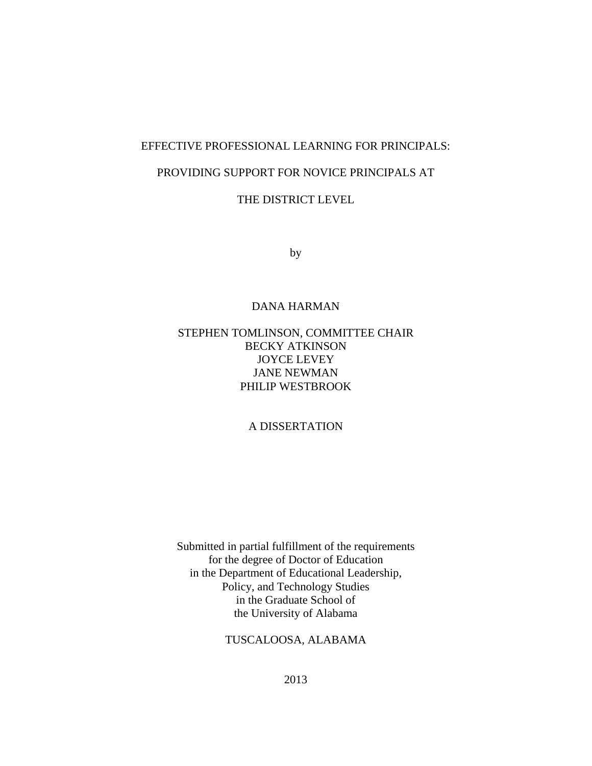# EFFECTIVE PROFESSIONAL LEARNING FOR PRINCIPALS:

# PROVIDING SUPPORT FOR NOVICE PRINCIPALS AT

# THE DISTRICT LEVEL

by

## DANA HARMAN

# STEPHEN TOMLINSON, COMMITTEE CHAIR BECKY ATKINSON JOYCE LEVEY JANE NEWMAN PHILIP WESTBROOK

# A DISSERTATION

Submitted in partial fulfillment of the requirements for the degree of Doctor of Education in the Department of Educational Leadership, Policy, and Technology Studies in the Graduate School of the University of Alabama

# TUSCALOOSA, ALABAMA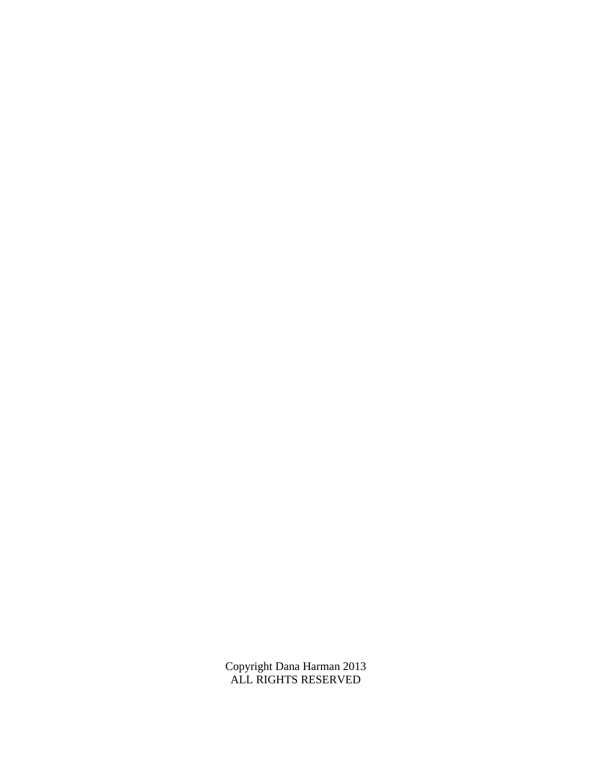Copyright Dana Harman 2013 ALL RIGHTS RESERVED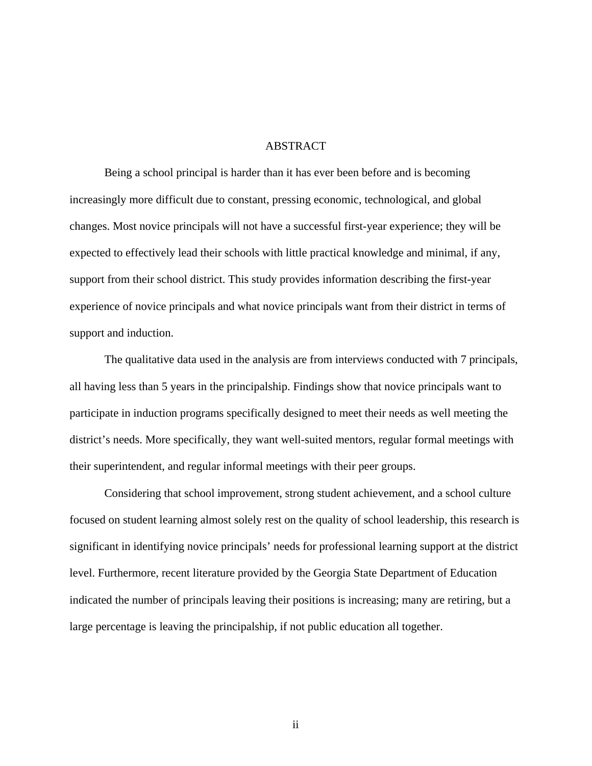## ABSTRACT

Being a school principal is harder than it has ever been before and is becoming increasingly more difficult due to constant, pressing economic, technological, and global changes. Most novice principals will not have a successful first-year experience; they will be expected to effectively lead their schools with little practical knowledge and minimal, if any, support from their school district. This study provides information describing the first-year experience of novice principals and what novice principals want from their district in terms of support and induction.

 The qualitative data used in the analysis are from interviews conducted with 7 principals, all having less than 5 years in the principalship. Findings show that novice principals want to participate in induction programs specifically designed to meet their needs as well meeting the district's needs. More specifically, they want well-suited mentors, regular formal meetings with their superintendent, and regular informal meetings with their peer groups.

 Considering that school improvement, strong student achievement, and a school culture focused on student learning almost solely rest on the quality of school leadership, this research is significant in identifying novice principals' needs for professional learning support at the district level. Furthermore, recent literature provided by the Georgia State Department of Education indicated the number of principals leaving their positions is increasing; many are retiring, but a large percentage is leaving the principalship, if not public education all together.

ii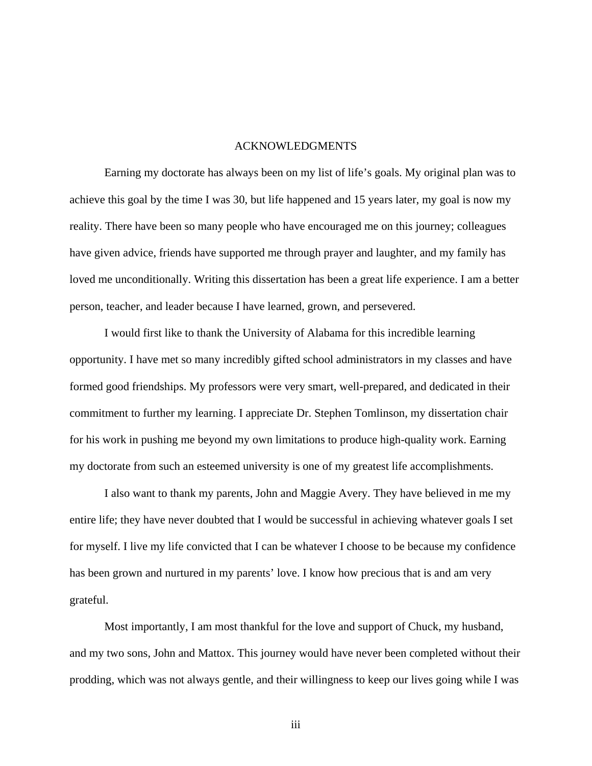## ACKNOWLEDGMENTS

 Earning my doctorate has always been on my list of life's goals. My original plan was to achieve this goal by the time I was 30, but life happened and 15 years later, my goal is now my reality. There have been so many people who have encouraged me on this journey; colleagues have given advice, friends have supported me through prayer and laughter, and my family has loved me unconditionally. Writing this dissertation has been a great life experience. I am a better person, teacher, and leader because I have learned, grown, and persevered.

 I would first like to thank the University of Alabama for this incredible learning opportunity. I have met so many incredibly gifted school administrators in my classes and have formed good friendships. My professors were very smart, well-prepared, and dedicated in their commitment to further my learning. I appreciate Dr. Stephen Tomlinson, my dissertation chair for his work in pushing me beyond my own limitations to produce high-quality work. Earning my doctorate from such an esteemed university is one of my greatest life accomplishments.

 I also want to thank my parents, John and Maggie Avery. They have believed in me my entire life; they have never doubted that I would be successful in achieving whatever goals I set for myself. I live my life convicted that I can be whatever I choose to be because my confidence has been grown and nurtured in my parents' love. I know how precious that is and am very grateful.

 Most importantly, I am most thankful for the love and support of Chuck, my husband, and my two sons, John and Mattox. This journey would have never been completed without their prodding, which was not always gentle, and their willingness to keep our lives going while I was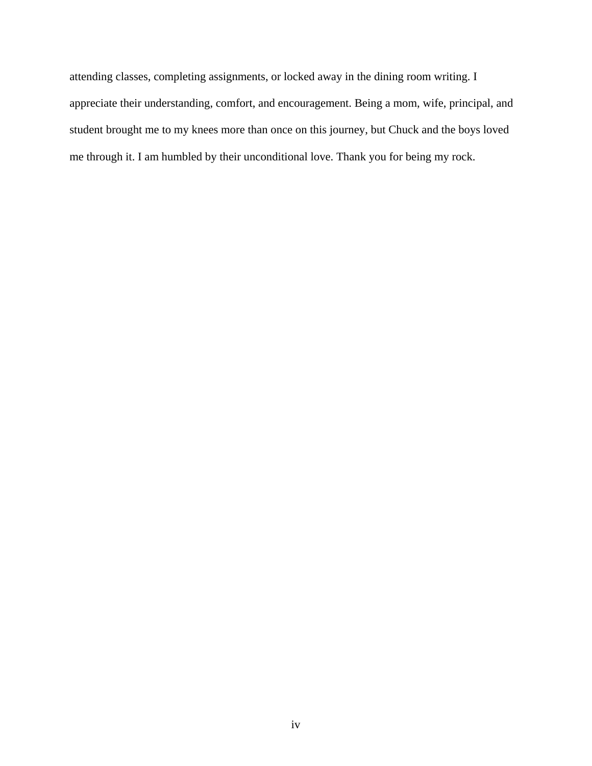attending classes, completing assignments, or locked away in the dining room writing. I appreciate their understanding, comfort, and encouragement. Being a mom, wife, principal, and student brought me to my knees more than once on this journey, but Chuck and the boys loved me through it. I am humbled by their unconditional love. Thank you for being my rock.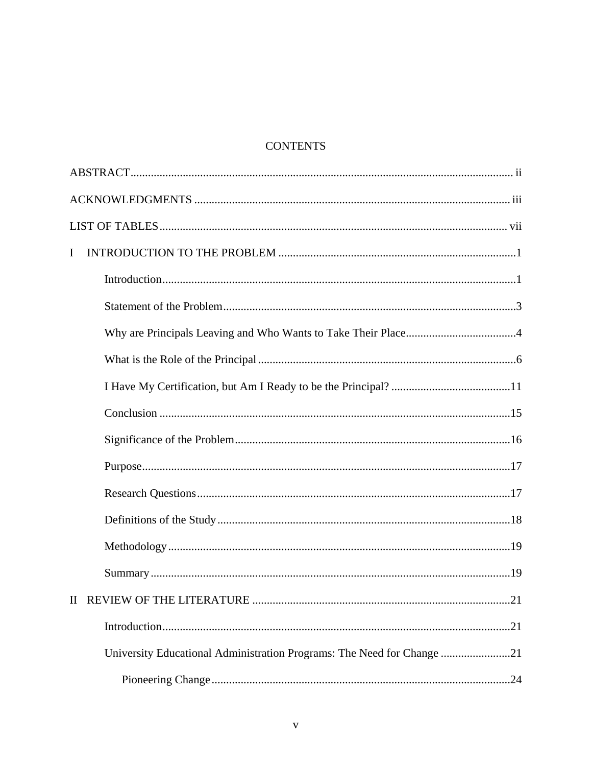# **CONTENTS**

| I                                                                      |
|------------------------------------------------------------------------|
|                                                                        |
|                                                                        |
|                                                                        |
|                                                                        |
|                                                                        |
|                                                                        |
|                                                                        |
|                                                                        |
|                                                                        |
|                                                                        |
|                                                                        |
|                                                                        |
|                                                                        |
|                                                                        |
| University Educational Administration Programs: The Need for Change 21 |
|                                                                        |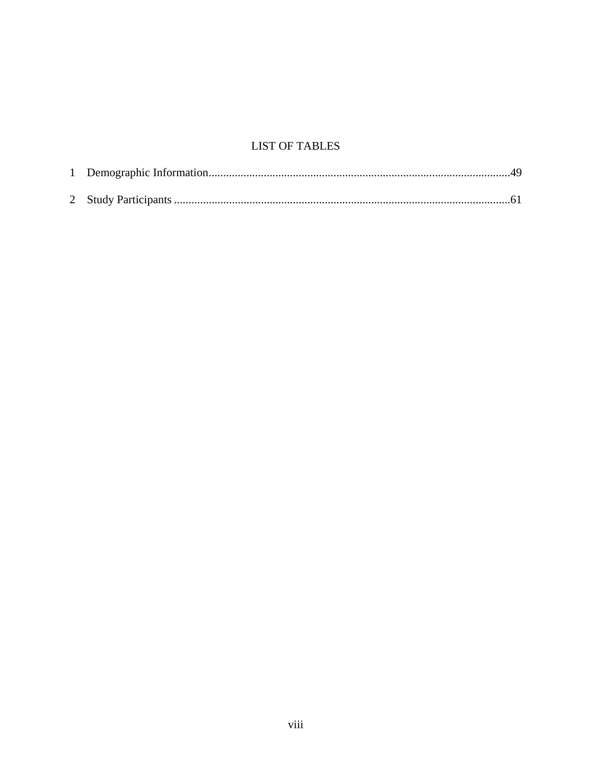# **LIST OF TABLES**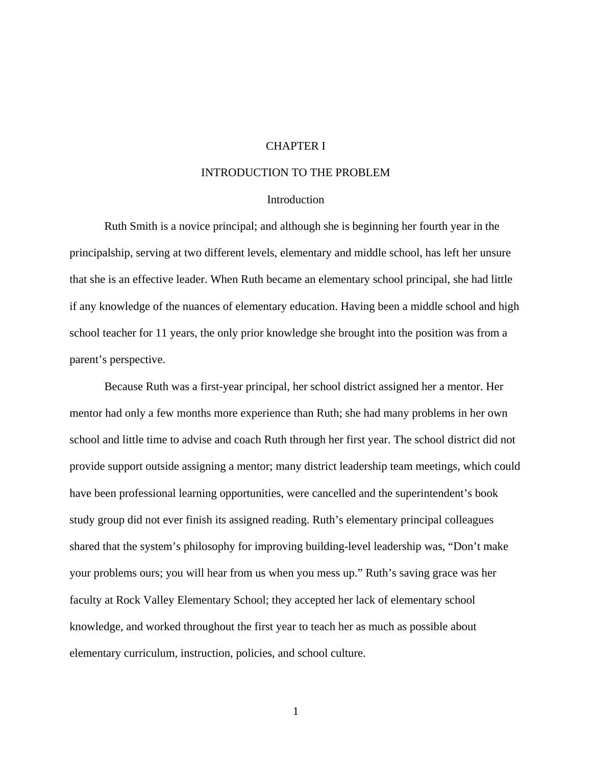# CHAPTER I

# INTRODUCTION TO THE PROBLEM

## **Introduction**

Ruth Smith is a novice principal; and although she is beginning her fourth year in the principalship, serving at two different levels, elementary and middle school, has left her unsure that she is an effective leader. When Ruth became an elementary school principal, she had little if any knowledge of the nuances of elementary education. Having been a middle school and high school teacher for 11 years, the only prior knowledge she brought into the position was from a parent's perspective.

 Because Ruth was a first-year principal, her school district assigned her a mentor. Her mentor had only a few months more experience than Ruth; she had many problems in her own school and little time to advise and coach Ruth through her first year. The school district did not provide support outside assigning a mentor; many district leadership team meetings, which could have been professional learning opportunities, were cancelled and the superintendent's book study group did not ever finish its assigned reading. Ruth's elementary principal colleagues shared that the system's philosophy for improving building-level leadership was, "Don't make your problems ours; you will hear from us when you mess up." Ruth's saving grace was her faculty at Rock Valley Elementary School; they accepted her lack of elementary school knowledge, and worked throughout the first year to teach her as much as possible about elementary curriculum, instruction, policies, and school culture.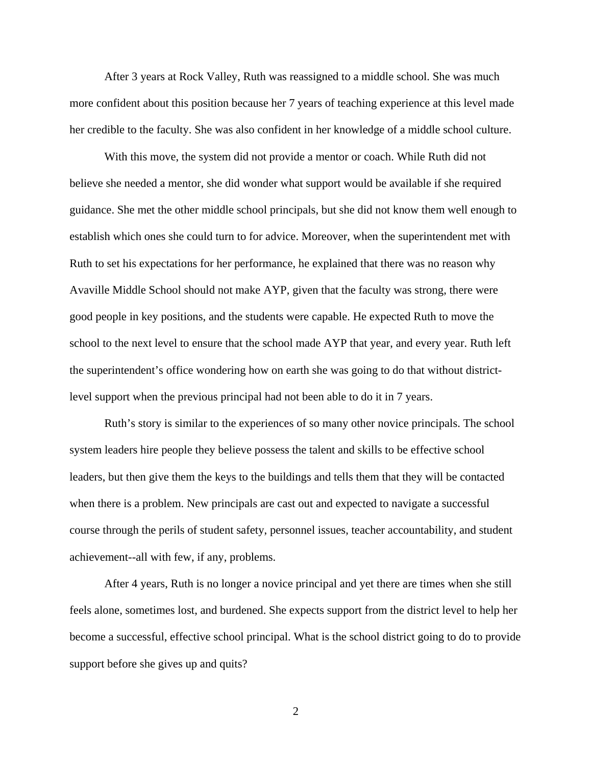After 3 years at Rock Valley, Ruth was reassigned to a middle school. She was much more confident about this position because her 7 years of teaching experience at this level made her credible to the faculty. She was also confident in her knowledge of a middle school culture.

 With this move, the system did not provide a mentor or coach. While Ruth did not believe she needed a mentor, she did wonder what support would be available if she required guidance. She met the other middle school principals, but she did not know them well enough to establish which ones she could turn to for advice. Moreover, when the superintendent met with Ruth to set his expectations for her performance, he explained that there was no reason why Avaville Middle School should not make AYP, given that the faculty was strong, there were good people in key positions, and the students were capable. He expected Ruth to move the school to the next level to ensure that the school made AYP that year, and every year. Ruth left the superintendent's office wondering how on earth she was going to do that without districtlevel support when the previous principal had not been able to do it in 7 years.

 Ruth's story is similar to the experiences of so many other novice principals. The school system leaders hire people they believe possess the talent and skills to be effective school leaders, but then give them the keys to the buildings and tells them that they will be contacted when there is a problem. New principals are cast out and expected to navigate a successful course through the perils of student safety, personnel issues, teacher accountability, and student achievement--all with few, if any, problems.

 After 4 years, Ruth is no longer a novice principal and yet there are times when she still feels alone, sometimes lost, and burdened. She expects support from the district level to help her become a successful, effective school principal. What is the school district going to do to provide support before she gives up and quits?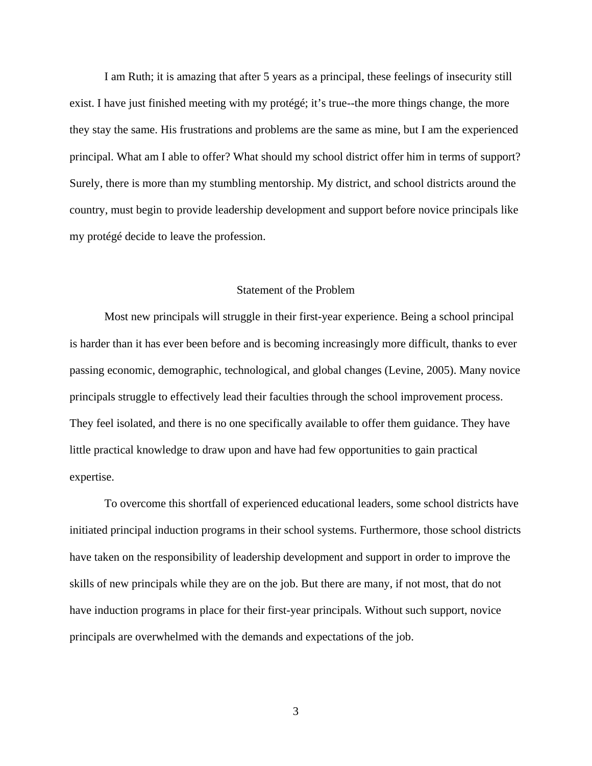I am Ruth; it is amazing that after 5 years as a principal, these feelings of insecurity still exist. I have just finished meeting with my protégé; it's true--the more things change, the more they stay the same. His frustrations and problems are the same as mine, but I am the experienced principal. What am I able to offer? What should my school district offer him in terms of support? Surely, there is more than my stumbling mentorship. My district, and school districts around the country, must begin to provide leadership development and support before novice principals like my protégé decide to leave the profession.

## Statement of the Problem

 Most new principals will struggle in their first-year experience. Being a school principal is harder than it has ever been before and is becoming increasingly more difficult, thanks to ever passing economic, demographic, technological, and global changes (Levine, 2005). Many novice principals struggle to effectively lead their faculties through the school improvement process. They feel isolated, and there is no one specifically available to offer them guidance. They have little practical knowledge to draw upon and have had few opportunities to gain practical expertise.

To overcome this shortfall of experienced educational leaders, some school districts have initiated principal induction programs in their school systems. Furthermore, those school districts have taken on the responsibility of leadership development and support in order to improve the skills of new principals while they are on the job. But there are many, if not most, that do not have induction programs in place for their first-year principals. Without such support, novice principals are overwhelmed with the demands and expectations of the job.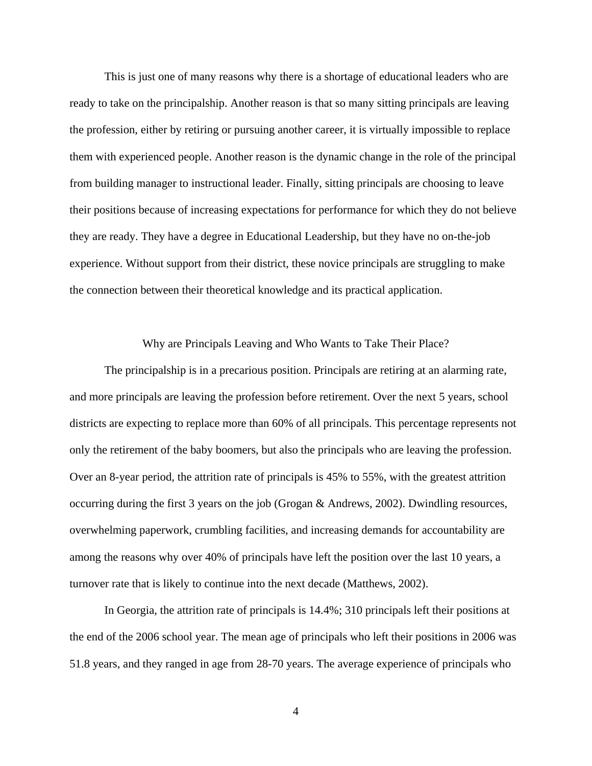This is just one of many reasons why there is a shortage of educational leaders who are ready to take on the principalship. Another reason is that so many sitting principals are leaving the profession, either by retiring or pursuing another career, it is virtually impossible to replace them with experienced people. Another reason is the dynamic change in the role of the principal from building manager to instructional leader. Finally, sitting principals are choosing to leave their positions because of increasing expectations for performance for which they do not believe they are ready. They have a degree in Educational Leadership, but they have no on-the-job experience. Without support from their district, these novice principals are struggling to make the connection between their theoretical knowledge and its practical application.

Why are Principals Leaving and Who Wants to Take Their Place?

 The principalship is in a precarious position. Principals are retiring at an alarming rate, and more principals are leaving the profession before retirement. Over the next 5 years, school districts are expecting to replace more than 60% of all principals. This percentage represents not only the retirement of the baby boomers, but also the principals who are leaving the profession. Over an 8-year period, the attrition rate of principals is 45% to 55%, with the greatest attrition occurring during the first 3 years on the job (Grogan & Andrews, 2002). Dwindling resources, overwhelming paperwork, crumbling facilities, and increasing demands for accountability are among the reasons why over 40% of principals have left the position over the last 10 years, a turnover rate that is likely to continue into the next decade (Matthews, 2002).

In Georgia, the attrition rate of principals is 14.4%; 310 principals left their positions at the end of the 2006 school year. The mean age of principals who left their positions in 2006 was 51.8 years, and they ranged in age from 28-70 years. The average experience of principals who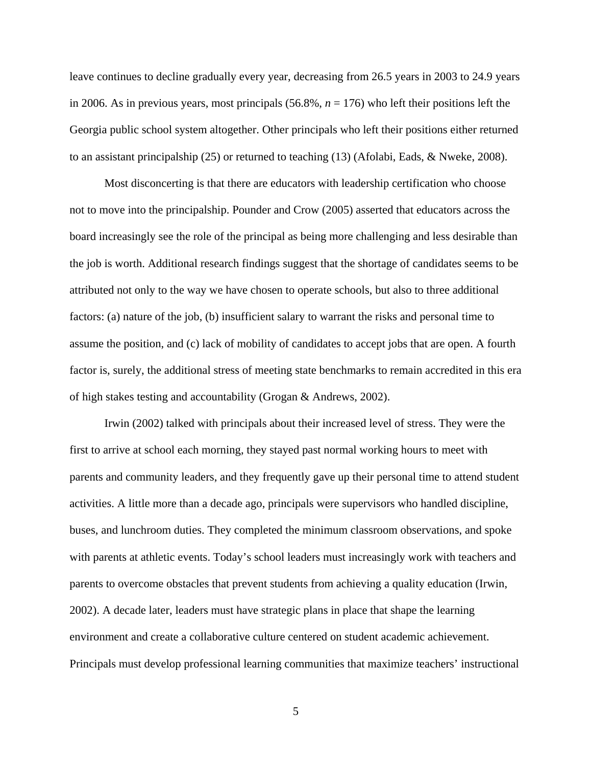leave continues to decline gradually every year, decreasing from 26.5 years in 2003 to 24.9 years in 2006. As in previous years, most principals  $(56.8\%, n = 176)$  who left their positions left the Georgia public school system altogether. Other principals who left their positions either returned to an assistant principalship (25) or returned to teaching (13) (Afolabi, Eads, & Nweke, 2008).

Most disconcerting is that there are educators with leadership certification who choose not to move into the principalship. Pounder and Crow (2005) asserted that educators across the board increasingly see the role of the principal as being more challenging and less desirable than the job is worth. Additional research findings suggest that the shortage of candidates seems to be attributed not only to the way we have chosen to operate schools, but also to three additional factors: (a) nature of the job, (b) insufficient salary to warrant the risks and personal time to assume the position, and (c) lack of mobility of candidates to accept jobs that are open. A fourth factor is, surely, the additional stress of meeting state benchmarks to remain accredited in this era of high stakes testing and accountability (Grogan & Andrews, 2002).

Irwin (2002) talked with principals about their increased level of stress. They were the first to arrive at school each morning, they stayed past normal working hours to meet with parents and community leaders, and they frequently gave up their personal time to attend student activities. A little more than a decade ago, principals were supervisors who handled discipline, buses, and lunchroom duties. They completed the minimum classroom observations, and spoke with parents at athletic events. Today's school leaders must increasingly work with teachers and parents to overcome obstacles that prevent students from achieving a quality education (Irwin, 2002). A decade later, leaders must have strategic plans in place that shape the learning environment and create a collaborative culture centered on student academic achievement. Principals must develop professional learning communities that maximize teachers' instructional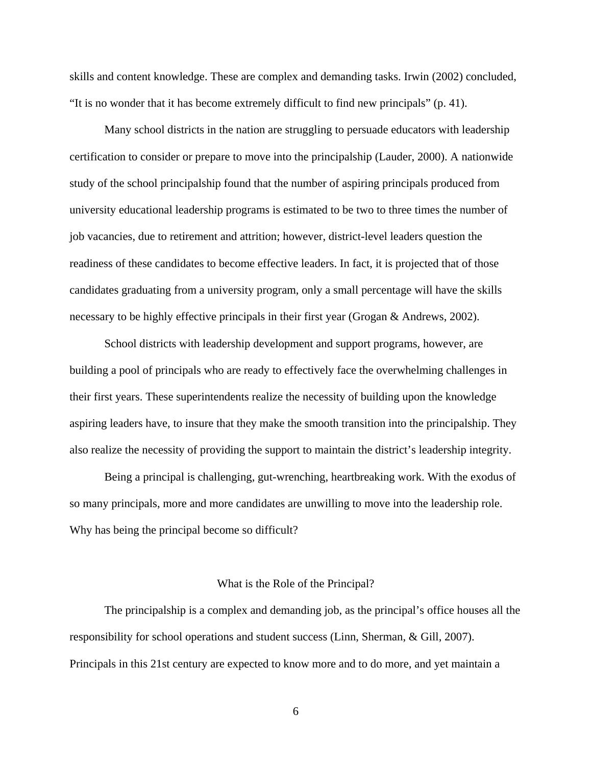skills and content knowledge. These are complex and demanding tasks. Irwin (2002) concluded, "It is no wonder that it has become extremely difficult to find new principals" (p. 41).

Many school districts in the nation are struggling to persuade educators with leadership certification to consider or prepare to move into the principalship (Lauder, 2000). A nationwide study of the school principalship found that the number of aspiring principals produced from university educational leadership programs is estimated to be two to three times the number of job vacancies, due to retirement and attrition; however, district-level leaders question the readiness of these candidates to become effective leaders. In fact, it is projected that of those candidates graduating from a university program, only a small percentage will have the skills necessary to be highly effective principals in their first year (Grogan & Andrews, 2002).

School districts with leadership development and support programs, however, are building a pool of principals who are ready to effectively face the overwhelming challenges in their first years. These superintendents realize the necessity of building upon the knowledge aspiring leaders have, to insure that they make the smooth transition into the principalship. They also realize the necessity of providing the support to maintain the district's leadership integrity.

Being a principal is challenging, gut-wrenching, heartbreaking work. With the exodus of so many principals, more and more candidates are unwilling to move into the leadership role. Why has being the principal become so difficult?

#### What is the Role of the Principal?

The principalship is a complex and demanding job, as the principal's office houses all the responsibility for school operations and student success (Linn, Sherman, & Gill, 2007). Principals in this 21st century are expected to know more and to do more, and yet maintain a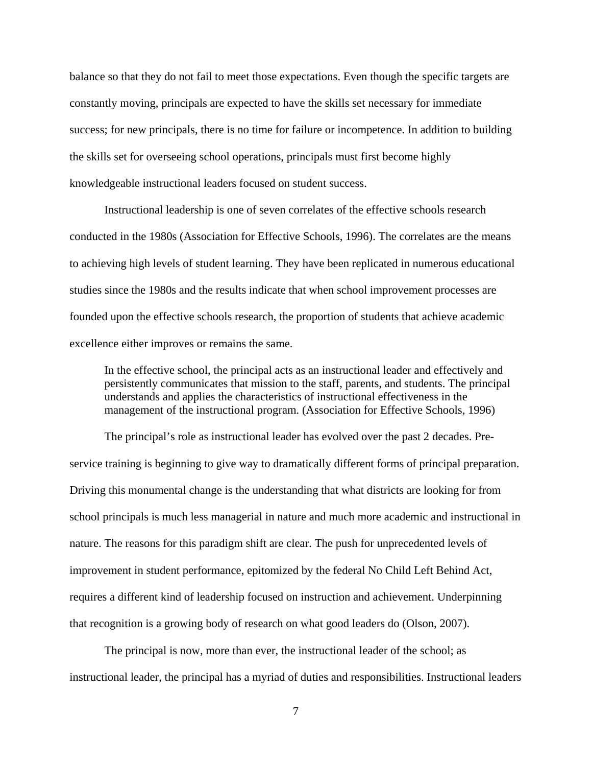balance so that they do not fail to meet those expectations. Even though the specific targets are constantly moving, principals are expected to have the skills set necessary for immediate success; for new principals, there is no time for failure or incompetence. In addition to building the skills set for overseeing school operations, principals must first become highly knowledgeable instructional leaders focused on student success.

Instructional leadership is one of seven correlates of the effective schools research conducted in the 1980s (Association for Effective Schools, 1996). The correlates are the means to achieving high levels of student learning. They have been replicated in numerous educational studies since the 1980s and the results indicate that when school improvement processes are founded upon the effective schools research, the proportion of students that achieve academic excellence either improves or remains the same.

In the effective school, the principal acts as an instructional leader and effectively and persistently communicates that mission to the staff, parents, and students. The principal understands and applies the characteristics of instructional effectiveness in the management of the instructional program. (Association for Effective Schools, 1996)

The principal's role as instructional leader has evolved over the past 2 decades. Preservice training is beginning to give way to dramatically different forms of principal preparation. Driving this monumental change is the understanding that what districts are looking for from school principals is much less managerial in nature and much more academic and instructional in nature. The reasons for this paradigm shift are clear. The push for unprecedented levels of improvement in student performance, epitomized by the federal No Child Left Behind Act, requires a different kind of leadership focused on instruction and achievement. Underpinning that recognition is a growing body of research on what good leaders do (Olson, 2007).

The principal is now, more than ever, the instructional leader of the school; as instructional leader, the principal has a myriad of duties and responsibilities. Instructional leaders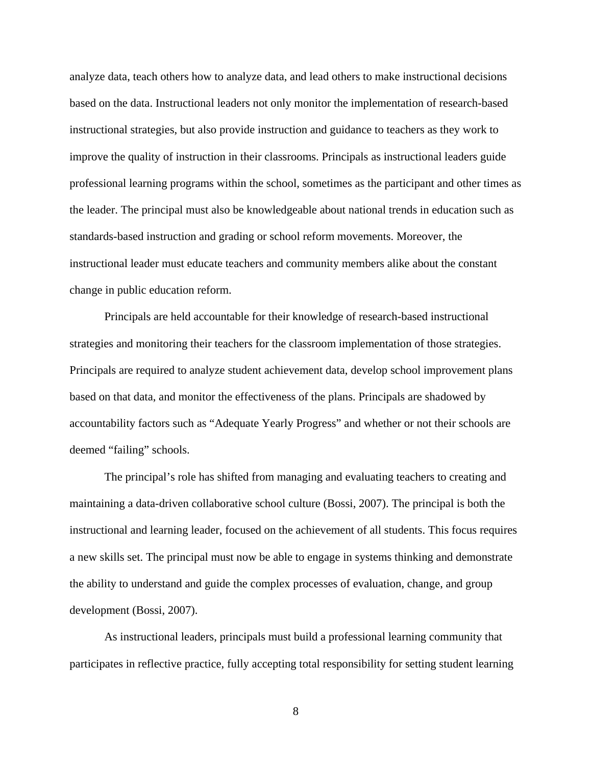analyze data, teach others how to analyze data, and lead others to make instructional decisions based on the data. Instructional leaders not only monitor the implementation of research-based instructional strategies, but also provide instruction and guidance to teachers as they work to improve the quality of instruction in their classrooms. Principals as instructional leaders guide professional learning programs within the school, sometimes as the participant and other times as the leader. The principal must also be knowledgeable about national trends in education such as standards-based instruction and grading or school reform movements. Moreover, the instructional leader must educate teachers and community members alike about the constant change in public education reform.

Principals are held accountable for their knowledge of research-based instructional strategies and monitoring their teachers for the classroom implementation of those strategies. Principals are required to analyze student achievement data, develop school improvement plans based on that data, and monitor the effectiveness of the plans. Principals are shadowed by accountability factors such as "Adequate Yearly Progress" and whether or not their schools are deemed "failing" schools.

The principal's role has shifted from managing and evaluating teachers to creating and maintaining a data-driven collaborative school culture (Bossi, 2007). The principal is both the instructional and learning leader, focused on the achievement of all students. This focus requires a new skills set. The principal must now be able to engage in systems thinking and demonstrate the ability to understand and guide the complex processes of evaluation, change, and group development (Bossi, 2007).

As instructional leaders, principals must build a professional learning community that participates in reflective practice, fully accepting total responsibility for setting student learning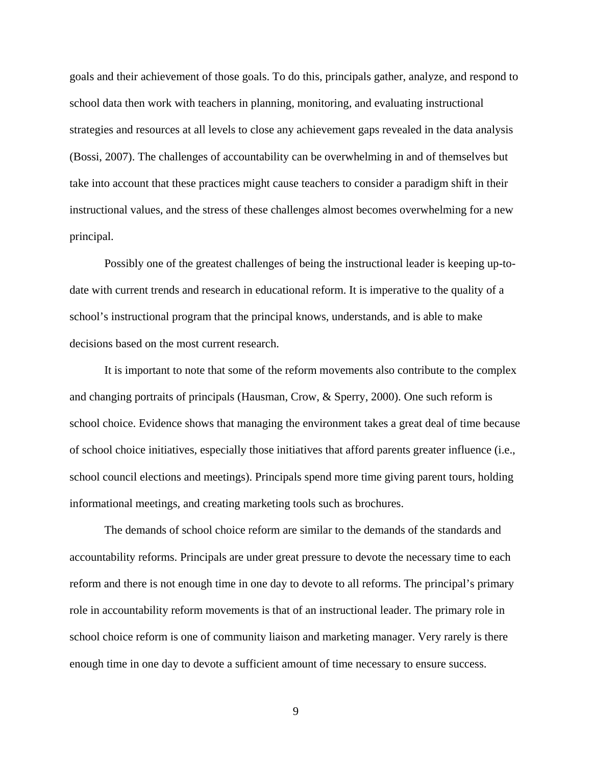goals and their achievement of those goals. To do this, principals gather, analyze, and respond to school data then work with teachers in planning, monitoring, and evaluating instructional strategies and resources at all levels to close any achievement gaps revealed in the data analysis (Bossi, 2007). The challenges of accountability can be overwhelming in and of themselves but take into account that these practices might cause teachers to consider a paradigm shift in their instructional values, and the stress of these challenges almost becomes overwhelming for a new principal.

Possibly one of the greatest challenges of being the instructional leader is keeping up-todate with current trends and research in educational reform. It is imperative to the quality of a school's instructional program that the principal knows, understands, and is able to make decisions based on the most current research.

It is important to note that some of the reform movements also contribute to the complex and changing portraits of principals (Hausman, Crow, & Sperry, 2000). One such reform is school choice. Evidence shows that managing the environment takes a great deal of time because of school choice initiatives, especially those initiatives that afford parents greater influence (i.e., school council elections and meetings). Principals spend more time giving parent tours, holding informational meetings, and creating marketing tools such as brochures.

The demands of school choice reform are similar to the demands of the standards and accountability reforms. Principals are under great pressure to devote the necessary time to each reform and there is not enough time in one day to devote to all reforms. The principal's primary role in accountability reform movements is that of an instructional leader. The primary role in school choice reform is one of community liaison and marketing manager. Very rarely is there enough time in one day to devote a sufficient amount of time necessary to ensure success.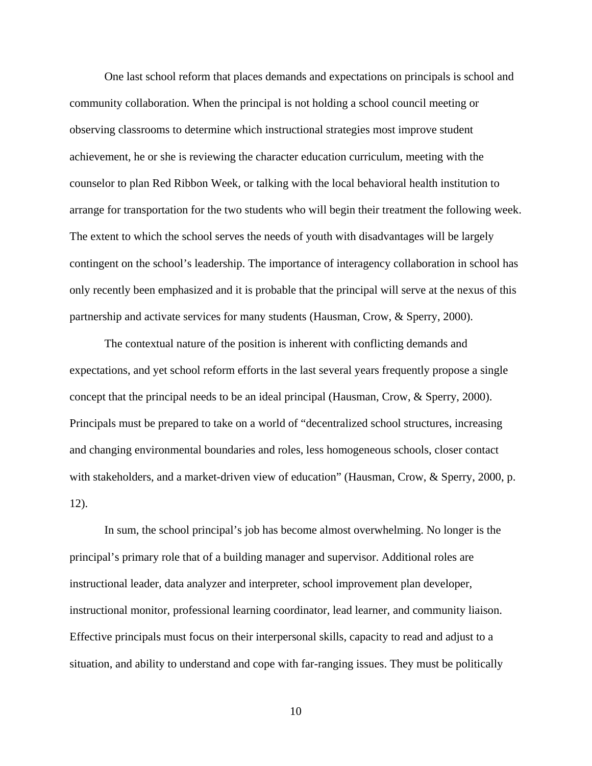One last school reform that places demands and expectations on principals is school and community collaboration. When the principal is not holding a school council meeting or observing classrooms to determine which instructional strategies most improve student achievement, he or she is reviewing the character education curriculum, meeting with the counselor to plan Red Ribbon Week, or talking with the local behavioral health institution to arrange for transportation for the two students who will begin their treatment the following week. The extent to which the school serves the needs of youth with disadvantages will be largely contingent on the school's leadership. The importance of interagency collaboration in school has only recently been emphasized and it is probable that the principal will serve at the nexus of this partnership and activate services for many students (Hausman, Crow, & Sperry, 2000).

The contextual nature of the position is inherent with conflicting demands and expectations, and yet school reform efforts in the last several years frequently propose a single concept that the principal needs to be an ideal principal (Hausman, Crow, & Sperry, 2000). Principals must be prepared to take on a world of "decentralized school structures, increasing and changing environmental boundaries and roles, less homogeneous schools, closer contact with stakeholders, and a market-driven view of education" (Hausman, Crow, & Sperry, 2000, p. 12).

In sum, the school principal's job has become almost overwhelming. No longer is the principal's primary role that of a building manager and supervisor. Additional roles are instructional leader, data analyzer and interpreter, school improvement plan developer, instructional monitor, professional learning coordinator, lead learner, and community liaison. Effective principals must focus on their interpersonal skills, capacity to read and adjust to a situation, and ability to understand and cope with far-ranging issues. They must be politically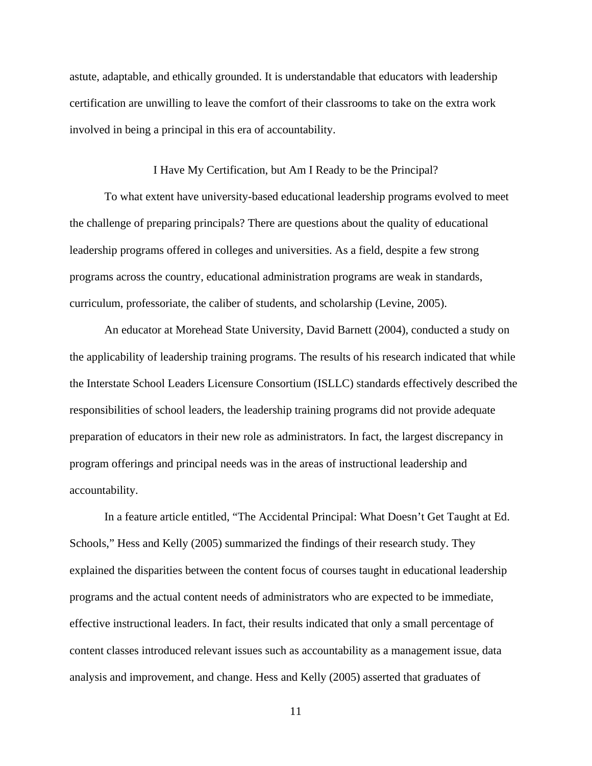astute, adaptable, and ethically grounded. It is understandable that educators with leadership certification are unwilling to leave the comfort of their classrooms to take on the extra work involved in being a principal in this era of accountability.

# I Have My Certification, but Am I Ready to be the Principal?

To what extent have university-based educational leadership programs evolved to meet the challenge of preparing principals? There are questions about the quality of educational leadership programs offered in colleges and universities. As a field, despite a few strong programs across the country, educational administration programs are weak in standards, curriculum, professoriate, the caliber of students, and scholarship (Levine, 2005).

An educator at Morehead State University, David Barnett (2004), conducted a study on the applicability of leadership training programs. The results of his research indicated that while the Interstate School Leaders Licensure Consortium (ISLLC) standards effectively described the responsibilities of school leaders, the leadership training programs did not provide adequate preparation of educators in their new role as administrators. In fact, the largest discrepancy in program offerings and principal needs was in the areas of instructional leadership and accountability.

 In a feature article entitled, "The Accidental Principal: What Doesn't Get Taught at Ed. Schools," Hess and Kelly (2005) summarized the findings of their research study. They explained the disparities between the content focus of courses taught in educational leadership programs and the actual content needs of administrators who are expected to be immediate, effective instructional leaders. In fact, their results indicated that only a small percentage of content classes introduced relevant issues such as accountability as a management issue, data analysis and improvement, and change. Hess and Kelly (2005) asserted that graduates of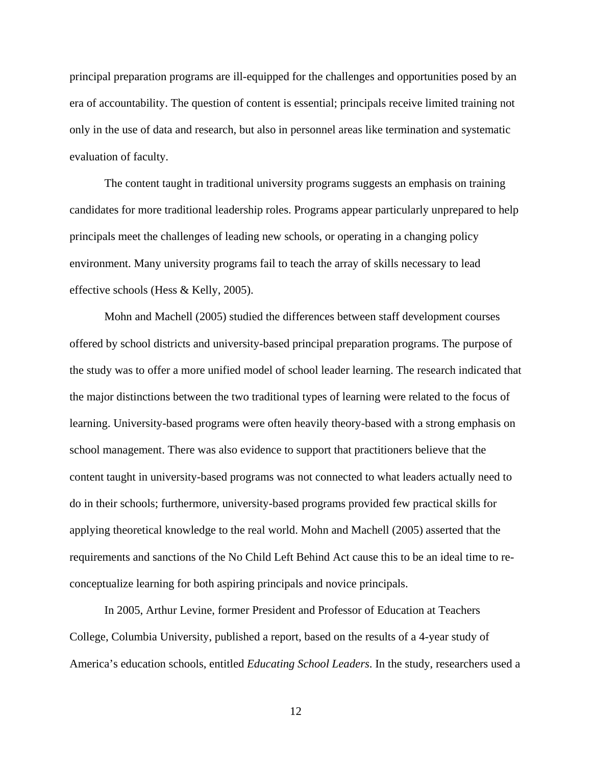principal preparation programs are ill-equipped for the challenges and opportunities posed by an era of accountability. The question of content is essential; principals receive limited training not only in the use of data and research, but also in personnel areas like termination and systematic evaluation of faculty.

 The content taught in traditional university programs suggests an emphasis on training candidates for more traditional leadership roles. Programs appear particularly unprepared to help principals meet the challenges of leading new schools, or operating in a changing policy environment. Many university programs fail to teach the array of skills necessary to lead effective schools (Hess & Kelly, 2005).

 Mohn and Machell (2005) studied the differences between staff development courses offered by school districts and university-based principal preparation programs. The purpose of the study was to offer a more unified model of school leader learning. The research indicated that the major distinctions between the two traditional types of learning were related to the focus of learning. University-based programs were often heavily theory-based with a strong emphasis on school management. There was also evidence to support that practitioners believe that the content taught in university-based programs was not connected to what leaders actually need to do in their schools; furthermore, university-based programs provided few practical skills for applying theoretical knowledge to the real world. Mohn and Machell (2005) asserted that the requirements and sanctions of the No Child Left Behind Act cause this to be an ideal time to reconceptualize learning for both aspiring principals and novice principals.

 In 2005, Arthur Levine, former President and Professor of Education at Teachers College, Columbia University, published a report, based on the results of a 4-year study of America's education schools, entitled *Educating School Leaders*. In the study, researchers used a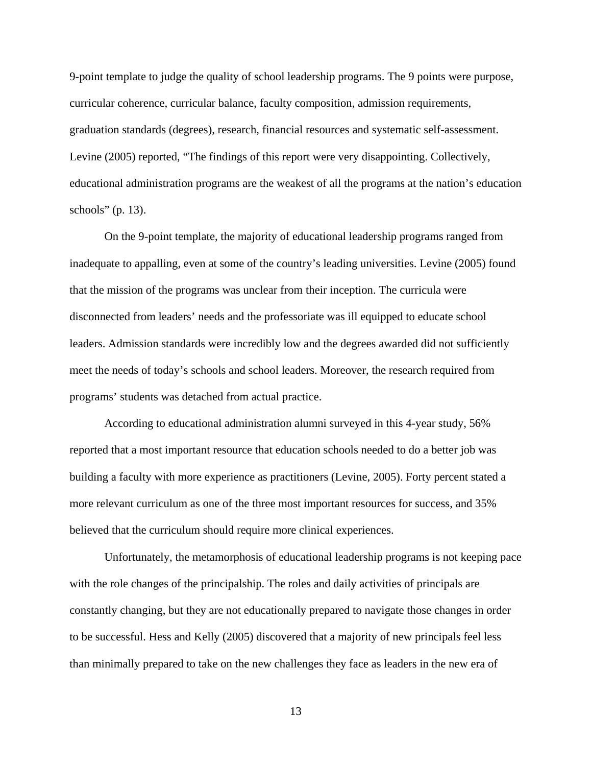9-point template to judge the quality of school leadership programs. The 9 points were purpose, curricular coherence, curricular balance, faculty composition, admission requirements, graduation standards (degrees), research, financial resources and systematic self-assessment. Levine (2005) reported, "The findings of this report were very disappointing. Collectively, educational administration programs are the weakest of all the programs at the nation's education schools" (p. 13).

 On the 9-point template, the majority of educational leadership programs ranged from inadequate to appalling, even at some of the country's leading universities. Levine (2005) found that the mission of the programs was unclear from their inception. The curricula were disconnected from leaders' needs and the professoriate was ill equipped to educate school leaders. Admission standards were incredibly low and the degrees awarded did not sufficiently meet the needs of today's schools and school leaders. Moreover, the research required from programs' students was detached from actual practice.

 According to educational administration alumni surveyed in this 4-year study, 56% reported that a most important resource that education schools needed to do a better job was building a faculty with more experience as practitioners (Levine, 2005). Forty percent stated a more relevant curriculum as one of the three most important resources for success, and 35% believed that the curriculum should require more clinical experiences.

Unfortunately, the metamorphosis of educational leadership programs is not keeping pace with the role changes of the principalship. The roles and daily activities of principals are constantly changing, but they are not educationally prepared to navigate those changes in order to be successful. Hess and Kelly (2005) discovered that a majority of new principals feel less than minimally prepared to take on the new challenges they face as leaders in the new era of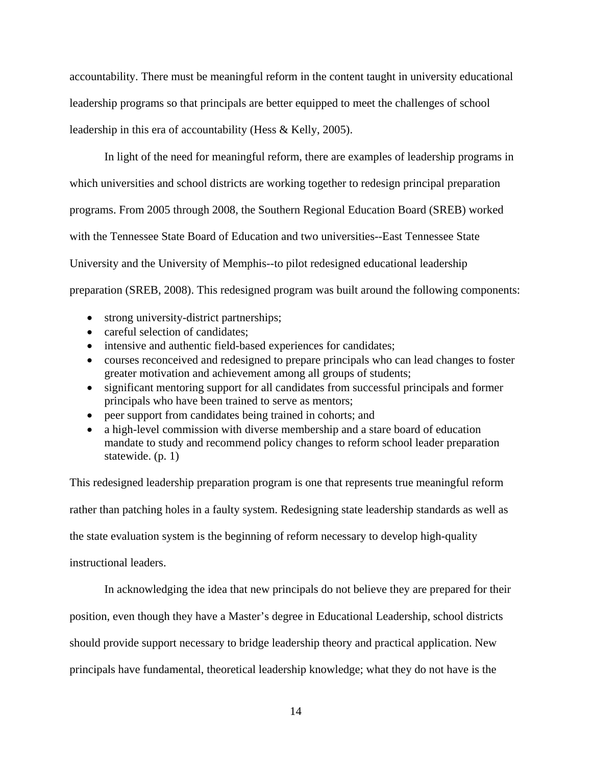accountability. There must be meaningful reform in the content taught in university educational leadership programs so that principals are better equipped to meet the challenges of school leadership in this era of accountability (Hess & Kelly, 2005).

In light of the need for meaningful reform, there are examples of leadership programs in which universities and school districts are working together to redesign principal preparation programs. From 2005 through 2008, the Southern Regional Education Board (SREB) worked with the Tennessee State Board of Education and two universities--East Tennessee State University and the University of Memphis--to pilot redesigned educational leadership preparation (SREB, 2008). This redesigned program was built around the following components:

- strong university-district partnerships;
- careful selection of candidates;
- intensive and authentic field-based experiences for candidates;
- courses reconceived and redesigned to prepare principals who can lead changes to foster greater motivation and achievement among all groups of students;
- significant mentoring support for all candidates from successful principals and former principals who have been trained to serve as mentors;
- peer support from candidates being trained in cohorts; and
- a high-level commission with diverse membership and a stare board of education mandate to study and recommend policy changes to reform school leader preparation statewide. (p. 1)

This redesigned leadership preparation program is one that represents true meaningful reform rather than patching holes in a faulty system. Redesigning state leadership standards as well as the state evaluation system is the beginning of reform necessary to develop high-quality instructional leaders.

In acknowledging the idea that new principals do not believe they are prepared for their

position, even though they have a Master's degree in Educational Leadership, school districts

should provide support necessary to bridge leadership theory and practical application. New

principals have fundamental, theoretical leadership knowledge; what they do not have is the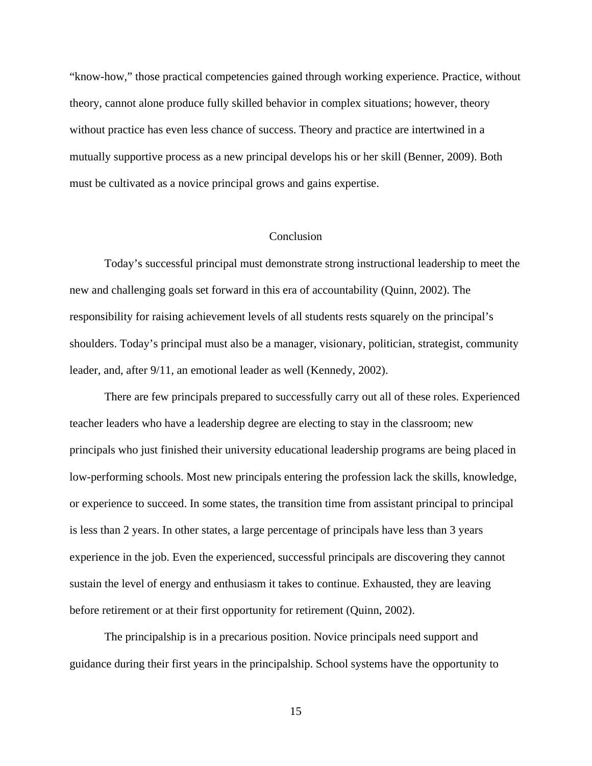"know-how," those practical competencies gained through working experience. Practice, without theory, cannot alone produce fully skilled behavior in complex situations; however, theory without practice has even less chance of success. Theory and practice are intertwined in a mutually supportive process as a new principal develops his or her skill (Benner, 2009). Both must be cultivated as a novice principal grows and gains expertise.

## Conclusion

Today's successful principal must demonstrate strong instructional leadership to meet the new and challenging goals set forward in this era of accountability (Quinn, 2002). The responsibility for raising achievement levels of all students rests squarely on the principal's shoulders. Today's principal must also be a manager, visionary, politician, strategist, community leader, and, after 9/11, an emotional leader as well (Kennedy, 2002).

 There are few principals prepared to successfully carry out all of these roles. Experienced teacher leaders who have a leadership degree are electing to stay in the classroom; new principals who just finished their university educational leadership programs are being placed in low-performing schools. Most new principals entering the profession lack the skills, knowledge, or experience to succeed. In some states, the transition time from assistant principal to principal is less than 2 years. In other states, a large percentage of principals have less than 3 years experience in the job. Even the experienced, successful principals are discovering they cannot sustain the level of energy and enthusiasm it takes to continue. Exhausted, they are leaving before retirement or at their first opportunity for retirement (Quinn, 2002).

 The principalship is in a precarious position. Novice principals need support and guidance during their first years in the principalship. School systems have the opportunity to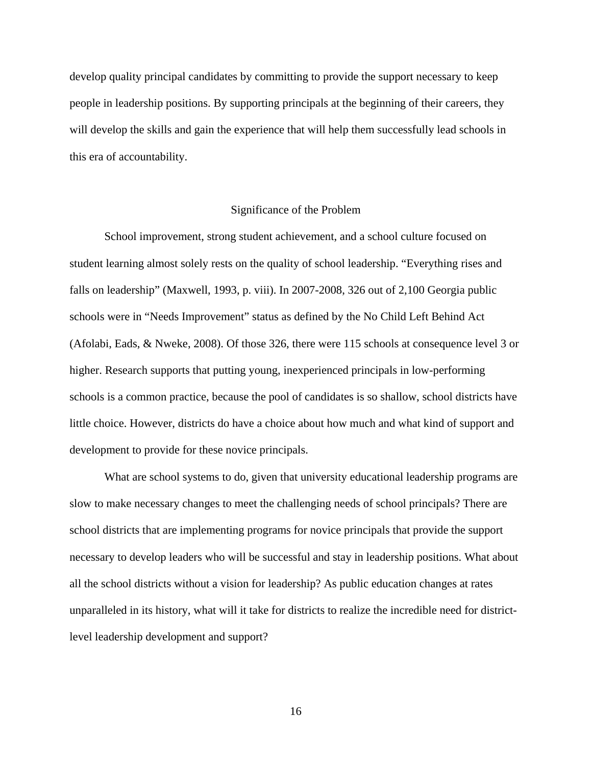develop quality principal candidates by committing to provide the support necessary to keep people in leadership positions. By supporting principals at the beginning of their careers, they will develop the skills and gain the experience that will help them successfully lead schools in this era of accountability.

## Significance of the Problem

 School improvement, strong student achievement, and a school culture focused on student learning almost solely rests on the quality of school leadership. "Everything rises and falls on leadership" (Maxwell, 1993, p. viii). In 2007-2008, 326 out of 2,100 Georgia public schools were in "Needs Improvement" status as defined by the No Child Left Behind Act (Afolabi, Eads, & Nweke, 2008). Of those 326, there were 115 schools at consequence level 3 or higher. Research supports that putting young, inexperienced principals in low-performing schools is a common practice, because the pool of candidates is so shallow, school districts have little choice. However, districts do have a choice about how much and what kind of support and development to provide for these novice principals.

What are school systems to do, given that university educational leadership programs are slow to make necessary changes to meet the challenging needs of school principals? There are school districts that are implementing programs for novice principals that provide the support necessary to develop leaders who will be successful and stay in leadership positions. What about all the school districts without a vision for leadership? As public education changes at rates unparalleled in its history, what will it take for districts to realize the incredible need for districtlevel leadership development and support?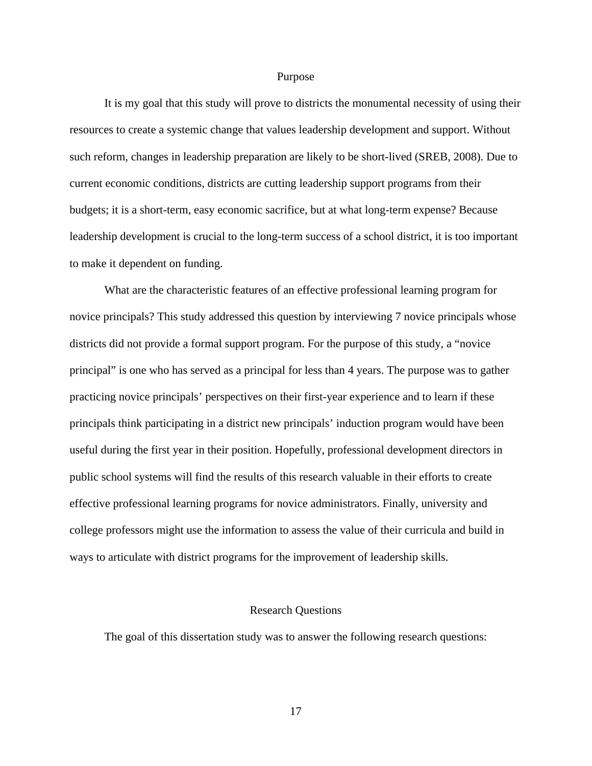#### Purpose

It is my goal that this study will prove to districts the monumental necessity of using their resources to create a systemic change that values leadership development and support. Without such reform, changes in leadership preparation are likely to be short-lived (SREB, 2008). Due to current economic conditions, districts are cutting leadership support programs from their budgets; it is a short-term, easy economic sacrifice, but at what long-term expense? Because leadership development is crucial to the long-term success of a school district, it is too important to make it dependent on funding.

What are the characteristic features of an effective professional learning program for novice principals? This study addressed this question by interviewing 7 novice principals whose districts did not provide a formal support program. For the purpose of this study, a "novice principal" is one who has served as a principal for less than 4 years. The purpose was to gather practicing novice principals' perspectives on their first-year experience and to learn if these principals think participating in a district new principals' induction program would have been useful during the first year in their position. Hopefully, professional development directors in public school systems will find the results of this research valuable in their efforts to create effective professional learning programs for novice administrators. Finally, university and college professors might use the information to assess the value of their curricula and build in ways to articulate with district programs for the improvement of leadership skills.

## Research Questions

The goal of this dissertation study was to answer the following research questions: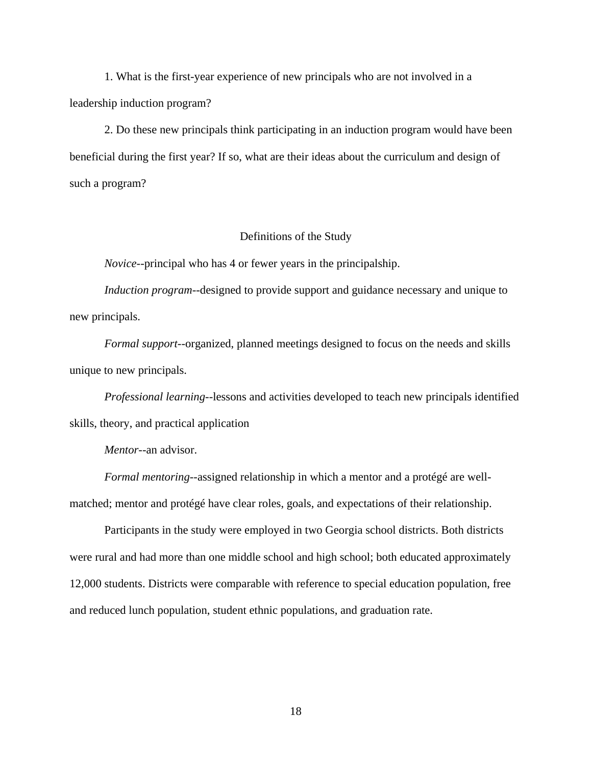1. What is the first-year experience of new principals who are not involved in a leadership induction program?

2. Do these new principals think participating in an induction program would have been beneficial during the first year? If so, what are their ideas about the curriculum and design of such a program?

## Definitions of the Study

*Novice*--principal who has 4 or fewer years in the principalship.

*Induction program*--designed to provide support and guidance necessary and unique to new principals.

*Formal support*--organized, planned meetings designed to focus on the needs and skills unique to new principals.

*Professional learning*--lessons and activities developed to teach new principals identified skills, theory, and practical application

*Mentor*--an advisor.

*Formal mentoring*--assigned relationship in which a mentor and a protégé are wellmatched; mentor and protégé have clear roles, goals, and expectations of their relationship.

 Participants in the study were employed in two Georgia school districts. Both districts were rural and had more than one middle school and high school; both educated approximately 12,000 students. Districts were comparable with reference to special education population, free and reduced lunch population, student ethnic populations, and graduation rate.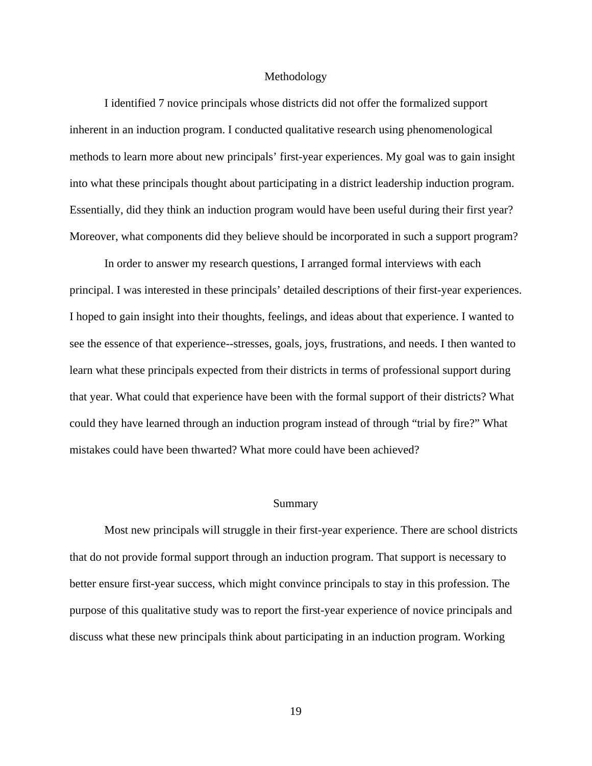#### Methodology

 I identified 7 novice principals whose districts did not offer the formalized support inherent in an induction program. I conducted qualitative research using phenomenological methods to learn more about new principals' first-year experiences. My goal was to gain insight into what these principals thought about participating in a district leadership induction program. Essentially, did they think an induction program would have been useful during their first year? Moreover, what components did they believe should be incorporated in such a support program?

In order to answer my research questions, I arranged formal interviews with each principal. I was interested in these principals' detailed descriptions of their first-year experiences. I hoped to gain insight into their thoughts, feelings, and ideas about that experience. I wanted to see the essence of that experience--stresses, goals, joys, frustrations, and needs. I then wanted to learn what these principals expected from their districts in terms of professional support during that year. What could that experience have been with the formal support of their districts? What could they have learned through an induction program instead of through "trial by fire?" What mistakes could have been thwarted? What more could have been achieved?

## Summary

Most new principals will struggle in their first-year experience. There are school districts that do not provide formal support through an induction program. That support is necessary to better ensure first-year success, which might convince principals to stay in this profession. The purpose of this qualitative study was to report the first-year experience of novice principals and discuss what these new principals think about participating in an induction program. Working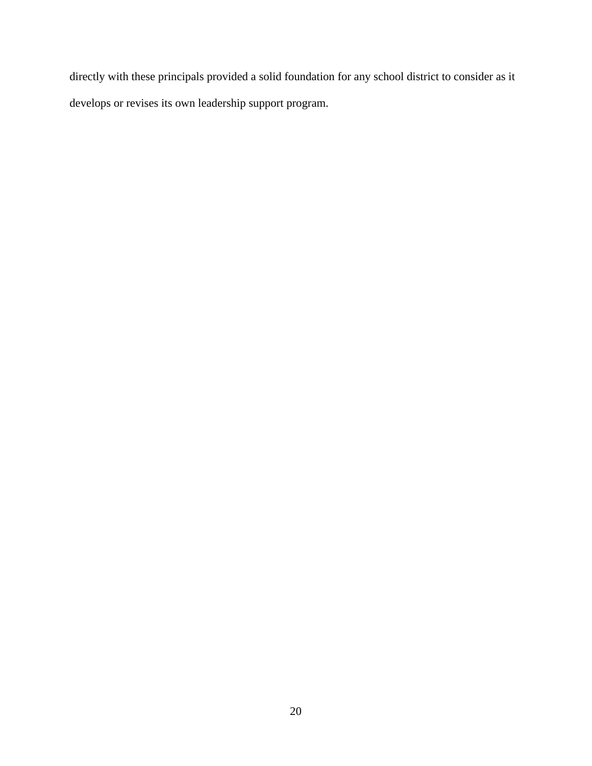directly with these principals provided a solid foundation for any school district to consider as it develops or revises its own leadership support program.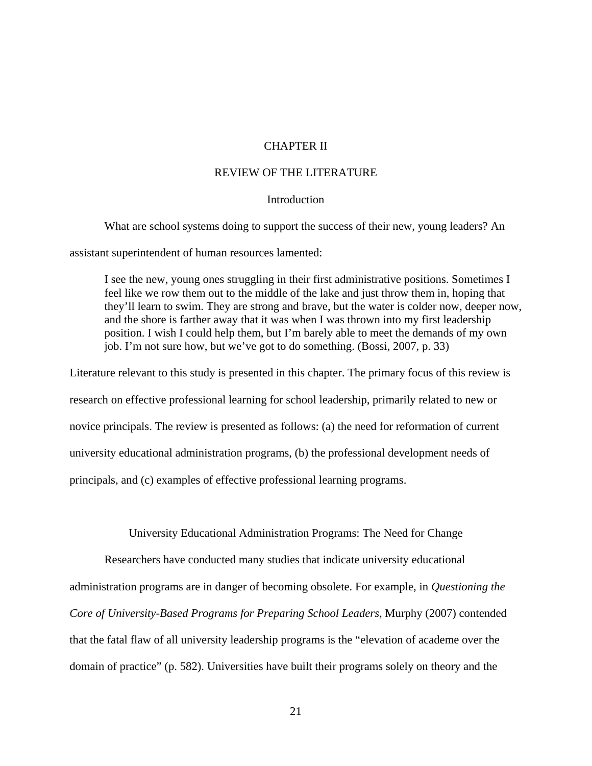# CHAPTER II

# REVIEW OF THE LITERATURE

# **Introduction**

What are school systems doing to support the success of their new, young leaders? An

assistant superintendent of human resources lamented:

I see the new, young ones struggling in their first administrative positions. Sometimes I feel like we row them out to the middle of the lake and just throw them in, hoping that they'll learn to swim. They are strong and brave, but the water is colder now, deeper now, and the shore is farther away that it was when I was thrown into my first leadership position. I wish I could help them, but I'm barely able to meet the demands of my own job. I'm not sure how, but we've got to do something. (Bossi, 2007, p. 33)

Literature relevant to this study is presented in this chapter. The primary focus of this review is research on effective professional learning for school leadership, primarily related to new or novice principals. The review is presented as follows: (a) the need for reformation of current university educational administration programs, (b) the professional development needs of principals, and (c) examples of effective professional learning programs.

University Educational Administration Programs: The Need for Change

 Researchers have conducted many studies that indicate university educational administration programs are in danger of becoming obsolete. For example, in *Questioning the Core of University-Based Programs for Preparing School Leaders*, Murphy (2007) contended that the fatal flaw of all university leadership programs is the "elevation of academe over the domain of practice" (p. 582). Universities have built their programs solely on theory and the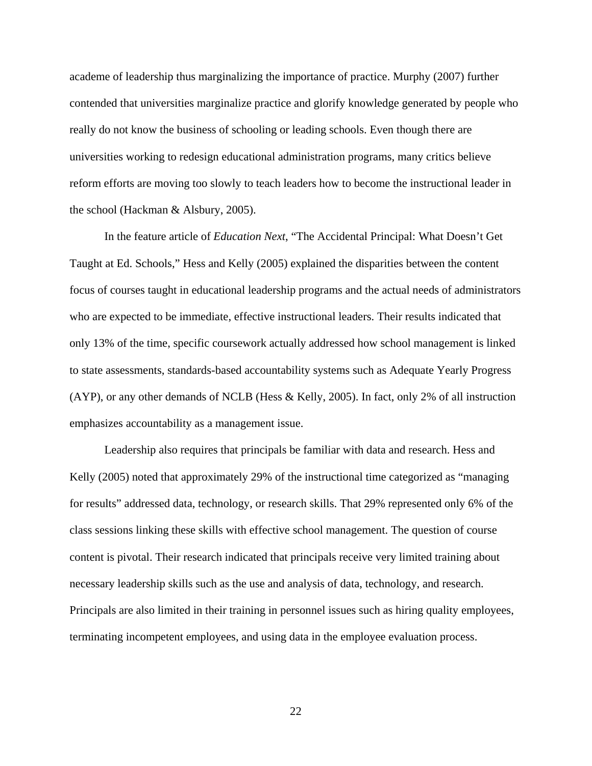academe of leadership thus marginalizing the importance of practice. Murphy (2007) further contended that universities marginalize practice and glorify knowledge generated by people who really do not know the business of schooling or leading schools. Even though there are universities working to redesign educational administration programs, many critics believe reform efforts are moving too slowly to teach leaders how to become the instructional leader in the school (Hackman & Alsbury, 2005).

 In the feature article of *Education Next*, "The Accidental Principal: What Doesn't Get Taught at Ed. Schools," Hess and Kelly (2005) explained the disparities between the content focus of courses taught in educational leadership programs and the actual needs of administrators who are expected to be immediate, effective instructional leaders. Their results indicated that only 13% of the time, specific coursework actually addressed how school management is linked to state assessments, standards-based accountability systems such as Adequate Yearly Progress (AYP), or any other demands of NCLB (Hess & Kelly, 2005). In fact, only 2% of all instruction emphasizes accountability as a management issue.

 Leadership also requires that principals be familiar with data and research. Hess and Kelly (2005) noted that approximately 29% of the instructional time categorized as "managing for results" addressed data, technology, or research skills. That 29% represented only 6% of the class sessions linking these skills with effective school management. The question of course content is pivotal. Their research indicated that principals receive very limited training about necessary leadership skills such as the use and analysis of data, technology, and research. Principals are also limited in their training in personnel issues such as hiring quality employees, terminating incompetent employees, and using data in the employee evaluation process.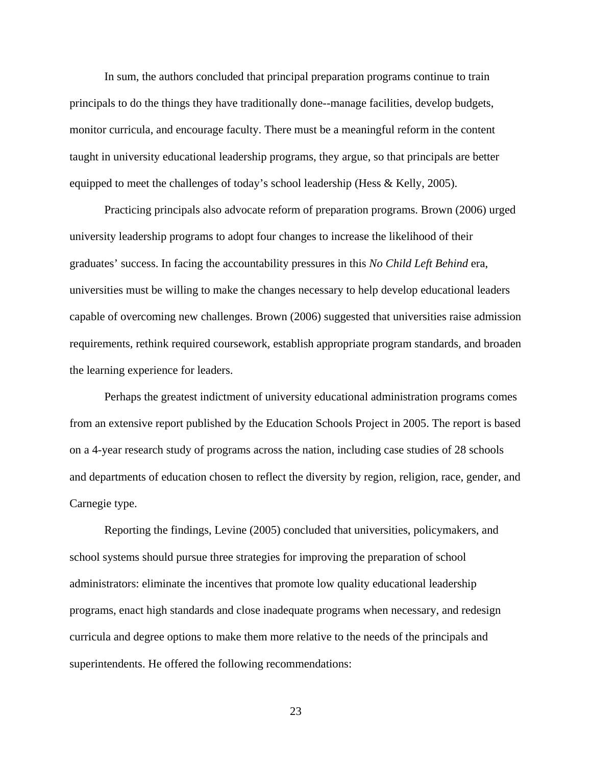In sum, the authors concluded that principal preparation programs continue to train principals to do the things they have traditionally done--manage facilities, develop budgets, monitor curricula, and encourage faculty. There must be a meaningful reform in the content taught in university educational leadership programs, they argue, so that principals are better equipped to meet the challenges of today's school leadership (Hess & Kelly, 2005).

 Practicing principals also advocate reform of preparation programs. Brown (2006) urged university leadership programs to adopt four changes to increase the likelihood of their graduates' success. In facing the accountability pressures in this *No Child Left Behind* era, universities must be willing to make the changes necessary to help develop educational leaders capable of overcoming new challenges. Brown (2006) suggested that universities raise admission requirements, rethink required coursework, establish appropriate program standards, and broaden the learning experience for leaders.

 Perhaps the greatest indictment of university educational administration programs comes from an extensive report published by the Education Schools Project in 2005. The report is based on a 4-year research study of programs across the nation, including case studies of 28 schools and departments of education chosen to reflect the diversity by region, religion, race, gender, and Carnegie type.

 Reporting the findings, Levine (2005) concluded that universities, policymakers, and school systems should pursue three strategies for improving the preparation of school administrators: eliminate the incentives that promote low quality educational leadership programs, enact high standards and close inadequate programs when necessary, and redesign curricula and degree options to make them more relative to the needs of the principals and superintendents. He offered the following recommendations: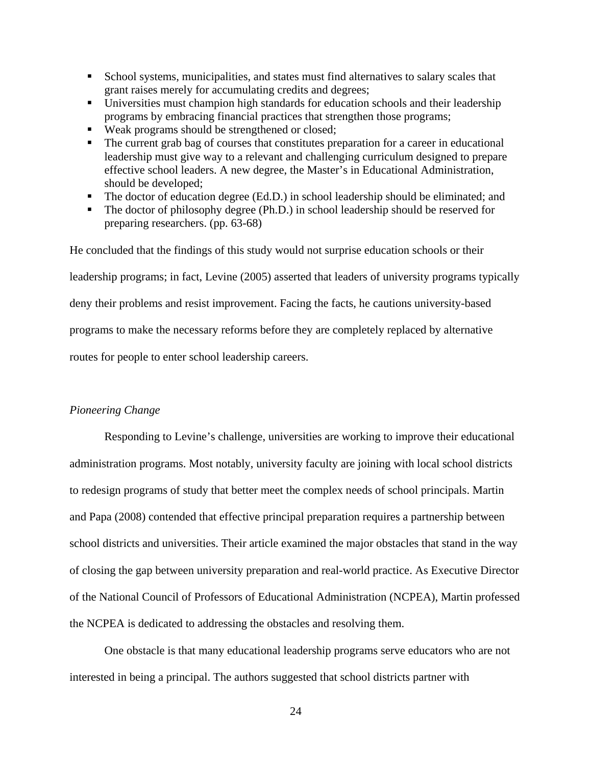- **School systems, municipalities, and states must find alternatives to salary scales that** grant raises merely for accumulating credits and degrees;
- Universities must champion high standards for education schools and their leadership programs by embracing financial practices that strengthen those programs;
- Weak programs should be strengthened or closed;
- The current grab bag of courses that constitutes preparation for a career in educational leadership must give way to a relevant and challenging curriculum designed to prepare effective school leaders. A new degree, the Master's in Educational Administration, should be developed;
- The doctor of education degree (Ed.D.) in school leadership should be eliminated; and
- The doctor of philosophy degree (Ph.D.) in school leadership should be reserved for preparing researchers. (pp. 63-68)

He concluded that the findings of this study would not surprise education schools or their leadership programs; in fact, Levine (2005) asserted that leaders of university programs typically deny their problems and resist improvement. Facing the facts, he cautions university-based programs to make the necessary reforms before they are completely replaced by alternative routes for people to enter school leadership careers.

## *Pioneering Change*

Responding to Levine's challenge, universities are working to improve their educational administration programs. Most notably, university faculty are joining with local school districts to redesign programs of study that better meet the complex needs of school principals. Martin and Papa (2008) contended that effective principal preparation requires a partnership between school districts and universities. Their article examined the major obstacles that stand in the way of closing the gap between university preparation and real-world practice. As Executive Director of the National Council of Professors of Educational Administration (NCPEA), Martin professed the NCPEA is dedicated to addressing the obstacles and resolving them.

One obstacle is that many educational leadership programs serve educators who are not interested in being a principal. The authors suggested that school districts partner with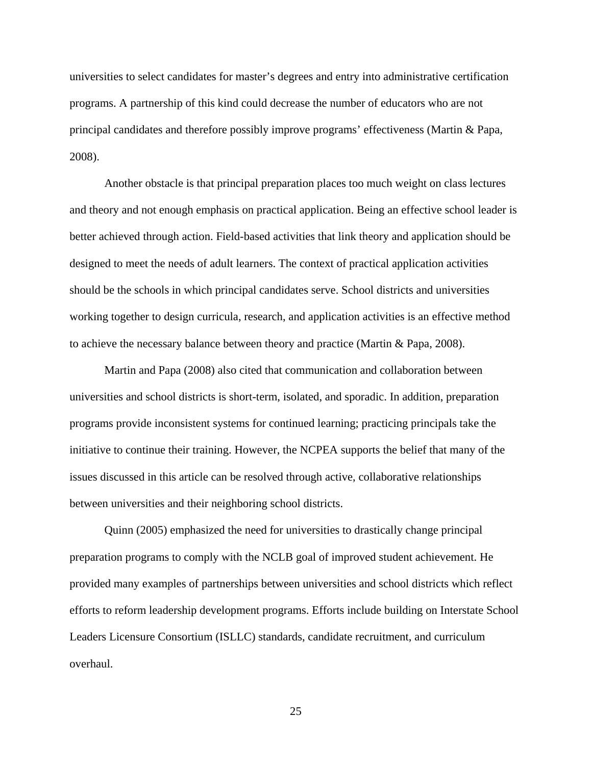universities to select candidates for master's degrees and entry into administrative certification programs. A partnership of this kind could decrease the number of educators who are not principal candidates and therefore possibly improve programs' effectiveness (Martin & Papa, 2008).

Another obstacle is that principal preparation places too much weight on class lectures and theory and not enough emphasis on practical application. Being an effective school leader is better achieved through action. Field-based activities that link theory and application should be designed to meet the needs of adult learners. The context of practical application activities should be the schools in which principal candidates serve. School districts and universities working together to design curricula, research, and application activities is an effective method to achieve the necessary balance between theory and practice (Martin & Papa, 2008).

Martin and Papa (2008) also cited that communication and collaboration between universities and school districts is short-term, isolated, and sporadic. In addition, preparation programs provide inconsistent systems for continued learning; practicing principals take the initiative to continue their training. However, the NCPEA supports the belief that many of the issues discussed in this article can be resolved through active, collaborative relationships between universities and their neighboring school districts.

 Quinn (2005) emphasized the need for universities to drastically change principal preparation programs to comply with the NCLB goal of improved student achievement. He provided many examples of partnerships between universities and school districts which reflect efforts to reform leadership development programs. Efforts include building on Interstate School Leaders Licensure Consortium (ISLLC) standards, candidate recruitment, and curriculum overhaul.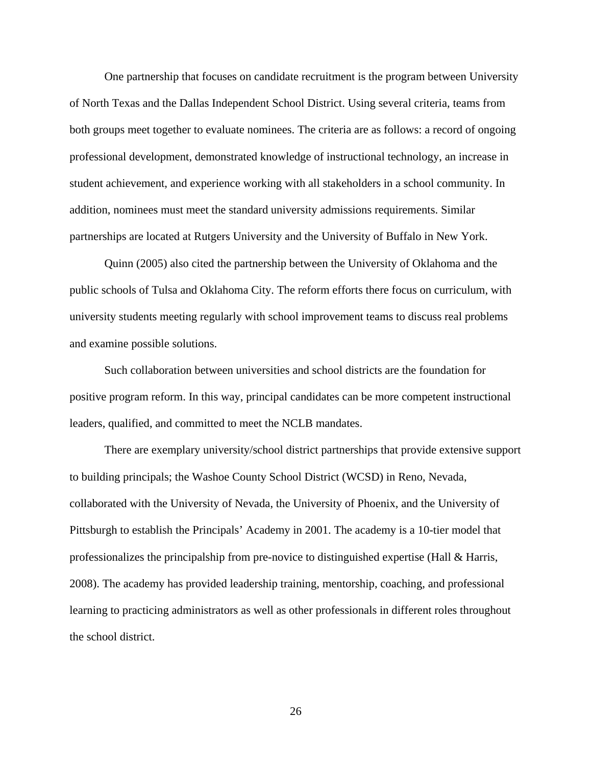One partnership that focuses on candidate recruitment is the program between University of North Texas and the Dallas Independent School District. Using several criteria, teams from both groups meet together to evaluate nominees. The criteria are as follows: a record of ongoing professional development, demonstrated knowledge of instructional technology, an increase in student achievement, and experience working with all stakeholders in a school community. In addition, nominees must meet the standard university admissions requirements. Similar partnerships are located at Rutgers University and the University of Buffalo in New York.

 Quinn (2005) also cited the partnership between the University of Oklahoma and the public schools of Tulsa and Oklahoma City. The reform efforts there focus on curriculum, with university students meeting regularly with school improvement teams to discuss real problems and examine possible solutions.

 Such collaboration between universities and school districts are the foundation for positive program reform. In this way, principal candidates can be more competent instructional leaders, qualified, and committed to meet the NCLB mandates.

 There are exemplary university/school district partnerships that provide extensive support to building principals; the Washoe County School District (WCSD) in Reno, Nevada, collaborated with the University of Nevada, the University of Phoenix, and the University of Pittsburgh to establish the Principals' Academy in 2001. The academy is a 10-tier model that professionalizes the principalship from pre-novice to distinguished expertise (Hall & Harris, 2008). The academy has provided leadership training, mentorship, coaching, and professional learning to practicing administrators as well as other professionals in different roles throughout the school district.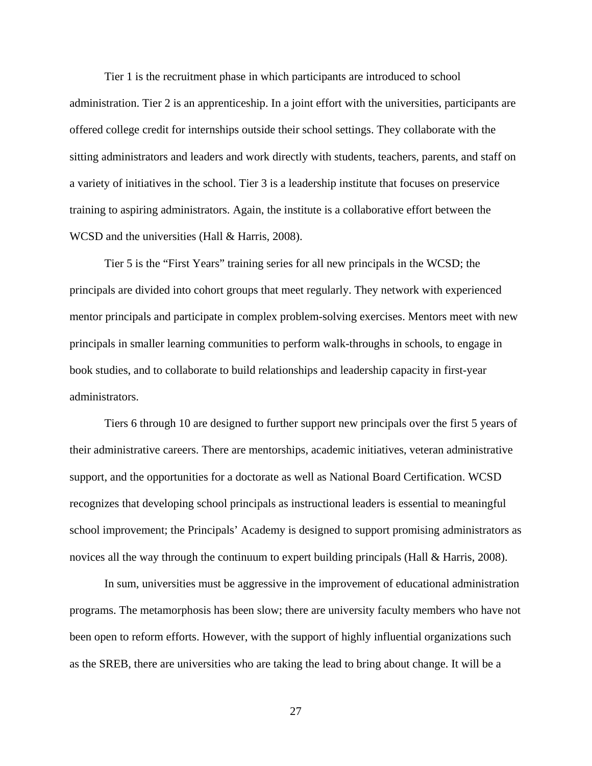Tier 1 is the recruitment phase in which participants are introduced to school administration. Tier 2 is an apprenticeship. In a joint effort with the universities, participants are offered college credit for internships outside their school settings. They collaborate with the sitting administrators and leaders and work directly with students, teachers, parents, and staff on a variety of initiatives in the school. Tier 3 is a leadership institute that focuses on preservice training to aspiring administrators. Again, the institute is a collaborative effort between the WCSD and the universities (Hall & Harris, 2008).

 Tier 5 is the "First Years" training series for all new principals in the WCSD; the principals are divided into cohort groups that meet regularly. They network with experienced mentor principals and participate in complex problem-solving exercises. Mentors meet with new principals in smaller learning communities to perform walk-throughs in schools, to engage in book studies, and to collaborate to build relationships and leadership capacity in first-year administrators.

 Tiers 6 through 10 are designed to further support new principals over the first 5 years of their administrative careers. There are mentorships, academic initiatives, veteran administrative support, and the opportunities for a doctorate as well as National Board Certification. WCSD recognizes that developing school principals as instructional leaders is essential to meaningful school improvement; the Principals' Academy is designed to support promising administrators as novices all the way through the continuum to expert building principals (Hall & Harris, 2008).

 In sum, universities must be aggressive in the improvement of educational administration programs. The metamorphosis has been slow; there are university faculty members who have not been open to reform efforts. However, with the support of highly influential organizations such as the SREB, there are universities who are taking the lead to bring about change. It will be a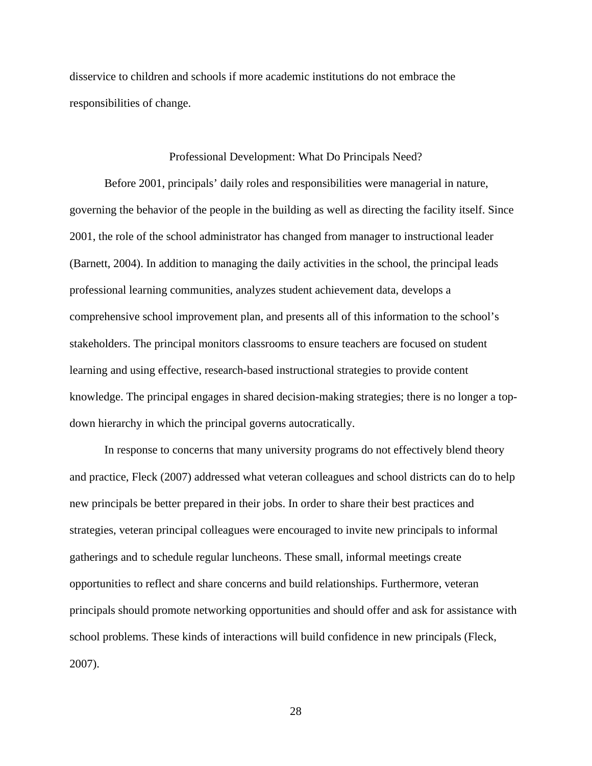disservice to children and schools if more academic institutions do not embrace the responsibilities of change.

### Professional Development: What Do Principals Need?

Before 2001, principals' daily roles and responsibilities were managerial in nature, governing the behavior of the people in the building as well as directing the facility itself. Since 2001, the role of the school administrator has changed from manager to instructional leader (Barnett, 2004). In addition to managing the daily activities in the school, the principal leads professional learning communities, analyzes student achievement data, develops a comprehensive school improvement plan, and presents all of this information to the school's stakeholders. The principal monitors classrooms to ensure teachers are focused on student learning and using effective, research-based instructional strategies to provide content knowledge. The principal engages in shared decision-making strategies; there is no longer a topdown hierarchy in which the principal governs autocratically.

In response to concerns that many university programs do not effectively blend theory and practice, Fleck (2007) addressed what veteran colleagues and school districts can do to help new principals be better prepared in their jobs. In order to share their best practices and strategies, veteran principal colleagues were encouraged to invite new principals to informal gatherings and to schedule regular luncheons. These small, informal meetings create opportunities to reflect and share concerns and build relationships. Furthermore, veteran principals should promote networking opportunities and should offer and ask for assistance with school problems. These kinds of interactions will build confidence in new principals (Fleck, 2007).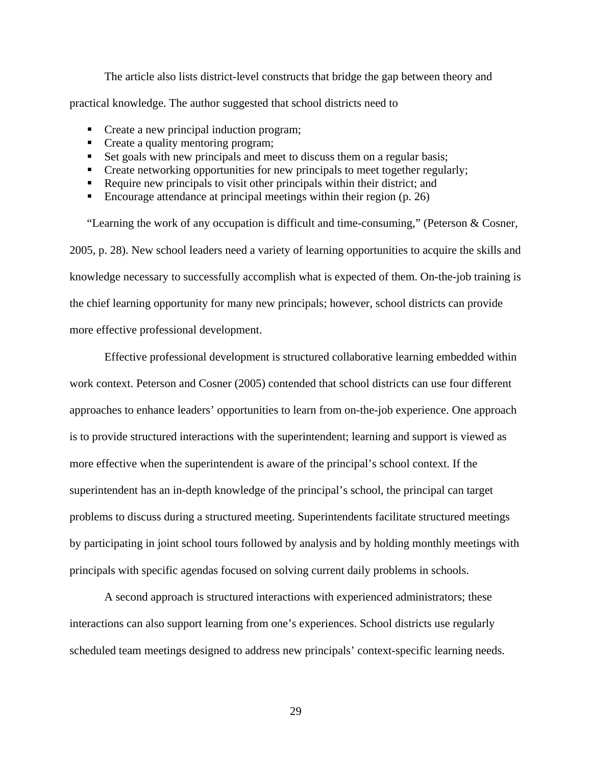The article also lists district-level constructs that bridge the gap between theory and practical knowledge. The author suggested that school districts need to

- Create a new principal induction program;
- Create a quality mentoring program;
- Set goals with new principals and meet to discuss them on a regular basis;
- **•** Create networking opportunities for new principals to meet together regularly;
- Require new principals to visit other principals within their district; and
- Encourage attendance at principal meetings within their region  $(p, 26)$

"Learning the work of any occupation is difficult and time-consuming," (Peterson & Cosner, 2005, p. 28). New school leaders need a variety of learning opportunities to acquire the skills and knowledge necessary to successfully accomplish what is expected of them. On-the-job training is the chief learning opportunity for many new principals; however, school districts can provide more effective professional development.

 Effective professional development is structured collaborative learning embedded within work context. Peterson and Cosner (2005) contended that school districts can use four different approaches to enhance leaders' opportunities to learn from on-the-job experience. One approach is to provide structured interactions with the superintendent; learning and support is viewed as more effective when the superintendent is aware of the principal's school context. If the superintendent has an in-depth knowledge of the principal's school, the principal can target problems to discuss during a structured meeting. Superintendents facilitate structured meetings by participating in joint school tours followed by analysis and by holding monthly meetings with principals with specific agendas focused on solving current daily problems in schools.

 A second approach is structured interactions with experienced administrators; these interactions can also support learning from one's experiences. School districts use regularly scheduled team meetings designed to address new principals' context-specific learning needs.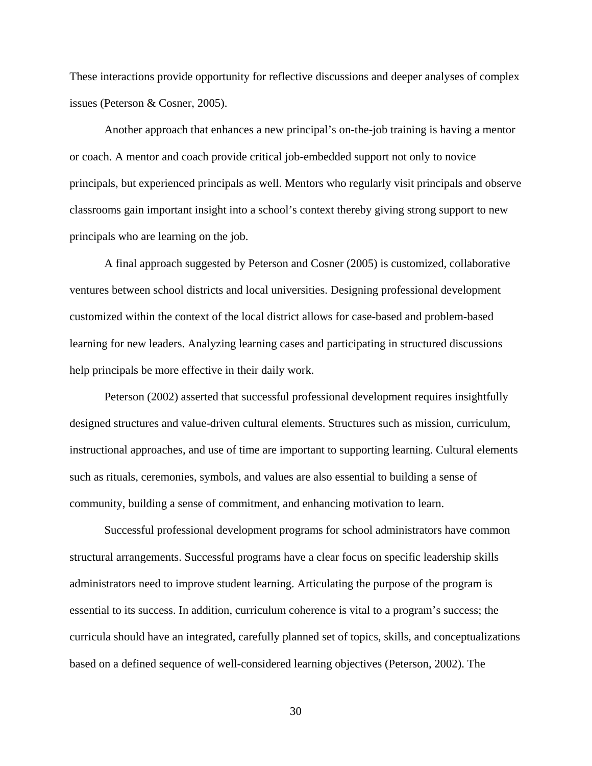These interactions provide opportunity for reflective discussions and deeper analyses of complex issues (Peterson & Cosner, 2005).

 Another approach that enhances a new principal's on-the-job training is having a mentor or coach. A mentor and coach provide critical job-embedded support not only to novice principals, but experienced principals as well. Mentors who regularly visit principals and observe classrooms gain important insight into a school's context thereby giving strong support to new principals who are learning on the job.

 A final approach suggested by Peterson and Cosner (2005) is customized, collaborative ventures between school districts and local universities. Designing professional development customized within the context of the local district allows for case-based and problem-based learning for new leaders. Analyzing learning cases and participating in structured discussions help principals be more effective in their daily work.

 Peterson (2002) asserted that successful professional development requires insightfully designed structures and value-driven cultural elements. Structures such as mission, curriculum, instructional approaches, and use of time are important to supporting learning. Cultural elements such as rituals, ceremonies, symbols, and values are also essential to building a sense of community, building a sense of commitment, and enhancing motivation to learn.

 Successful professional development programs for school administrators have common structural arrangements. Successful programs have a clear focus on specific leadership skills administrators need to improve student learning. Articulating the purpose of the program is essential to its success. In addition, curriculum coherence is vital to a program's success; the curricula should have an integrated, carefully planned set of topics, skills, and conceptualizations based on a defined sequence of well-considered learning objectives (Peterson, 2002). The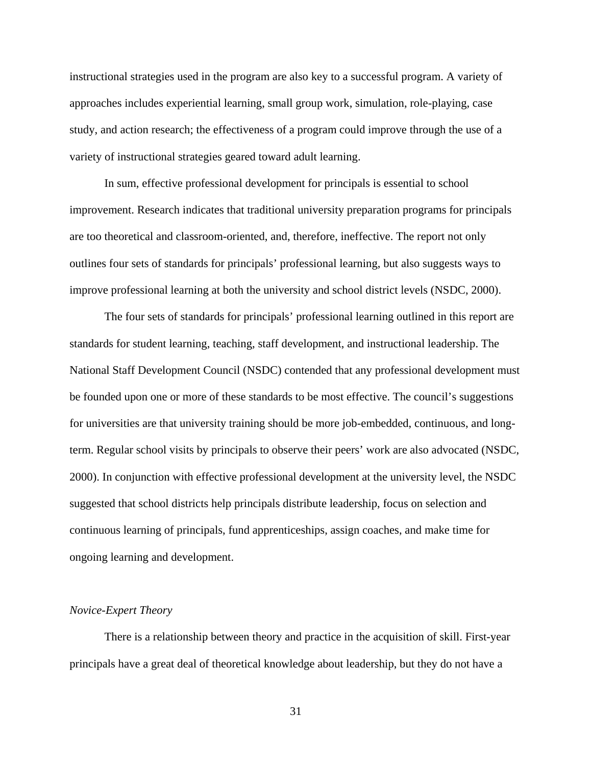instructional strategies used in the program are also key to a successful program. A variety of approaches includes experiential learning, small group work, simulation, role-playing, case study, and action research; the effectiveness of a program could improve through the use of a variety of instructional strategies geared toward adult learning.

 In sum, effective professional development for principals is essential to school improvement. Research indicates that traditional university preparation programs for principals are too theoretical and classroom-oriented, and, therefore, ineffective. The report not only outlines four sets of standards for principals' professional learning, but also suggests ways to improve professional learning at both the university and school district levels (NSDC, 2000).

 The four sets of standards for principals' professional learning outlined in this report are standards for student learning, teaching, staff development, and instructional leadership. The National Staff Development Council (NSDC) contended that any professional development must be founded upon one or more of these standards to be most effective. The council's suggestions for universities are that university training should be more job-embedded, continuous, and longterm. Regular school visits by principals to observe their peers' work are also advocated (NSDC, 2000). In conjunction with effective professional development at the university level, the NSDC suggested that school districts help principals distribute leadership, focus on selection and continuous learning of principals, fund apprenticeships, assign coaches, and make time for ongoing learning and development.

#### *Novice-Expert Theory*

 There is a relationship between theory and practice in the acquisition of skill. First-year principals have a great deal of theoretical knowledge about leadership, but they do not have a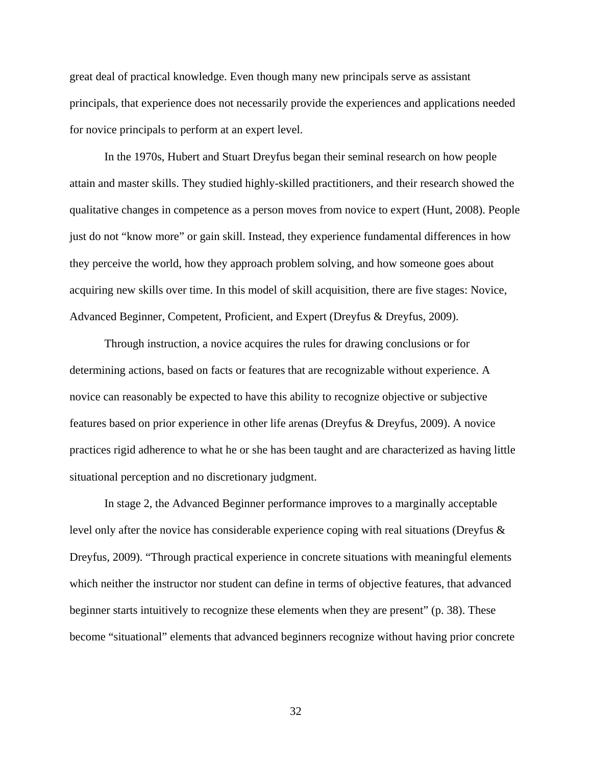great deal of practical knowledge. Even though many new principals serve as assistant principals, that experience does not necessarily provide the experiences and applications needed for novice principals to perform at an expert level.

In the 1970s, Hubert and Stuart Dreyfus began their seminal research on how people attain and master skills. They studied highly-skilled practitioners, and their research showed the qualitative changes in competence as a person moves from novice to expert (Hunt, 2008). People just do not "know more" or gain skill. Instead, they experience fundamental differences in how they perceive the world, how they approach problem solving, and how someone goes about acquiring new skills over time. In this model of skill acquisition, there are five stages: Novice, Advanced Beginner, Competent, Proficient, and Expert (Dreyfus & Dreyfus, 2009).

Through instruction, a novice acquires the rules for drawing conclusions or for determining actions, based on facts or features that are recognizable without experience. A novice can reasonably be expected to have this ability to recognize objective or subjective features based on prior experience in other life arenas (Dreyfus & Dreyfus, 2009). A novice practices rigid adherence to what he or she has been taught and are characterized as having little situational perception and no discretionary judgment.

In stage 2, the Advanced Beginner performance improves to a marginally acceptable level only after the novice has considerable experience coping with real situations (Dreyfus & Dreyfus, 2009). "Through practical experience in concrete situations with meaningful elements which neither the instructor nor student can define in terms of objective features, that advanced beginner starts intuitively to recognize these elements when they are present" (p. 38). These become "situational" elements that advanced beginners recognize without having prior concrete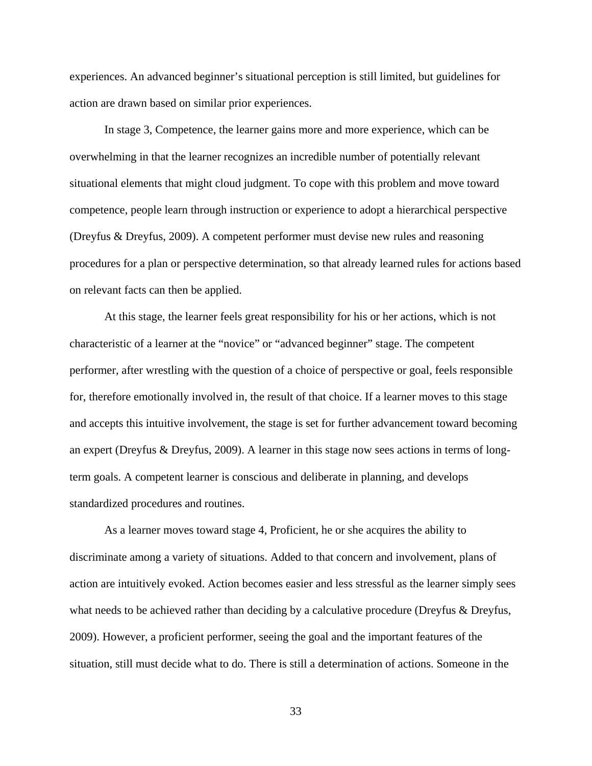experiences. An advanced beginner's situational perception is still limited, but guidelines for action are drawn based on similar prior experiences.

In stage 3, Competence, the learner gains more and more experience, which can be overwhelming in that the learner recognizes an incredible number of potentially relevant situational elements that might cloud judgment. To cope with this problem and move toward competence, people learn through instruction or experience to adopt a hierarchical perspective (Dreyfus & Dreyfus, 2009). A competent performer must devise new rules and reasoning procedures for a plan or perspective determination, so that already learned rules for actions based on relevant facts can then be applied.

At this stage, the learner feels great responsibility for his or her actions, which is not characteristic of a learner at the "novice" or "advanced beginner" stage. The competent performer, after wrestling with the question of a choice of perspective or goal, feels responsible for, therefore emotionally involved in, the result of that choice. If a learner moves to this stage and accepts this intuitive involvement, the stage is set for further advancement toward becoming an expert (Dreyfus & Dreyfus, 2009). A learner in this stage now sees actions in terms of longterm goals. A competent learner is conscious and deliberate in planning, and develops standardized procedures and routines.

As a learner moves toward stage 4, Proficient, he or she acquires the ability to discriminate among a variety of situations. Added to that concern and involvement, plans of action are intuitively evoked. Action becomes easier and less stressful as the learner simply sees what needs to be achieved rather than deciding by a calculative procedure (Dreyfus & Dreyfus, 2009). However, a proficient performer, seeing the goal and the important features of the situation, still must decide what to do. There is still a determination of actions. Someone in the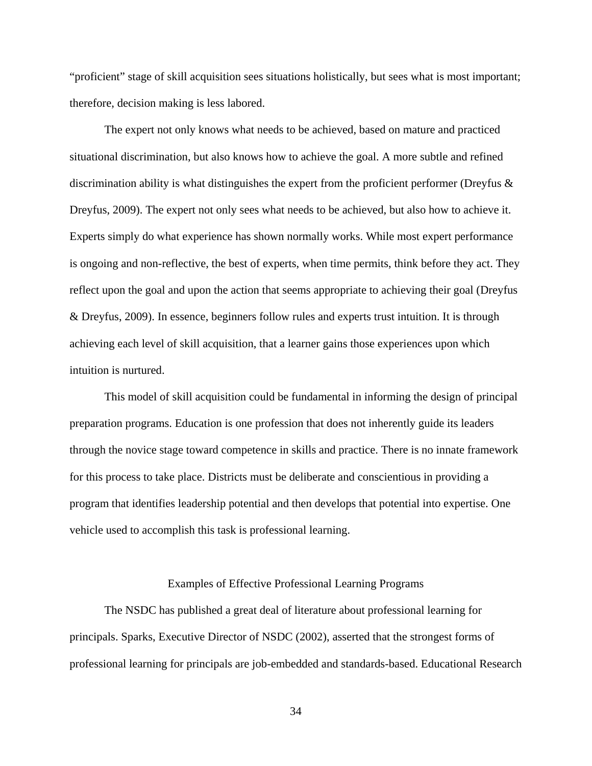"proficient" stage of skill acquisition sees situations holistically, but sees what is most important; therefore, decision making is less labored.

The expert not only knows what needs to be achieved, based on mature and practiced situational discrimination, but also knows how to achieve the goal. A more subtle and refined discrimination ability is what distinguishes the expert from the proficient performer (Dreyfus & Dreyfus, 2009). The expert not only sees what needs to be achieved, but also how to achieve it. Experts simply do what experience has shown normally works. While most expert performance is ongoing and non-reflective, the best of experts, when time permits, think before they act. They reflect upon the goal and upon the action that seems appropriate to achieving their goal (Dreyfus & Dreyfus, 2009). In essence, beginners follow rules and experts trust intuition. It is through achieving each level of skill acquisition, that a learner gains those experiences upon which intuition is nurtured.

This model of skill acquisition could be fundamental in informing the design of principal preparation programs. Education is one profession that does not inherently guide its leaders through the novice stage toward competence in skills and practice. There is no innate framework for this process to take place. Districts must be deliberate and conscientious in providing a program that identifies leadership potential and then develops that potential into expertise. One vehicle used to accomplish this task is professional learning.

#### Examples of Effective Professional Learning Programs

The NSDC has published a great deal of literature about professional learning for principals. Sparks, Executive Director of NSDC (2002), asserted that the strongest forms of professional learning for principals are job-embedded and standards-based. Educational Research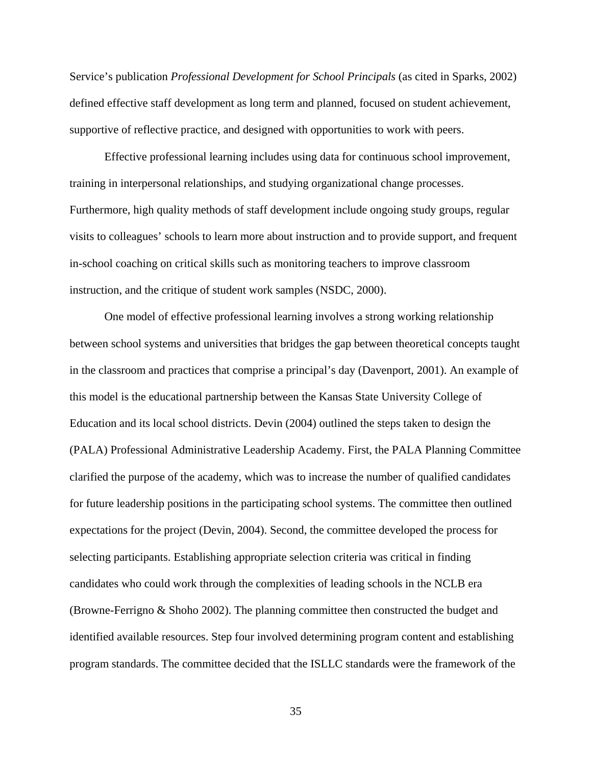Service's publication *Professional Development for School Principals* (as cited in Sparks, 2002) defined effective staff development as long term and planned, focused on student achievement, supportive of reflective practice, and designed with opportunities to work with peers.

Effective professional learning includes using data for continuous school improvement, training in interpersonal relationships, and studying organizational change processes. Furthermore, high quality methods of staff development include ongoing study groups, regular visits to colleagues' schools to learn more about instruction and to provide support, and frequent in-school coaching on critical skills such as monitoring teachers to improve classroom instruction, and the critique of student work samples (NSDC, 2000).

One model of effective professional learning involves a strong working relationship between school systems and universities that bridges the gap between theoretical concepts taught in the classroom and practices that comprise a principal's day (Davenport, 2001). An example of this model is the educational partnership between the Kansas State University College of Education and its local school districts. Devin (2004) outlined the steps taken to design the (PALA) Professional Administrative Leadership Academy. First, the PALA Planning Committee clarified the purpose of the academy, which was to increase the number of qualified candidates for future leadership positions in the participating school systems. The committee then outlined expectations for the project (Devin, 2004). Second, the committee developed the process for selecting participants. Establishing appropriate selection criteria was critical in finding candidates who could work through the complexities of leading schools in the NCLB era (Browne-Ferrigno & Shoho 2002). The planning committee then constructed the budget and identified available resources. Step four involved determining program content and establishing program standards. The committee decided that the ISLLC standards were the framework of the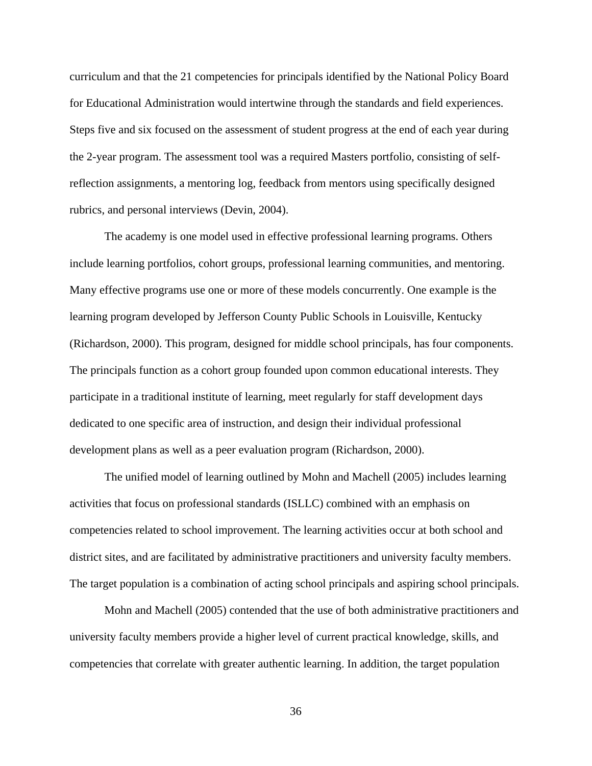curriculum and that the 21 competencies for principals identified by the National Policy Board for Educational Administration would intertwine through the standards and field experiences. Steps five and six focused on the assessment of student progress at the end of each year during the 2-year program. The assessment tool was a required Masters portfolio, consisting of selfreflection assignments, a mentoring log, feedback from mentors using specifically designed rubrics, and personal interviews (Devin, 2004).

The academy is one model used in effective professional learning programs. Others include learning portfolios, cohort groups, professional learning communities, and mentoring. Many effective programs use one or more of these models concurrently. One example is the learning program developed by Jefferson County Public Schools in Louisville, Kentucky (Richardson, 2000). This program, designed for middle school principals, has four components. The principals function as a cohort group founded upon common educational interests. They participate in a traditional institute of learning, meet regularly for staff development days dedicated to one specific area of instruction, and design their individual professional development plans as well as a peer evaluation program (Richardson, 2000).

The unified model of learning outlined by Mohn and Machell (2005) includes learning activities that focus on professional standards (ISLLC) combined with an emphasis on competencies related to school improvement. The learning activities occur at both school and district sites, and are facilitated by administrative practitioners and university faculty members. The target population is a combination of acting school principals and aspiring school principals.

Mohn and Machell (2005) contended that the use of both administrative practitioners and university faculty members provide a higher level of current practical knowledge, skills, and competencies that correlate with greater authentic learning. In addition, the target population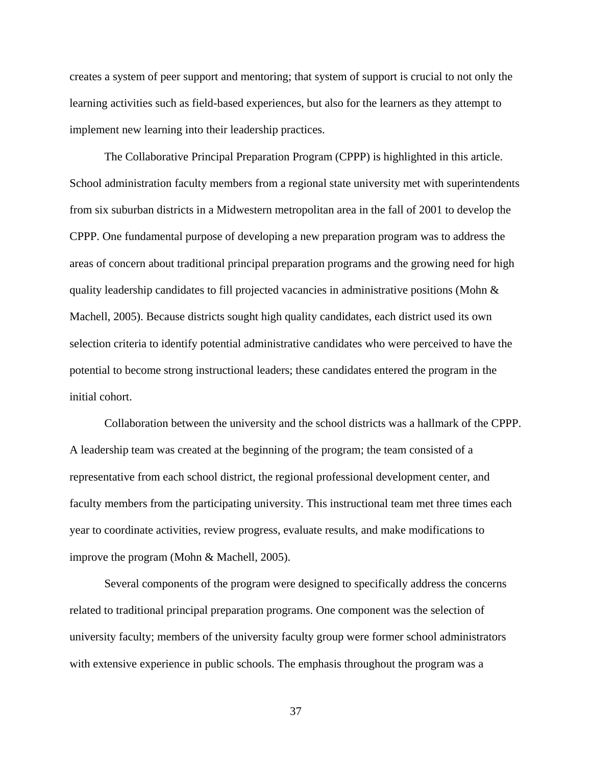creates a system of peer support and mentoring; that system of support is crucial to not only the learning activities such as field-based experiences, but also for the learners as they attempt to implement new learning into their leadership practices.

The Collaborative Principal Preparation Program (CPPP) is highlighted in this article. School administration faculty members from a regional state university met with superintendents from six suburban districts in a Midwestern metropolitan area in the fall of 2001 to develop the CPPP. One fundamental purpose of developing a new preparation program was to address the areas of concern about traditional principal preparation programs and the growing need for high quality leadership candidates to fill projected vacancies in administrative positions (Mohn  $\&$ Machell, 2005). Because districts sought high quality candidates, each district used its own selection criteria to identify potential administrative candidates who were perceived to have the potential to become strong instructional leaders; these candidates entered the program in the initial cohort.

Collaboration between the university and the school districts was a hallmark of the CPPP. A leadership team was created at the beginning of the program; the team consisted of a representative from each school district, the regional professional development center, and faculty members from the participating university. This instructional team met three times each year to coordinate activities, review progress, evaluate results, and make modifications to improve the program (Mohn & Machell, 2005).

Several components of the program were designed to specifically address the concerns related to traditional principal preparation programs. One component was the selection of university faculty; members of the university faculty group were former school administrators with extensive experience in public schools. The emphasis throughout the program was a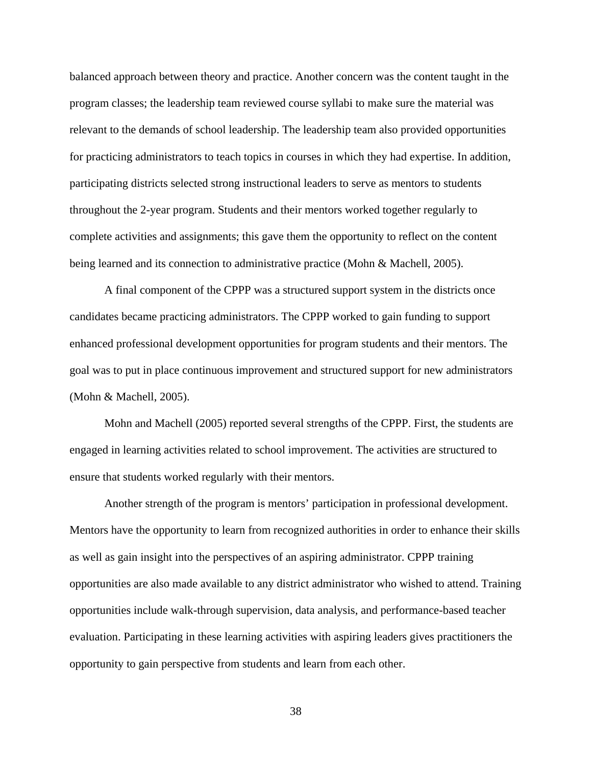balanced approach between theory and practice. Another concern was the content taught in the program classes; the leadership team reviewed course syllabi to make sure the material was relevant to the demands of school leadership. The leadership team also provided opportunities for practicing administrators to teach topics in courses in which they had expertise. In addition, participating districts selected strong instructional leaders to serve as mentors to students throughout the 2-year program. Students and their mentors worked together regularly to complete activities and assignments; this gave them the opportunity to reflect on the content being learned and its connection to administrative practice (Mohn & Machell, 2005).

A final component of the CPPP was a structured support system in the districts once candidates became practicing administrators. The CPPP worked to gain funding to support enhanced professional development opportunities for program students and their mentors. The goal was to put in place continuous improvement and structured support for new administrators (Mohn & Machell, 2005).

Mohn and Machell (2005) reported several strengths of the CPPP. First, the students are engaged in learning activities related to school improvement. The activities are structured to ensure that students worked regularly with their mentors.

Another strength of the program is mentors' participation in professional development. Mentors have the opportunity to learn from recognized authorities in order to enhance their skills as well as gain insight into the perspectives of an aspiring administrator. CPPP training opportunities are also made available to any district administrator who wished to attend. Training opportunities include walk-through supervision, data analysis, and performance-based teacher evaluation. Participating in these learning activities with aspiring leaders gives practitioners the opportunity to gain perspective from students and learn from each other.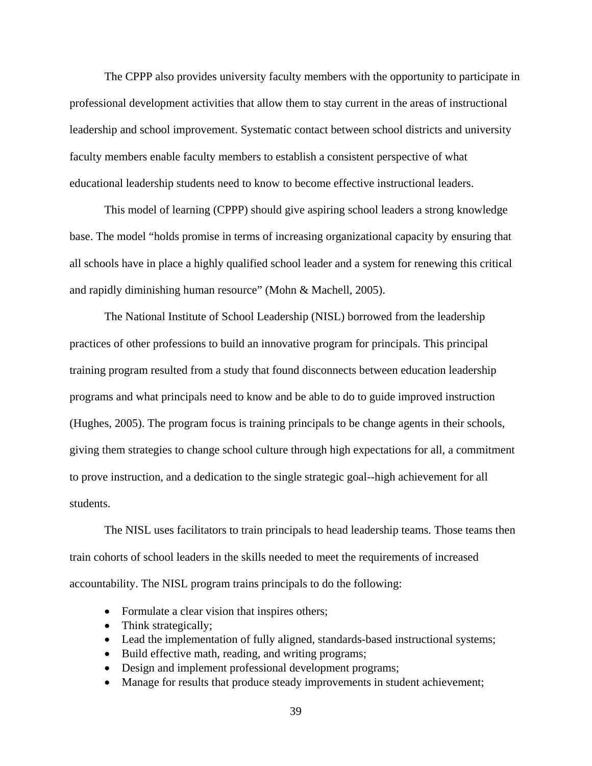The CPPP also provides university faculty members with the opportunity to participate in professional development activities that allow them to stay current in the areas of instructional leadership and school improvement. Systematic contact between school districts and university faculty members enable faculty members to establish a consistent perspective of what educational leadership students need to know to become effective instructional leaders.

This model of learning (CPPP) should give aspiring school leaders a strong knowledge base. The model "holds promise in terms of increasing organizational capacity by ensuring that all schools have in place a highly qualified school leader and a system for renewing this critical and rapidly diminishing human resource" (Mohn & Machell, 2005).

The National Institute of School Leadership (NISL) borrowed from the leadership practices of other professions to build an innovative program for principals. This principal training program resulted from a study that found disconnects between education leadership programs and what principals need to know and be able to do to guide improved instruction (Hughes, 2005). The program focus is training principals to be change agents in their schools, giving them strategies to change school culture through high expectations for all, a commitment to prove instruction, and a dedication to the single strategic goal--high achievement for all students.

 The NISL uses facilitators to train principals to head leadership teams. Those teams then train cohorts of school leaders in the skills needed to meet the requirements of increased accountability. The NISL program trains principals to do the following:

- Formulate a clear vision that inspires others;
- Think strategically;
- Lead the implementation of fully aligned, standards-based instructional systems;
- Build effective math, reading, and writing programs;
- Design and implement professional development programs;
- Manage for results that produce steady improvements in student achievement;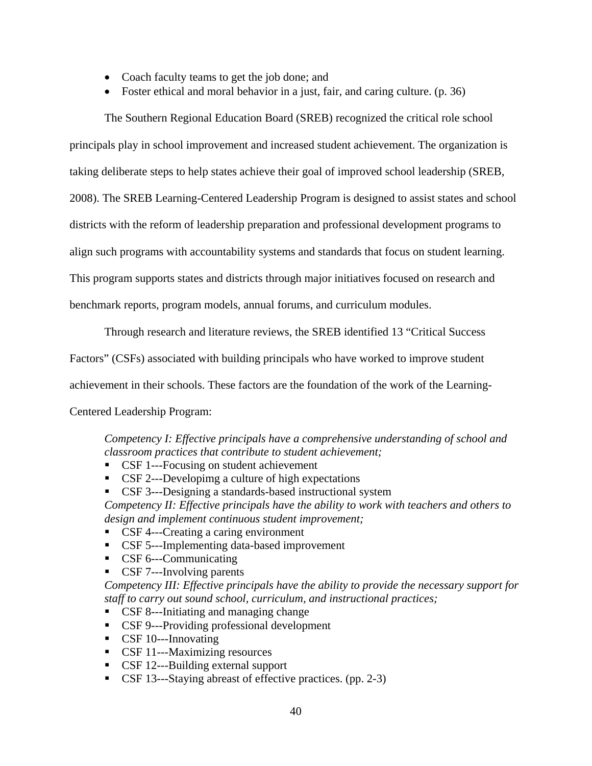- Coach faculty teams to get the job done; and
- Foster ethical and moral behavior in a just, fair, and caring culture. (p. 36)

The Southern Regional Education Board (SREB) recognized the critical role school

principals play in school improvement and increased student achievement. The organization is

taking deliberate steps to help states achieve their goal of improved school leadership (SREB,

2008). The SREB Learning-Centered Leadership Program is designed to assist states and school

districts with the reform of leadership preparation and professional development programs to

align such programs with accountability systems and standards that focus on student learning.

This program supports states and districts through major initiatives focused on research and

benchmark reports, program models, annual forums, and curriculum modules.

Through research and literature reviews, the SREB identified 13 "Critical Success

Factors" (CSFs) associated with building principals who have worked to improve student

achievement in their schools. These factors are the foundation of the work of the Learning-

Centered Leadership Program:

*Competency I: Effective principals have a comprehensive understanding of school and classroom practices that contribute to student achievement;* 

- CSF 1---Focusing on student achievement
- CSF 2---Developimg a culture of high expectations
- CSF 3---Designing a standards-based instructional system

*Competency II: Effective principals have the ability to work with teachers and others to design and implement continuous student improvement;* 

- CSF 4---Creating a caring environment
- CSF 5---Implementing data-based improvement
- CSF 6---Communicating
- CSF 7---Involving parents

*Competency III: Effective principals have the ability to provide the necessary support for staff to carry out sound school, curriculum, and instructional practices;* 

- CSF 8---Initiating and managing change
- CSF 9---Providing professional development
- CSF 10---Innovating
- CSF 11---Maximizing resources
- CSF 12---Building external support
- CSF 13—Staying abreast of effective practices. (pp. 2-3)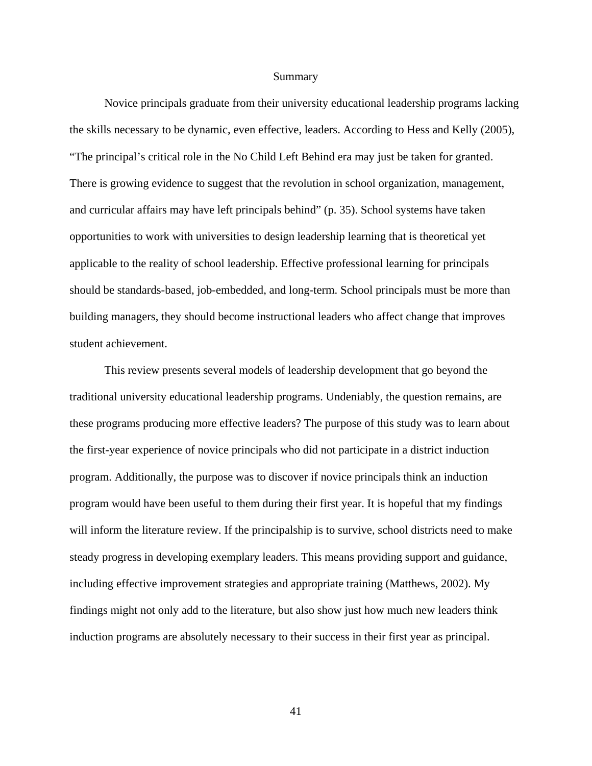#### Summary

Novice principals graduate from their university educational leadership programs lacking the skills necessary to be dynamic, even effective, leaders. According to Hess and Kelly (2005), "The principal's critical role in the No Child Left Behind era may just be taken for granted. There is growing evidence to suggest that the revolution in school organization, management, and curricular affairs may have left principals behind" (p. 35). School systems have taken opportunities to work with universities to design leadership learning that is theoretical yet applicable to the reality of school leadership. Effective professional learning for principals should be standards-based, job-embedded, and long-term. School principals must be more than building managers, they should become instructional leaders who affect change that improves student achievement.

This review presents several models of leadership development that go beyond the traditional university educational leadership programs. Undeniably, the question remains, are these programs producing more effective leaders? The purpose of this study was to learn about the first-year experience of novice principals who did not participate in a district induction program. Additionally, the purpose was to discover if novice principals think an induction program would have been useful to them during their first year. It is hopeful that my findings will inform the literature review. If the principalship is to survive, school districts need to make steady progress in developing exemplary leaders. This means providing support and guidance, including effective improvement strategies and appropriate training (Matthews, 2002). My findings might not only add to the literature, but also show just how much new leaders think induction programs are absolutely necessary to their success in their first year as principal.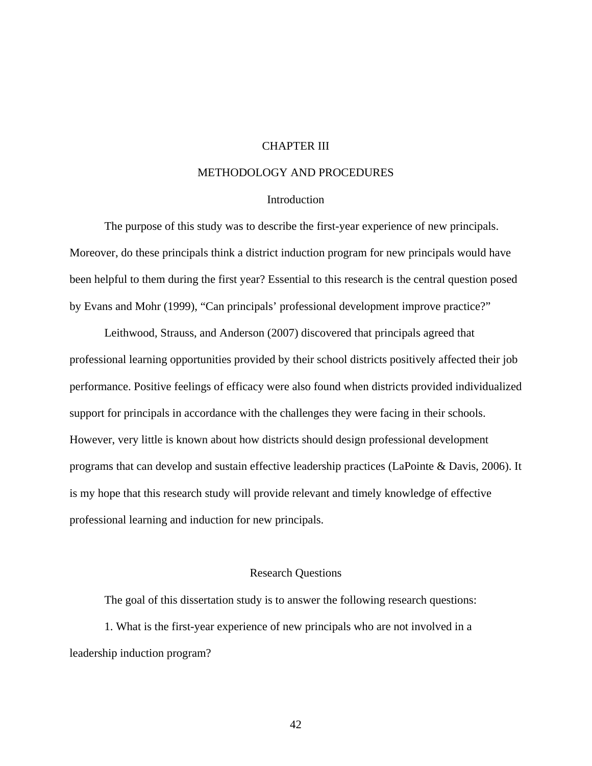## CHAPTER III

# METHODOLOGY AND PROCEDURES

## **Introduction**

 The purpose of this study was to describe the first-year experience of new principals. Moreover, do these principals think a district induction program for new principals would have been helpful to them during the first year? Essential to this research is the central question posed by Evans and Mohr (1999), "Can principals' professional development improve practice?"

 Leithwood, Strauss, and Anderson (2007) discovered that principals agreed that professional learning opportunities provided by their school districts positively affected their job performance. Positive feelings of efficacy were also found when districts provided individualized support for principals in accordance with the challenges they were facing in their schools. However, very little is known about how districts should design professional development programs that can develop and sustain effective leadership practices (LaPointe & Davis, 2006). It is my hope that this research study will provide relevant and timely knowledge of effective professional learning and induction for new principals.

## Research Questions

The goal of this dissertation study is to answer the following research questions: 1. What is the first-year experience of new principals who are not involved in a leadership induction program?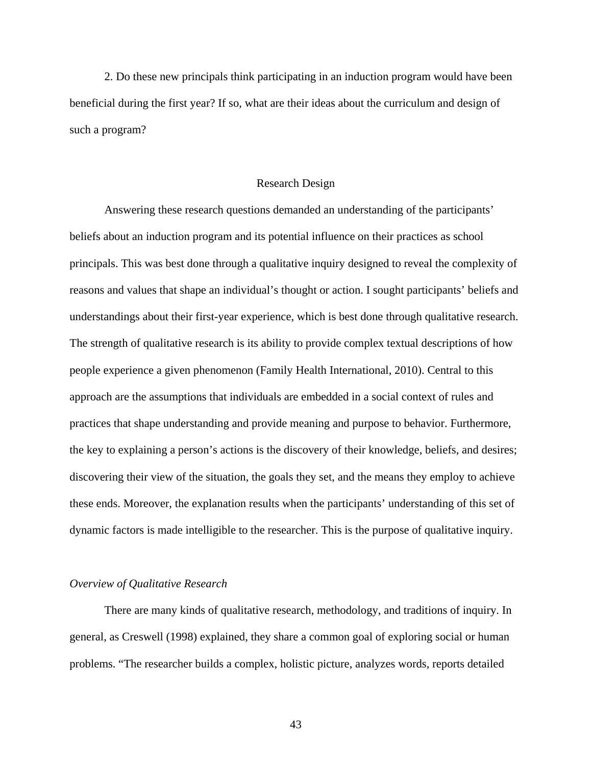2. Do these new principals think participating in an induction program would have been beneficial during the first year? If so, what are their ideas about the curriculum and design of such a program?

### Research Design

Answering these research questions demanded an understanding of the participants' beliefs about an induction program and its potential influence on their practices as school principals. This was best done through a qualitative inquiry designed to reveal the complexity of reasons and values that shape an individual's thought or action. I sought participants' beliefs and understandings about their first-year experience, which is best done through qualitative research. The strength of qualitative research is its ability to provide complex textual descriptions of how people experience a given phenomenon (Family Health International, 2010). Central to this approach are the assumptions that individuals are embedded in a social context of rules and practices that shape understanding and provide meaning and purpose to behavior. Furthermore, the key to explaining a person's actions is the discovery of their knowledge, beliefs, and desires; discovering their view of the situation, the goals they set, and the means they employ to achieve these ends. Moreover, the explanation results when the participants' understanding of this set of dynamic factors is made intelligible to the researcher. This is the purpose of qualitative inquiry.

#### *Overview of Qualitative Research*

 There are many kinds of qualitative research, methodology, and traditions of inquiry. In general, as Creswell (1998) explained, they share a common goal of exploring social or human problems. "The researcher builds a complex, holistic picture, analyzes words, reports detailed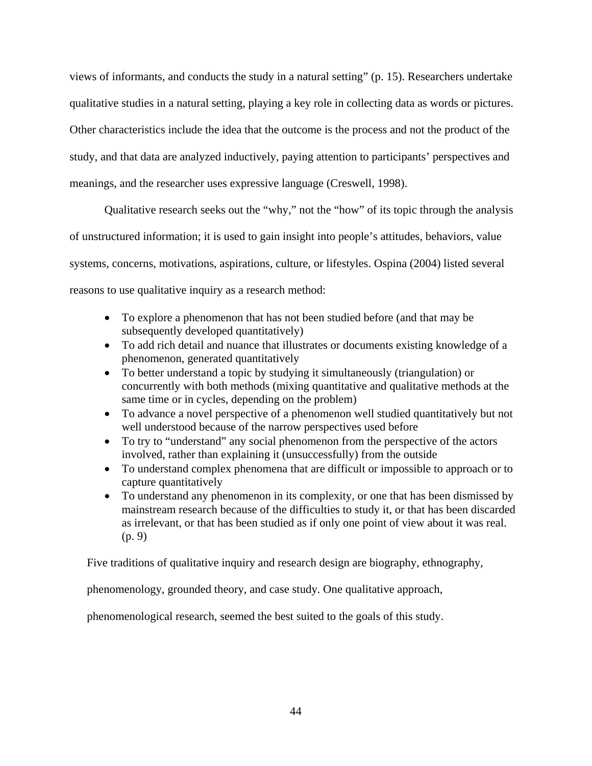views of informants, and conducts the study in a natural setting" (p. 15). Researchers undertake qualitative studies in a natural setting, playing a key role in collecting data as words or pictures. Other characteristics include the idea that the outcome is the process and not the product of the study, and that data are analyzed inductively, paying attention to participants' perspectives and meanings, and the researcher uses expressive language (Creswell, 1998).

 Qualitative research seeks out the "why," not the "how" of its topic through the analysis of unstructured information; it is used to gain insight into people's attitudes, behaviors, value systems, concerns, motivations, aspirations, culture, or lifestyles. Ospina (2004) listed several reasons to use qualitative inquiry as a research method:

- To explore a phenomenon that has not been studied before (and that may be subsequently developed quantitatively)
- To add rich detail and nuance that illustrates or documents existing knowledge of a phenomenon, generated quantitatively
- To better understand a topic by studying it simultaneously (triangulation) or concurrently with both methods (mixing quantitative and qualitative methods at the same time or in cycles, depending on the problem)
- To advance a novel perspective of a phenomenon well studied quantitatively but not well understood because of the narrow perspectives used before
- To try to "understand" any social phenomenon from the perspective of the actors involved, rather than explaining it (unsuccessfully) from the outside
- To understand complex phenomena that are difficult or impossible to approach or to capture quantitatively
- To understand any phenomenon in its complexity, or one that has been dismissed by mainstream research because of the difficulties to study it, or that has been discarded as irrelevant, or that has been studied as if only one point of view about it was real. (p. 9)

Five traditions of qualitative inquiry and research design are biography, ethnography,

phenomenology, grounded theory, and case study. One qualitative approach,

phenomenological research, seemed the best suited to the goals of this study.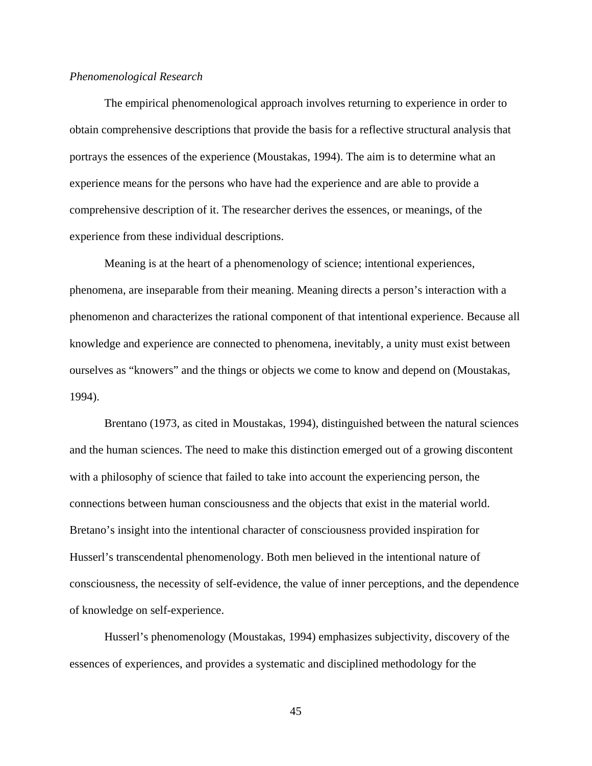### *Phenomenological Research*

The empirical phenomenological approach involves returning to experience in order to obtain comprehensive descriptions that provide the basis for a reflective structural analysis that portrays the essences of the experience (Moustakas, 1994). The aim is to determine what an experience means for the persons who have had the experience and are able to provide a comprehensive description of it. The researcher derives the essences, or meanings, of the experience from these individual descriptions.

Meaning is at the heart of a phenomenology of science; intentional experiences, phenomena, are inseparable from their meaning. Meaning directs a person's interaction with a phenomenon and characterizes the rational component of that intentional experience. Because all knowledge and experience are connected to phenomena, inevitably, a unity must exist between ourselves as "knowers" and the things or objects we come to know and depend on (Moustakas, 1994).

Brentano (1973, as cited in Moustakas, 1994), distinguished between the natural sciences and the human sciences. The need to make this distinction emerged out of a growing discontent with a philosophy of science that failed to take into account the experiencing person, the connections between human consciousness and the objects that exist in the material world. Bretano's insight into the intentional character of consciousness provided inspiration for Husserl's transcendental phenomenology. Both men believed in the intentional nature of consciousness, the necessity of self-evidence, the value of inner perceptions, and the dependence of knowledge on self-experience.

Husserl's phenomenology (Moustakas, 1994) emphasizes subjectivity, discovery of the essences of experiences, and provides a systematic and disciplined methodology for the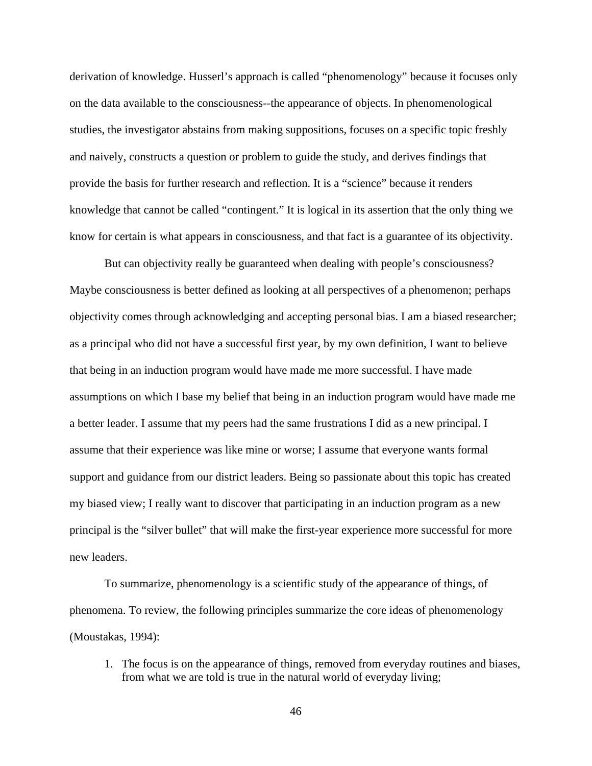derivation of knowledge. Husserl's approach is called "phenomenology" because it focuses only on the data available to the consciousness--the appearance of objects. In phenomenological studies, the investigator abstains from making suppositions, focuses on a specific topic freshly and naively, constructs a question or problem to guide the study, and derives findings that provide the basis for further research and reflection. It is a "science" because it renders knowledge that cannot be called "contingent." It is logical in its assertion that the only thing we know for certain is what appears in consciousness, and that fact is a guarantee of its objectivity.

But can objectivity really be guaranteed when dealing with people's consciousness? Maybe consciousness is better defined as looking at all perspectives of a phenomenon; perhaps objectivity comes through acknowledging and accepting personal bias. I am a biased researcher; as a principal who did not have a successful first year, by my own definition, I want to believe that being in an induction program would have made me more successful. I have made assumptions on which I base my belief that being in an induction program would have made me a better leader. I assume that my peers had the same frustrations I did as a new principal. I assume that their experience was like mine or worse; I assume that everyone wants formal support and guidance from our district leaders. Being so passionate about this topic has created my biased view; I really want to discover that participating in an induction program as a new principal is the "silver bullet" that will make the first-year experience more successful for more new leaders.

To summarize, phenomenology is a scientific study of the appearance of things, of phenomena. To review, the following principles summarize the core ideas of phenomenology (Moustakas, 1994):

1. The focus is on the appearance of things, removed from everyday routines and biases, from what we are told is true in the natural world of everyday living;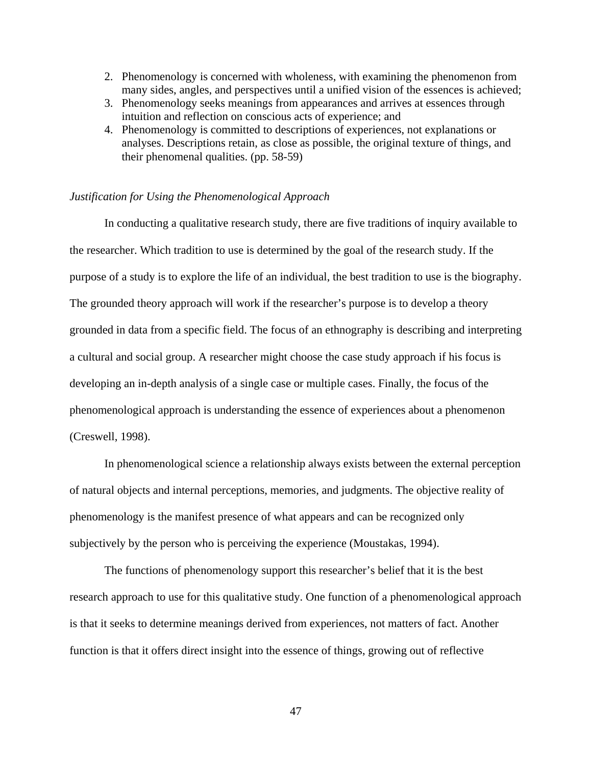- 2. Phenomenology is concerned with wholeness, with examining the phenomenon from many sides, angles, and perspectives until a unified vision of the essences is achieved;
- 3. Phenomenology seeks meanings from appearances and arrives at essences through intuition and reflection on conscious acts of experience; and
- 4. Phenomenology is committed to descriptions of experiences, not explanations or analyses. Descriptions retain, as close as possible, the original texture of things, and their phenomenal qualities. (pp. 58-59)

## *Justification for Using the Phenomenological Approach*

 In conducting a qualitative research study, there are five traditions of inquiry available to the researcher. Which tradition to use is determined by the goal of the research study. If the purpose of a study is to explore the life of an individual, the best tradition to use is the biography. The grounded theory approach will work if the researcher's purpose is to develop a theory grounded in data from a specific field. The focus of an ethnography is describing and interpreting a cultural and social group. A researcher might choose the case study approach if his focus is developing an in-depth analysis of a single case or multiple cases. Finally, the focus of the phenomenological approach is understanding the essence of experiences about a phenomenon (Creswell, 1998).

In phenomenological science a relationship always exists between the external perception of natural objects and internal perceptions, memories, and judgments. The objective reality of phenomenology is the manifest presence of what appears and can be recognized only subjectively by the person who is perceiving the experience (Moustakas, 1994).

The functions of phenomenology support this researcher's belief that it is the best research approach to use for this qualitative study. One function of a phenomenological approach is that it seeks to determine meanings derived from experiences, not matters of fact. Another function is that it offers direct insight into the essence of things, growing out of reflective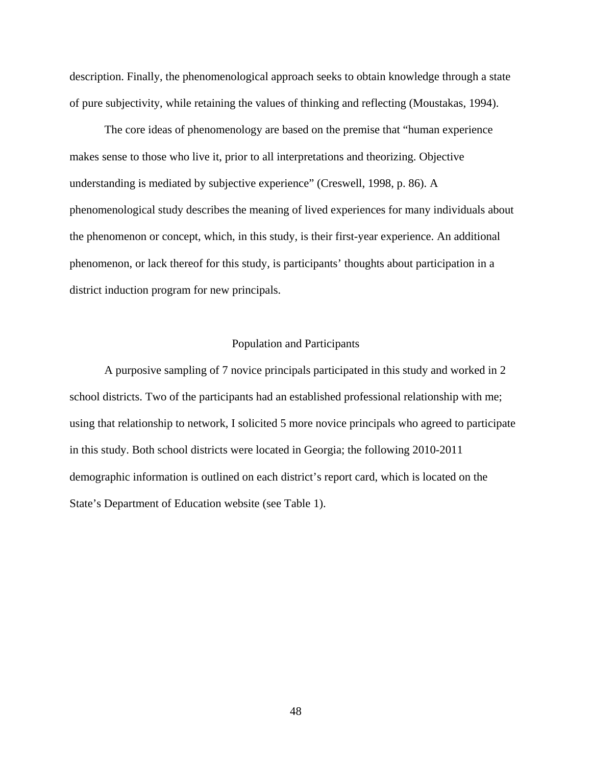description. Finally, the phenomenological approach seeks to obtain knowledge through a state of pure subjectivity, while retaining the values of thinking and reflecting (Moustakas, 1994).

The core ideas of phenomenology are based on the premise that "human experience makes sense to those who live it, prior to all interpretations and theorizing. Objective understanding is mediated by subjective experience" (Creswell, 1998, p. 86). A phenomenological study describes the meaning of lived experiences for many individuals about the phenomenon or concept, which, in this study, is their first-year experience. An additional phenomenon, or lack thereof for this study, is participants' thoughts about participation in a district induction program for new principals.

## Population and Participants

 A purposive sampling of 7 novice principals participated in this study and worked in 2 school districts. Two of the participants had an established professional relationship with me; using that relationship to network, I solicited 5 more novice principals who agreed to participate in this study. Both school districts were located in Georgia; the following 2010-2011 demographic information is outlined on each district's report card, which is located on the State's Department of Education website (see Table 1).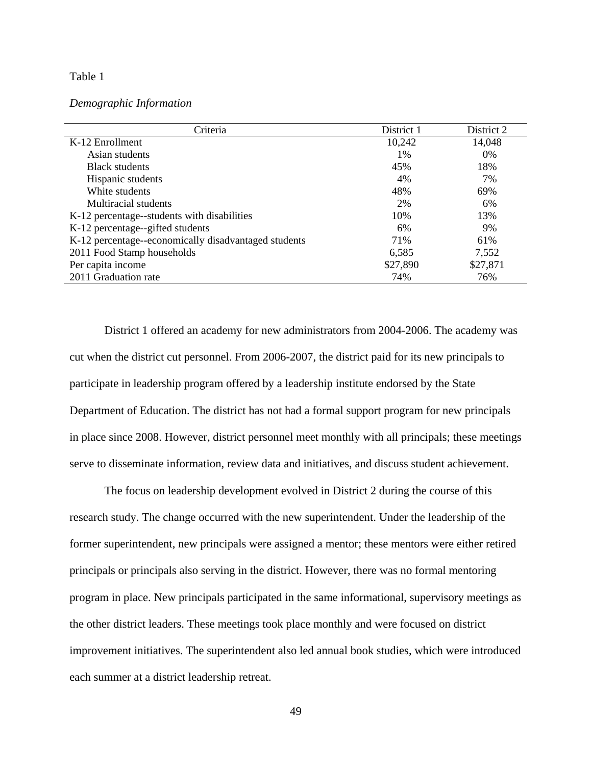## Table 1

*Demographic Information* 

| Criteria                                             | District 1 | District 2 |
|------------------------------------------------------|------------|------------|
| K-12 Enrollment                                      | 10,242     | 14,048     |
| Asian students                                       | $1\%$      | $0\%$      |
| <b>Black students</b>                                | 45%        | 18%        |
| Hispanic students                                    | 4%         | 7%         |
| White students                                       | 48%        | 69%        |
| Multiracial students                                 | 2%         | 6%         |
| K-12 percentage--students with disabilities          | 10%        | 13%        |
| K-12 percentage--gifted students                     | 6%         | 9%         |
| K-12 percentage--economically disadvantaged students | 71%        | 61%        |
| 2011 Food Stamp households                           | 6,585      | 7,552      |
| Per capita income                                    | \$27,890   | \$27,871   |
| 2011 Graduation rate                                 | 74%        | 76%        |

 District 1 offered an academy for new administrators from 2004-2006. The academy was cut when the district cut personnel. From 2006-2007, the district paid for its new principals to participate in leadership program offered by a leadership institute endorsed by the State Department of Education. The district has not had a formal support program for new principals in place since 2008. However, district personnel meet monthly with all principals; these meetings serve to disseminate information, review data and initiatives, and discuss student achievement.

 The focus on leadership development evolved in District 2 during the course of this research study. The change occurred with the new superintendent. Under the leadership of the former superintendent, new principals were assigned a mentor; these mentors were either retired principals or principals also serving in the district. However, there was no formal mentoring program in place. New principals participated in the same informational, supervisory meetings as the other district leaders. These meetings took place monthly and were focused on district improvement initiatives. The superintendent also led annual book studies, which were introduced each summer at a district leadership retreat.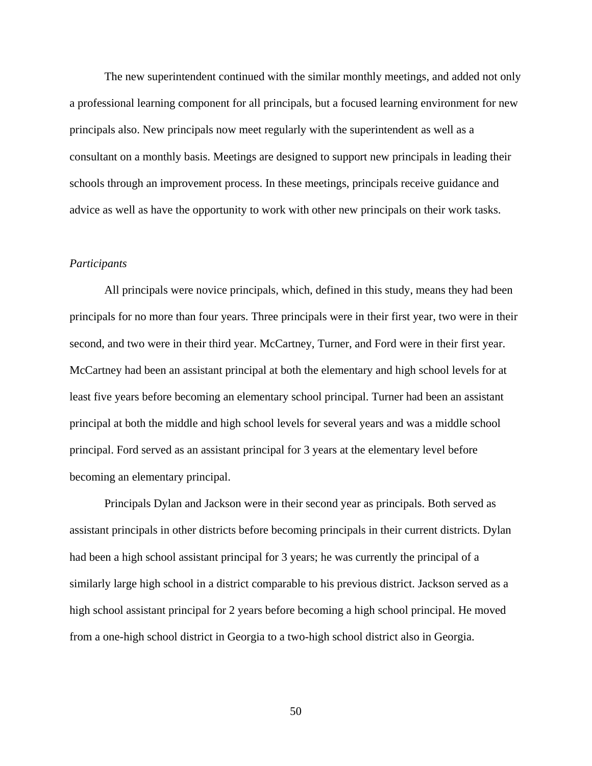The new superintendent continued with the similar monthly meetings, and added not only a professional learning component for all principals, but a focused learning environment for new principals also. New principals now meet regularly with the superintendent as well as a consultant on a monthly basis. Meetings are designed to support new principals in leading their schools through an improvement process. In these meetings, principals receive guidance and advice as well as have the opportunity to work with other new principals on their work tasks.

### *Participants*

All principals were novice principals, which, defined in this study, means they had been principals for no more than four years. Three principals were in their first year, two were in their second, and two were in their third year. McCartney, Turner, and Ford were in their first year. McCartney had been an assistant principal at both the elementary and high school levels for at least five years before becoming an elementary school principal. Turner had been an assistant principal at both the middle and high school levels for several years and was a middle school principal. Ford served as an assistant principal for 3 years at the elementary level before becoming an elementary principal.

Principals Dylan and Jackson were in their second year as principals. Both served as assistant principals in other districts before becoming principals in their current districts. Dylan had been a high school assistant principal for 3 years; he was currently the principal of a similarly large high school in a district comparable to his previous district. Jackson served as a high school assistant principal for 2 years before becoming a high school principal. He moved from a one-high school district in Georgia to a two-high school district also in Georgia.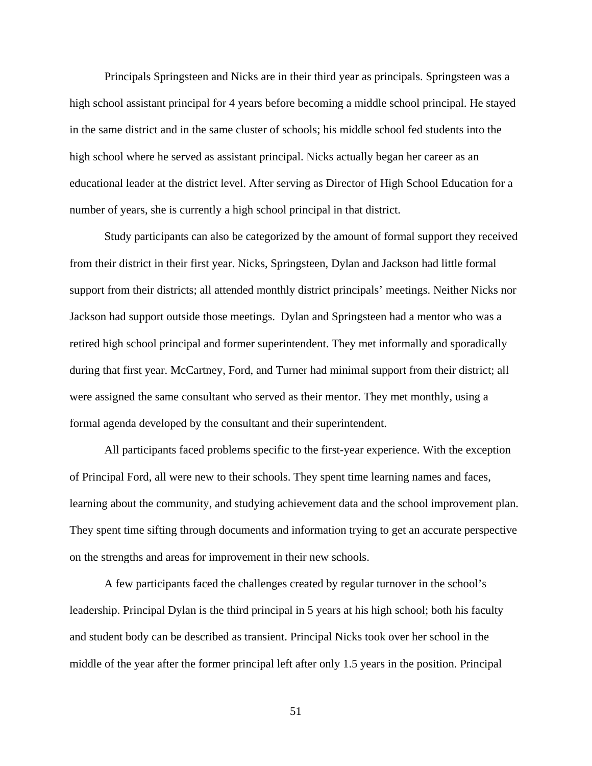Principals Springsteen and Nicks are in their third year as principals. Springsteen was a high school assistant principal for 4 years before becoming a middle school principal. He stayed in the same district and in the same cluster of schools; his middle school fed students into the high school where he served as assistant principal. Nicks actually began her career as an educational leader at the district level. After serving as Director of High School Education for a number of years, she is currently a high school principal in that district.

Study participants can also be categorized by the amount of formal support they received from their district in their first year. Nicks, Springsteen, Dylan and Jackson had little formal support from their districts; all attended monthly district principals' meetings. Neither Nicks nor Jackson had support outside those meetings. Dylan and Springsteen had a mentor who was a retired high school principal and former superintendent. They met informally and sporadically during that first year. McCartney, Ford, and Turner had minimal support from their district; all were assigned the same consultant who served as their mentor. They met monthly, using a formal agenda developed by the consultant and their superintendent.

All participants faced problems specific to the first-year experience. With the exception of Principal Ford, all were new to their schools. They spent time learning names and faces, learning about the community, and studying achievement data and the school improvement plan. They spent time sifting through documents and information trying to get an accurate perspective on the strengths and areas for improvement in their new schools.

A few participants faced the challenges created by regular turnover in the school's leadership. Principal Dylan is the third principal in 5 years at his high school; both his faculty and student body can be described as transient. Principal Nicks took over her school in the middle of the year after the former principal left after only 1.5 years in the position. Principal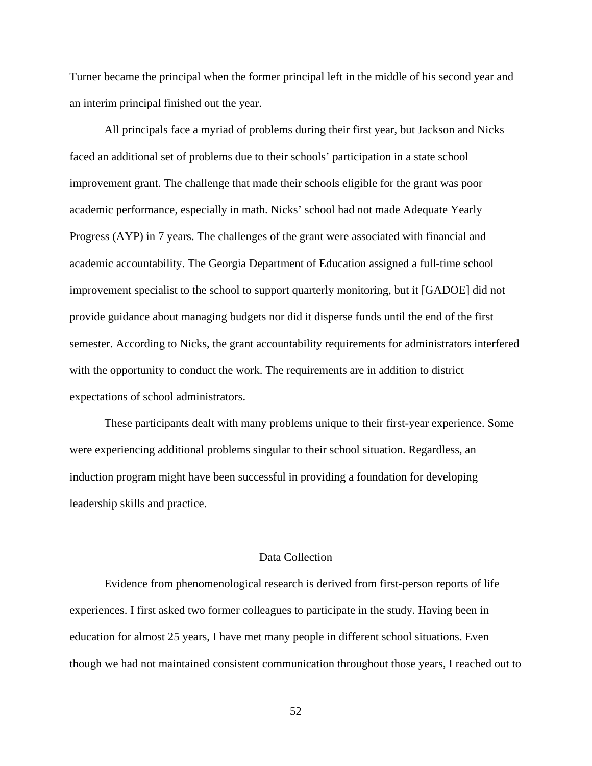Turner became the principal when the former principal left in the middle of his second year and an interim principal finished out the year.

All principals face a myriad of problems during their first year, but Jackson and Nicks faced an additional set of problems due to their schools' participation in a state school improvement grant. The challenge that made their schools eligible for the grant was poor academic performance, especially in math. Nicks' school had not made Adequate Yearly Progress (AYP) in 7 years. The challenges of the grant were associated with financial and academic accountability. The Georgia Department of Education assigned a full-time school improvement specialist to the school to support quarterly monitoring, but it [GADOE] did not provide guidance about managing budgets nor did it disperse funds until the end of the first semester. According to Nicks, the grant accountability requirements for administrators interfered with the opportunity to conduct the work. The requirements are in addition to district expectations of school administrators.

These participants dealt with many problems unique to their first-year experience. Some were experiencing additional problems singular to their school situation. Regardless, an induction program might have been successful in providing a foundation for developing leadership skills and practice.

## Data Collection

 Evidence from phenomenological research is derived from first-person reports of life experiences. I first asked two former colleagues to participate in the study. Having been in education for almost 25 years, I have met many people in different school situations. Even though we had not maintained consistent communication throughout those years, I reached out to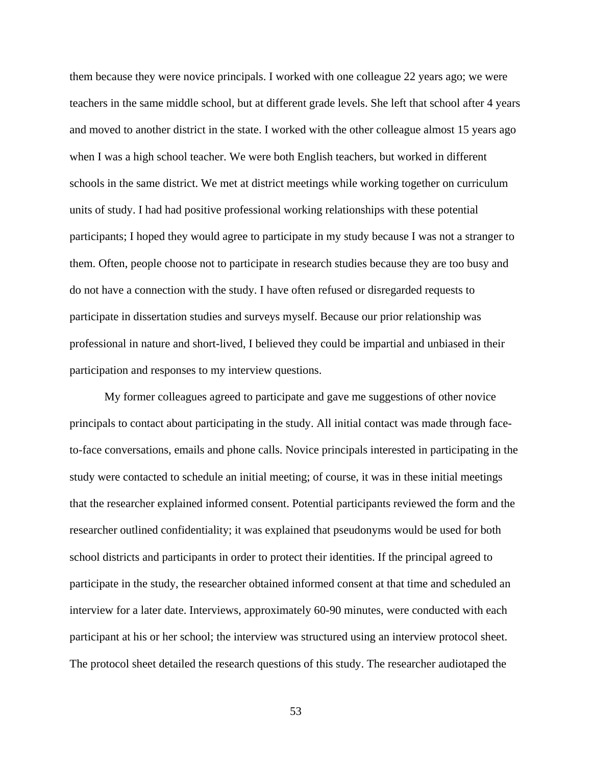them because they were novice principals. I worked with one colleague 22 years ago; we were teachers in the same middle school, but at different grade levels. She left that school after 4 years and moved to another district in the state. I worked with the other colleague almost 15 years ago when I was a high school teacher. We were both English teachers, but worked in different schools in the same district. We met at district meetings while working together on curriculum units of study. I had had positive professional working relationships with these potential participants; I hoped they would agree to participate in my study because I was not a stranger to them. Often, people choose not to participate in research studies because they are too busy and do not have a connection with the study. I have often refused or disregarded requests to participate in dissertation studies and surveys myself. Because our prior relationship was professional in nature and short-lived, I believed they could be impartial and unbiased in their participation and responses to my interview questions.

My former colleagues agreed to participate and gave me suggestions of other novice principals to contact about participating in the study. All initial contact was made through faceto-face conversations, emails and phone calls. Novice principals interested in participating in the study were contacted to schedule an initial meeting; of course, it was in these initial meetings that the researcher explained informed consent. Potential participants reviewed the form and the researcher outlined confidentiality; it was explained that pseudonyms would be used for both school districts and participants in order to protect their identities. If the principal agreed to participate in the study, the researcher obtained informed consent at that time and scheduled an interview for a later date. Interviews, approximately 60-90 minutes, were conducted with each participant at his or her school; the interview was structured using an interview protocol sheet. The protocol sheet detailed the research questions of this study. The researcher audiotaped the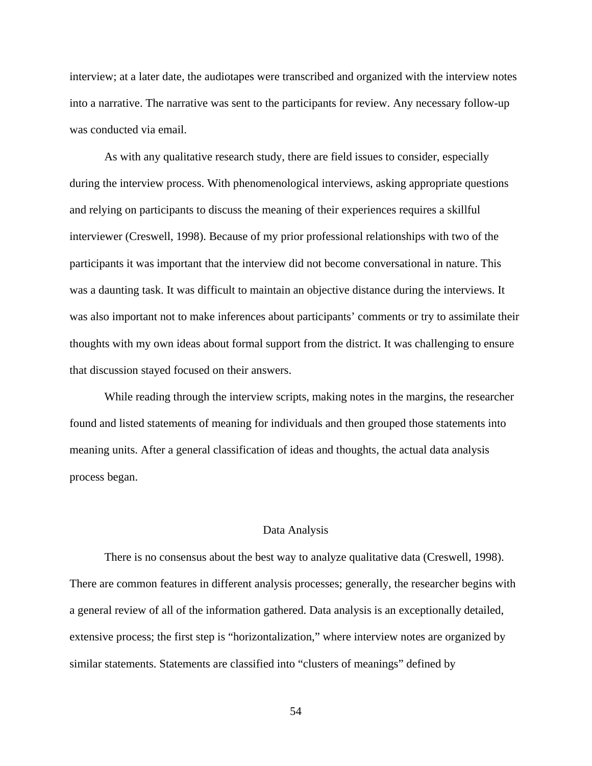interview; at a later date, the audiotapes were transcribed and organized with the interview notes into a narrative. The narrative was sent to the participants for review. Any necessary follow-up was conducted via email.

 As with any qualitative research study, there are field issues to consider, especially during the interview process. With phenomenological interviews, asking appropriate questions and relying on participants to discuss the meaning of their experiences requires a skillful interviewer (Creswell, 1998). Because of my prior professional relationships with two of the participants it was important that the interview did not become conversational in nature. This was a daunting task. It was difficult to maintain an objective distance during the interviews. It was also important not to make inferences about participants' comments or try to assimilate their thoughts with my own ideas about formal support from the district. It was challenging to ensure that discussion stayed focused on their answers.

 While reading through the interview scripts, making notes in the margins, the researcher found and listed statements of meaning for individuals and then grouped those statements into meaning units. After a general classification of ideas and thoughts, the actual data analysis process began.

### Data Analysis

There is no consensus about the best way to analyze qualitative data (Creswell, 1998). There are common features in different analysis processes; generally, the researcher begins with a general review of all of the information gathered. Data analysis is an exceptionally detailed, extensive process; the first step is "horizontalization," where interview notes are organized by similar statements. Statements are classified into "clusters of meanings" defined by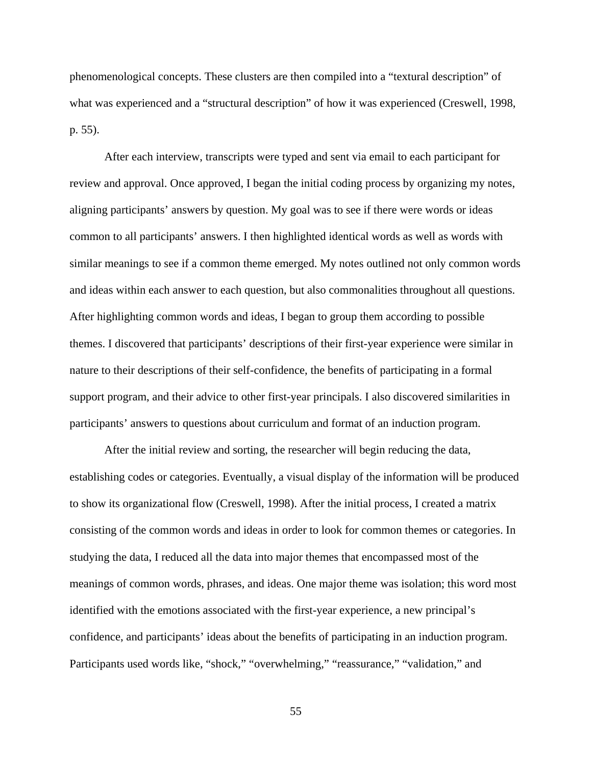phenomenological concepts. These clusters are then compiled into a "textural description" of what was experienced and a "structural description" of how it was experienced (Creswell, 1998, p. 55).

After each interview, transcripts were typed and sent via email to each participant for review and approval. Once approved, I began the initial coding process by organizing my notes, aligning participants' answers by question. My goal was to see if there were words or ideas common to all participants' answers. I then highlighted identical words as well as words with similar meanings to see if a common theme emerged. My notes outlined not only common words and ideas within each answer to each question, but also commonalities throughout all questions. After highlighting common words and ideas, I began to group them according to possible themes. I discovered that participants' descriptions of their first-year experience were similar in nature to their descriptions of their self-confidence, the benefits of participating in a formal support program, and their advice to other first-year principals. I also discovered similarities in participants' answers to questions about curriculum and format of an induction program.

 After the initial review and sorting, the researcher will begin reducing the data, establishing codes or categories. Eventually, a visual display of the information will be produced to show its organizational flow (Creswell, 1998). After the initial process, I created a matrix consisting of the common words and ideas in order to look for common themes or categories. In studying the data, I reduced all the data into major themes that encompassed most of the meanings of common words, phrases, and ideas. One major theme was isolation; this word most identified with the emotions associated with the first-year experience, a new principal's confidence, and participants' ideas about the benefits of participating in an induction program. Participants used words like, "shock," "overwhelming," "reassurance," "validation," and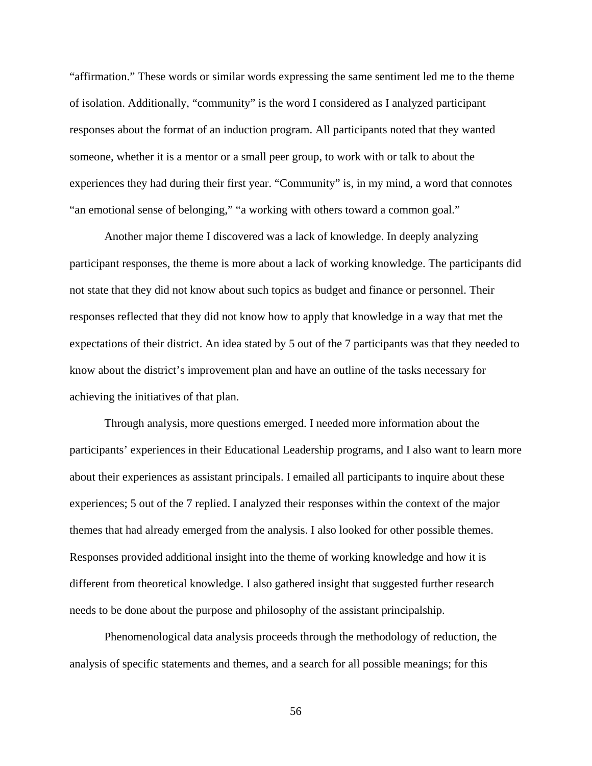"affirmation." These words or similar words expressing the same sentiment led me to the theme of isolation. Additionally, "community" is the word I considered as I analyzed participant responses about the format of an induction program. All participants noted that they wanted someone, whether it is a mentor or a small peer group, to work with or talk to about the experiences they had during their first year. "Community" is, in my mind, a word that connotes "an emotional sense of belonging," "a working with others toward a common goal."

 Another major theme I discovered was a lack of knowledge. In deeply analyzing participant responses, the theme is more about a lack of working knowledge. The participants did not state that they did not know about such topics as budget and finance or personnel. Their responses reflected that they did not know how to apply that knowledge in a way that met the expectations of their district. An idea stated by 5 out of the 7 participants was that they needed to know about the district's improvement plan and have an outline of the tasks necessary for achieving the initiatives of that plan.

 Through analysis, more questions emerged. I needed more information about the participants' experiences in their Educational Leadership programs, and I also want to learn more about their experiences as assistant principals. I emailed all participants to inquire about these experiences; 5 out of the 7 replied. I analyzed their responses within the context of the major themes that had already emerged from the analysis. I also looked for other possible themes. Responses provided additional insight into the theme of working knowledge and how it is different from theoretical knowledge. I also gathered insight that suggested further research needs to be done about the purpose and philosophy of the assistant principalship.

 Phenomenological data analysis proceeds through the methodology of reduction, the analysis of specific statements and themes, and a search for all possible meanings; for this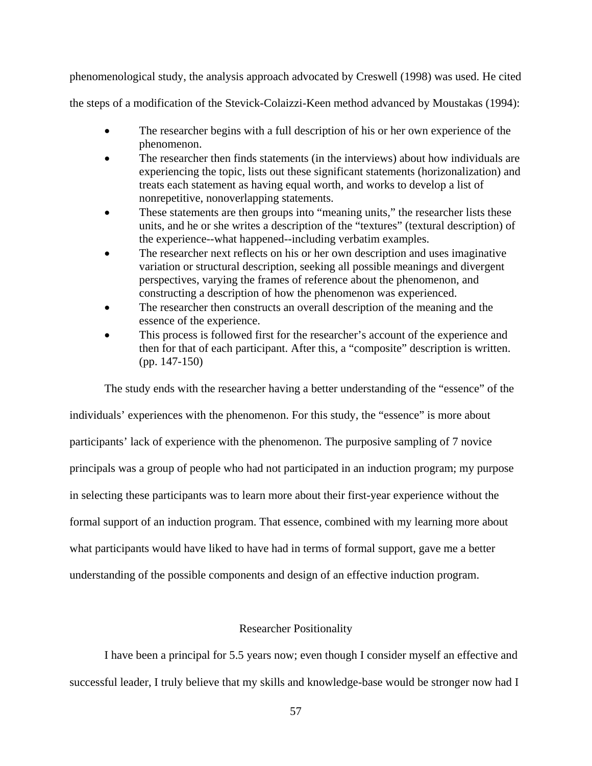phenomenological study, the analysis approach advocated by Creswell (1998) was used. He cited

the steps of a modification of the Stevick-Colaizzi-Keen method advanced by Moustakas (1994):

- The researcher begins with a full description of his or her own experience of the phenomenon.
- The researcher then finds statements (in the interviews) about how individuals are experiencing the topic, lists out these significant statements (horizonalization) and treats each statement as having equal worth, and works to develop a list of nonrepetitive, nonoverlapping statements.
- These statements are then groups into "meaning units," the researcher lists these units, and he or she writes a description of the "textures" (textural description) of the experience--what happened--including verbatim examples.
- The researcher next reflects on his or her own description and uses imaginative variation or structural description, seeking all possible meanings and divergent perspectives, varying the frames of reference about the phenomenon, and constructing a description of how the phenomenon was experienced.
- The researcher then constructs an overall description of the meaning and the essence of the experience.
- This process is followed first for the researcher's account of the experience and then for that of each participant. After this, a "composite" description is written. (pp. 147-150)

The study ends with the researcher having a better understanding of the "essence" of the individuals' experiences with the phenomenon. For this study, the "essence" is more about participants' lack of experience with the phenomenon. The purposive sampling of 7 novice principals was a group of people who had not participated in an induction program; my purpose in selecting these participants was to learn more about their first-year experience without the formal support of an induction program. That essence, combined with my learning more about what participants would have liked to have had in terms of formal support, gave me a better understanding of the possible components and design of an effective induction program.

## Researcher Positionality

I have been a principal for 5.5 years now; even though I consider myself an effective and successful leader, I truly believe that my skills and knowledge-base would be stronger now had I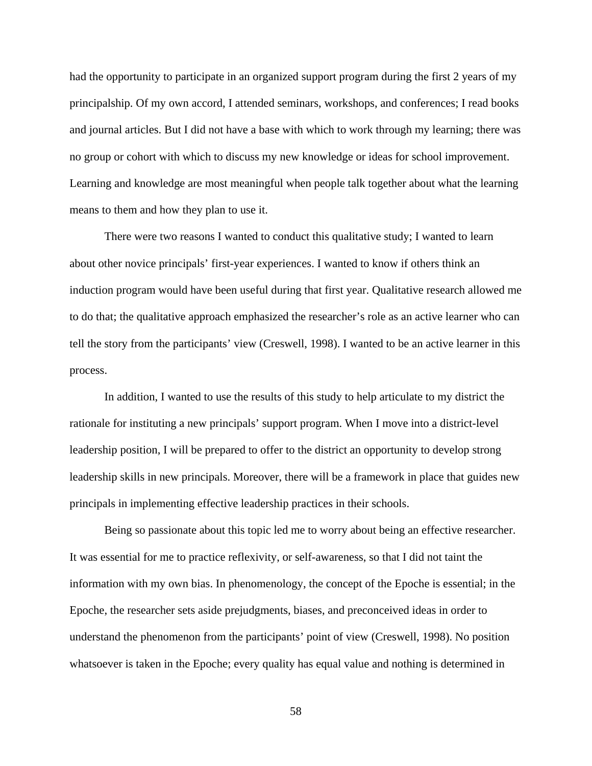had the opportunity to participate in an organized support program during the first 2 years of my principalship. Of my own accord, I attended seminars, workshops, and conferences; I read books and journal articles. But I did not have a base with which to work through my learning; there was no group or cohort with which to discuss my new knowledge or ideas for school improvement. Learning and knowledge are most meaningful when people talk together about what the learning means to them and how they plan to use it.

 There were two reasons I wanted to conduct this qualitative study; I wanted to learn about other novice principals' first-year experiences. I wanted to know if others think an induction program would have been useful during that first year. Qualitative research allowed me to do that; the qualitative approach emphasized the researcher's role as an active learner who can tell the story from the participants' view (Creswell, 1998). I wanted to be an active learner in this process.

 In addition, I wanted to use the results of this study to help articulate to my district the rationale for instituting a new principals' support program. When I move into a district-level leadership position, I will be prepared to offer to the district an opportunity to develop strong leadership skills in new principals. Moreover, there will be a framework in place that guides new principals in implementing effective leadership practices in their schools.

 Being so passionate about this topic led me to worry about being an effective researcher. It was essential for me to practice reflexivity, or self-awareness, so that I did not taint the information with my own bias. In phenomenology, the concept of the Epoche is essential; in the Epoche, the researcher sets aside prejudgments, biases, and preconceived ideas in order to understand the phenomenon from the participants' point of view (Creswell, 1998). No position whatsoever is taken in the Epoche; every quality has equal value and nothing is determined in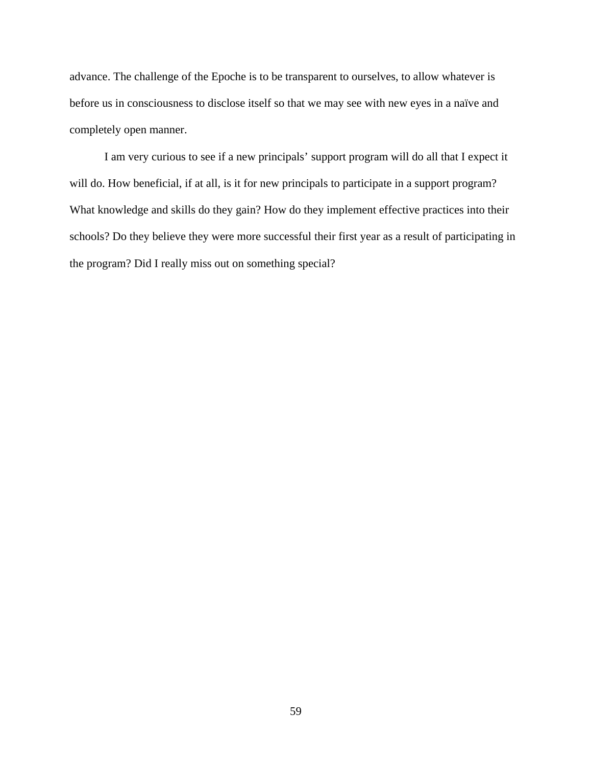advance. The challenge of the Epoche is to be transparent to ourselves, to allow whatever is before us in consciousness to disclose itself so that we may see with new eyes in a naïve and completely open manner.

 I am very curious to see if a new principals' support program will do all that I expect it will do. How beneficial, if at all, is it for new principals to participate in a support program? What knowledge and skills do they gain? How do they implement effective practices into their schools? Do they believe they were more successful their first year as a result of participating in the program? Did I really miss out on something special?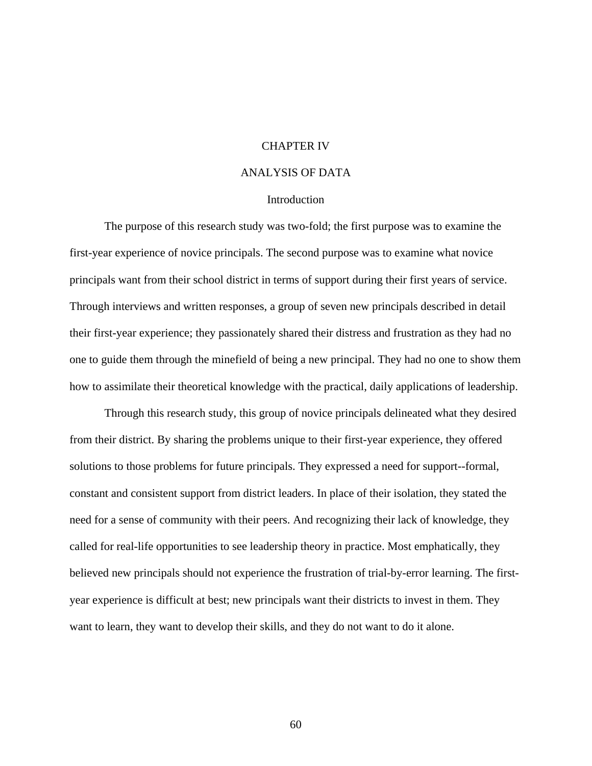# CHAPTER IV

# ANALYSIS OF DATA

## **Introduction**

The purpose of this research study was two-fold; the first purpose was to examine the first-year experience of novice principals. The second purpose was to examine what novice principals want from their school district in terms of support during their first years of service. Through interviews and written responses, a group of seven new principals described in detail their first-year experience; they passionately shared their distress and frustration as they had no one to guide them through the minefield of being a new principal. They had no one to show them how to assimilate their theoretical knowledge with the practical, daily applications of leadership.

Through this research study, this group of novice principals delineated what they desired from their district. By sharing the problems unique to their first-year experience, they offered solutions to those problems for future principals. They expressed a need for support--formal, constant and consistent support from district leaders. In place of their isolation, they stated the need for a sense of community with their peers. And recognizing their lack of knowledge, they called for real-life opportunities to see leadership theory in practice. Most emphatically, they believed new principals should not experience the frustration of trial-by-error learning. The firstyear experience is difficult at best; new principals want their districts to invest in them. They want to learn, they want to develop their skills, and they do not want to do it alone.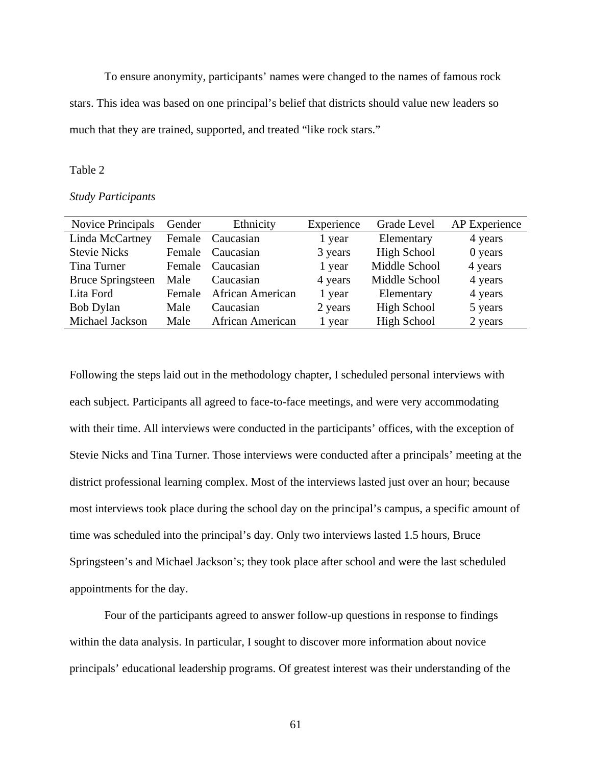To ensure anonymity, participants' names were changed to the names of famous rock stars. This idea was based on one principal's belief that districts should value new leaders so much that they are trained, supported, and treated "like rock stars."

## Table 2

## *Study Participants*

| <b>Novice Principals</b> | Gender | Ethnicity               | Experience | Grade Level        | AP Experience |
|--------------------------|--------|-------------------------|------------|--------------------|---------------|
| Linda McCartney          | Female | Caucasian               | 1 year     | Elementary         | 4 years       |
| <b>Stevie Nicks</b>      | Female | Caucasian               | 3 years    | <b>High School</b> | 0 years       |
| Tina Turner              | Female | Caucasian               | 1 year     | Middle School      | 4 years       |
| <b>Bruce Springsteen</b> | Male   | Caucasian               | 4 years    | Middle School      | 4 years       |
| Lita Ford                | Female | African American        | 1 year     | Elementary         | 4 years       |
| <b>Bob Dylan</b>         | Male   | Caucasian               | 2 years    | <b>High School</b> | 5 years       |
| Michael Jackson          | Male   | <b>African American</b> | 1 year     | High School        | 2 years       |
|                          |        |                         |            |                    |               |

Following the steps laid out in the methodology chapter, I scheduled personal interviews with each subject. Participants all agreed to face-to-face meetings, and were very accommodating with their time. All interviews were conducted in the participants' offices, with the exception of Stevie Nicks and Tina Turner. Those interviews were conducted after a principals' meeting at the district professional learning complex. Most of the interviews lasted just over an hour; because most interviews took place during the school day on the principal's campus, a specific amount of time was scheduled into the principal's day. Only two interviews lasted 1.5 hours, Bruce Springsteen's and Michael Jackson's; they took place after school and were the last scheduled appointments for the day.

Four of the participants agreed to answer follow-up questions in response to findings within the data analysis. In particular, I sought to discover more information about novice principals' educational leadership programs. Of greatest interest was their understanding of the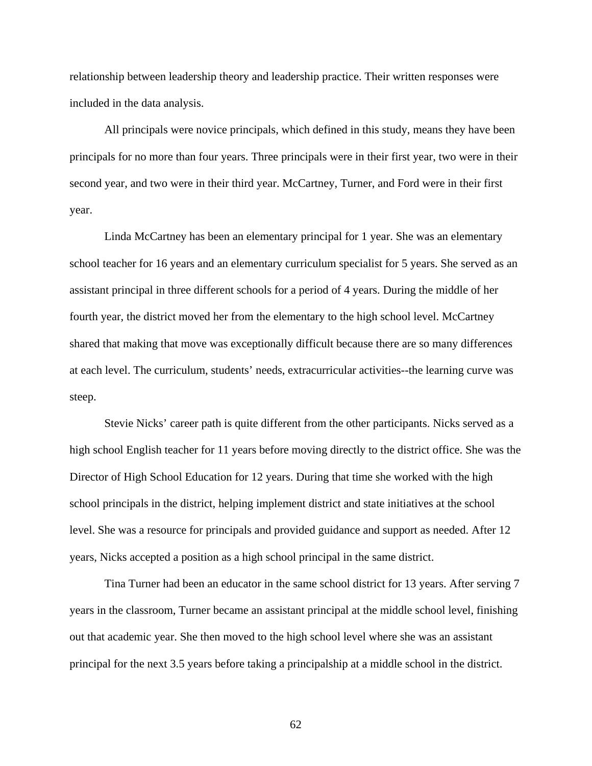relationship between leadership theory and leadership practice. Their written responses were included in the data analysis.

All principals were novice principals, which defined in this study, means they have been principals for no more than four years. Three principals were in their first year, two were in their second year, and two were in their third year. McCartney, Turner, and Ford were in their first year.

Linda McCartney has been an elementary principal for 1 year. She was an elementary school teacher for 16 years and an elementary curriculum specialist for 5 years. She served as an assistant principal in three different schools for a period of 4 years. During the middle of her fourth year, the district moved her from the elementary to the high school level. McCartney shared that making that move was exceptionally difficult because there are so many differences at each level. The curriculum, students' needs, extracurricular activities--the learning curve was steep.

Stevie Nicks' career path is quite different from the other participants. Nicks served as a high school English teacher for 11 years before moving directly to the district office. She was the Director of High School Education for 12 years. During that time she worked with the high school principals in the district, helping implement district and state initiatives at the school level. She was a resource for principals and provided guidance and support as needed. After 12 years, Nicks accepted a position as a high school principal in the same district.

Tina Turner had been an educator in the same school district for 13 years. After serving 7 years in the classroom, Turner became an assistant principal at the middle school level, finishing out that academic year. She then moved to the high school level where she was an assistant principal for the next 3.5 years before taking a principalship at a middle school in the district.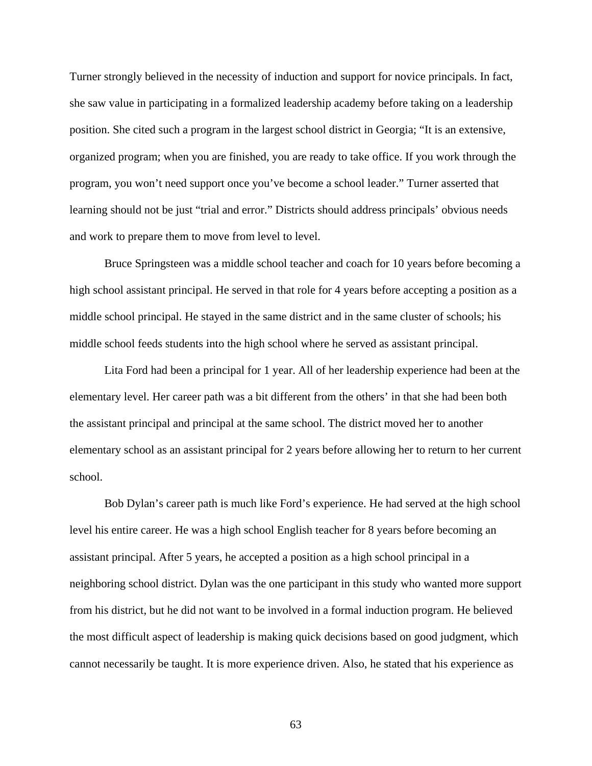Turner strongly believed in the necessity of induction and support for novice principals. In fact, she saw value in participating in a formalized leadership academy before taking on a leadership position. She cited such a program in the largest school district in Georgia; "It is an extensive, organized program; when you are finished, you are ready to take office. If you work through the program, you won't need support once you've become a school leader." Turner asserted that learning should not be just "trial and error." Districts should address principals' obvious needs and work to prepare them to move from level to level.

Bruce Springsteen was a middle school teacher and coach for 10 years before becoming a high school assistant principal. He served in that role for 4 years before accepting a position as a middle school principal. He stayed in the same district and in the same cluster of schools; his middle school feeds students into the high school where he served as assistant principal.

Lita Ford had been a principal for 1 year. All of her leadership experience had been at the elementary level. Her career path was a bit different from the others' in that she had been both the assistant principal and principal at the same school. The district moved her to another elementary school as an assistant principal for 2 years before allowing her to return to her current school.

Bob Dylan's career path is much like Ford's experience. He had served at the high school level his entire career. He was a high school English teacher for 8 years before becoming an assistant principal. After 5 years, he accepted a position as a high school principal in a neighboring school district. Dylan was the one participant in this study who wanted more support from his district, but he did not want to be involved in a formal induction program. He believed the most difficult aspect of leadership is making quick decisions based on good judgment, which cannot necessarily be taught. It is more experience driven. Also, he stated that his experience as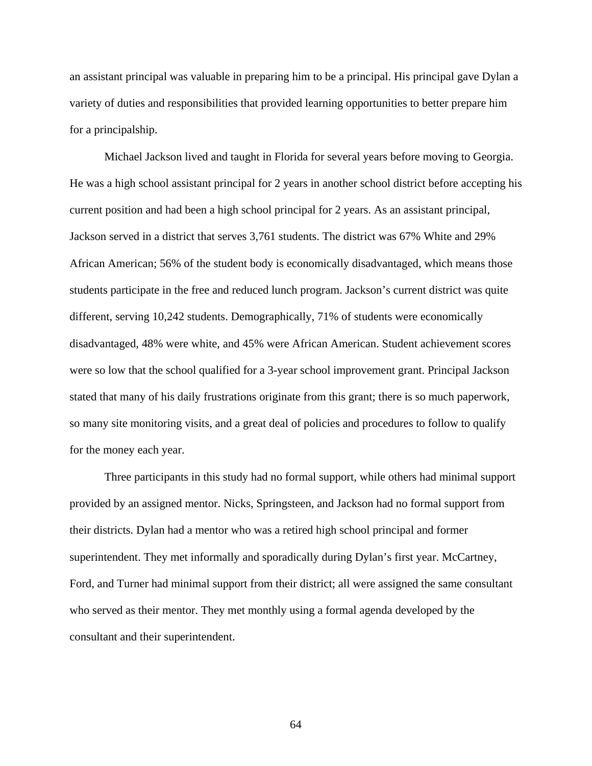an assistant principal was valuable in preparing him to be a principal. His principal gave Dylan a variety of duties and responsibilities that provided learning opportunities to better prepare him for a principalship.

Michael Jackson lived and taught in Florida for several years before moving to Georgia. He was a high school assistant principal for 2 years in another school district before accepting his current position and had been a high school principal for 2 years. As an assistant principal, Jackson served in a district that serves 3,761 students. The district was 67% White and 29% African American; 56% of the student body is economically disadvantaged, which means those students participate in the free and reduced lunch program. Jackson's current district was quite different, serving 10,242 students. Demographically, 71% of students were economically disadvantaged, 48% were white, and 45% were African American. Student achievement scores were so low that the school qualified for a 3-year school improvement grant. Principal Jackson stated that many of his daily frustrations originate from this grant; there is so much paperwork, so many site monitoring visits, and a great deal of policies and procedures to follow to qualify for the money each year.

Three participants in this study had no formal support, while others had minimal support provided by an assigned mentor. Nicks, Springsteen, and Jackson had no formal support from their districts. Dylan had a mentor who was a retired high school principal and former superintendent. They met informally and sporadically during Dylan's first year. McCartney, Ford, and Turner had minimal support from their district; all were assigned the same consultant who served as their mentor. They met monthly using a formal agenda developed by the consultant and their superintendent.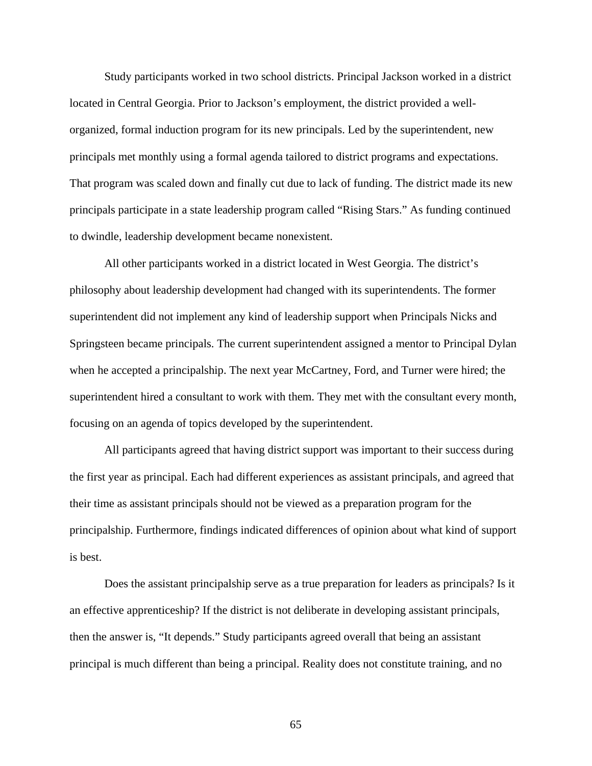Study participants worked in two school districts. Principal Jackson worked in a district located in Central Georgia. Prior to Jackson's employment, the district provided a wellorganized, formal induction program for its new principals. Led by the superintendent, new principals met monthly using a formal agenda tailored to district programs and expectations. That program was scaled down and finally cut due to lack of funding. The district made its new principals participate in a state leadership program called "Rising Stars." As funding continued to dwindle, leadership development became nonexistent.

All other participants worked in a district located in West Georgia. The district's philosophy about leadership development had changed with its superintendents. The former superintendent did not implement any kind of leadership support when Principals Nicks and Springsteen became principals. The current superintendent assigned a mentor to Principal Dylan when he accepted a principalship. The next year McCartney, Ford, and Turner were hired; the superintendent hired a consultant to work with them. They met with the consultant every month, focusing on an agenda of topics developed by the superintendent.

All participants agreed that having district support was important to their success during the first year as principal. Each had different experiences as assistant principals, and agreed that their time as assistant principals should not be viewed as a preparation program for the principalship. Furthermore, findings indicated differences of opinion about what kind of support is best.

Does the assistant principalship serve as a true preparation for leaders as principals? Is it an effective apprenticeship? If the district is not deliberate in developing assistant principals, then the answer is, "It depends." Study participants agreed overall that being an assistant principal is much different than being a principal. Reality does not constitute training, and no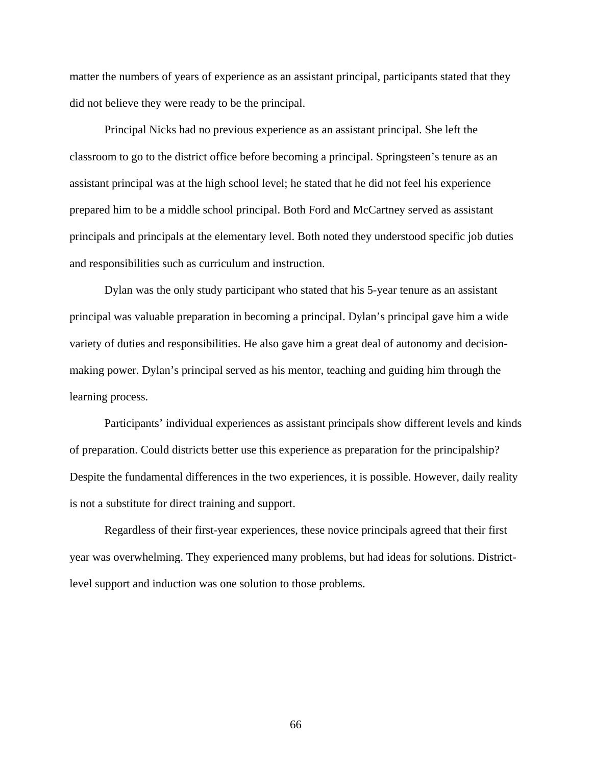matter the numbers of years of experience as an assistant principal, participants stated that they did not believe they were ready to be the principal.

Principal Nicks had no previous experience as an assistant principal. She left the classroom to go to the district office before becoming a principal. Springsteen's tenure as an assistant principal was at the high school level; he stated that he did not feel his experience prepared him to be a middle school principal. Both Ford and McCartney served as assistant principals and principals at the elementary level. Both noted they understood specific job duties and responsibilities such as curriculum and instruction.

Dylan was the only study participant who stated that his 5-year tenure as an assistant principal was valuable preparation in becoming a principal. Dylan's principal gave him a wide variety of duties and responsibilities. He also gave him a great deal of autonomy and decisionmaking power. Dylan's principal served as his mentor, teaching and guiding him through the learning process.

Participants' individual experiences as assistant principals show different levels and kinds of preparation. Could districts better use this experience as preparation for the principalship? Despite the fundamental differences in the two experiences, it is possible. However, daily reality is not a substitute for direct training and support.

Regardless of their first-year experiences, these novice principals agreed that their first year was overwhelming. They experienced many problems, but had ideas for solutions. Districtlevel support and induction was one solution to those problems.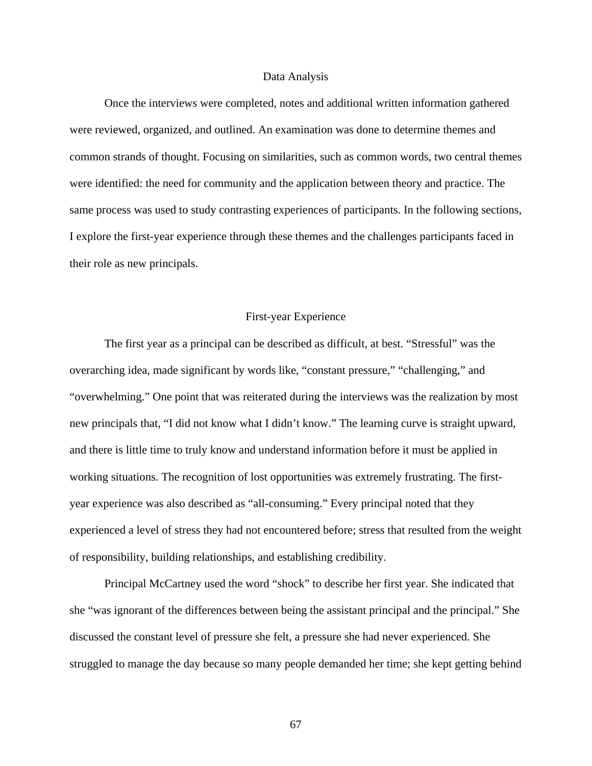#### Data Analysis

 Once the interviews were completed, notes and additional written information gathered were reviewed, organized, and outlined. An examination was done to determine themes and common strands of thought. Focusing on similarities, such as common words, two central themes were identified: the need for community and the application between theory and practice. The same process was used to study contrasting experiences of participants. In the following sections, I explore the first-year experience through these themes and the challenges participants faced in their role as new principals.

# First-year Experience

The first year as a principal can be described as difficult, at best. "Stressful" was the overarching idea, made significant by words like, "constant pressure," "challenging," and "overwhelming." One point that was reiterated during the interviews was the realization by most new principals that, "I did not know what I didn't know." The learning curve is straight upward, and there is little time to truly know and understand information before it must be applied in working situations. The recognition of lost opportunities was extremely frustrating. The firstyear experience was also described as "all-consuming." Every principal noted that they experienced a level of stress they had not encountered before; stress that resulted from the weight of responsibility, building relationships, and establishing credibility.

Principal McCartney used the word "shock" to describe her first year. She indicated that she "was ignorant of the differences between being the assistant principal and the principal." She discussed the constant level of pressure she felt, a pressure she had never experienced. She struggled to manage the day because so many people demanded her time; she kept getting behind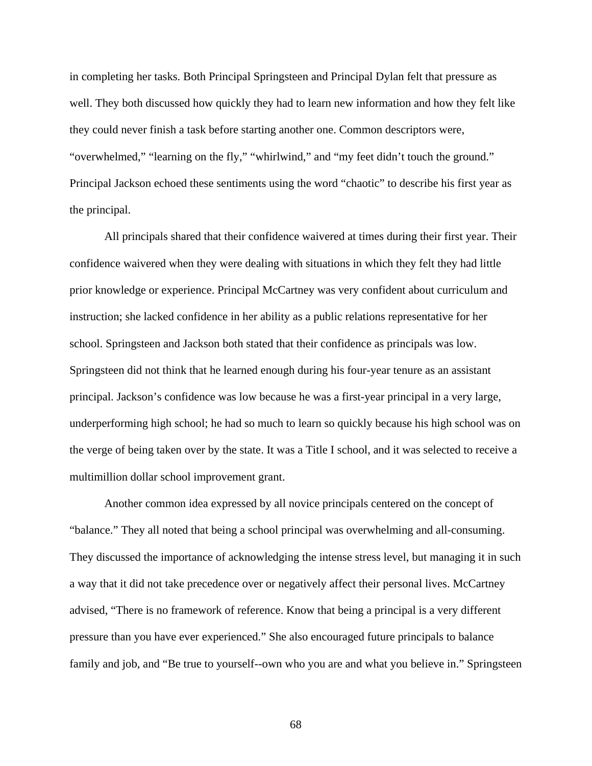in completing her tasks. Both Principal Springsteen and Principal Dylan felt that pressure as well. They both discussed how quickly they had to learn new information and how they felt like they could never finish a task before starting another one. Common descriptors were, "overwhelmed," "learning on the fly," "whirlwind," and "my feet didn't touch the ground." Principal Jackson echoed these sentiments using the word "chaotic" to describe his first year as the principal.

All principals shared that their confidence waivered at times during their first year. Their confidence waivered when they were dealing with situations in which they felt they had little prior knowledge or experience. Principal McCartney was very confident about curriculum and instruction; she lacked confidence in her ability as a public relations representative for her school. Springsteen and Jackson both stated that their confidence as principals was low. Springsteen did not think that he learned enough during his four-year tenure as an assistant principal. Jackson's confidence was low because he was a first-year principal in a very large, underperforming high school; he had so much to learn so quickly because his high school was on the verge of being taken over by the state. It was a Title I school, and it was selected to receive a multimillion dollar school improvement grant.

Another common idea expressed by all novice principals centered on the concept of "balance." They all noted that being a school principal was overwhelming and all-consuming. They discussed the importance of acknowledging the intense stress level, but managing it in such a way that it did not take precedence over or negatively affect their personal lives. McCartney advised, "There is no framework of reference. Know that being a principal is a very different pressure than you have ever experienced." She also encouraged future principals to balance family and job, and "Be true to yourself--own who you are and what you believe in." Springsteen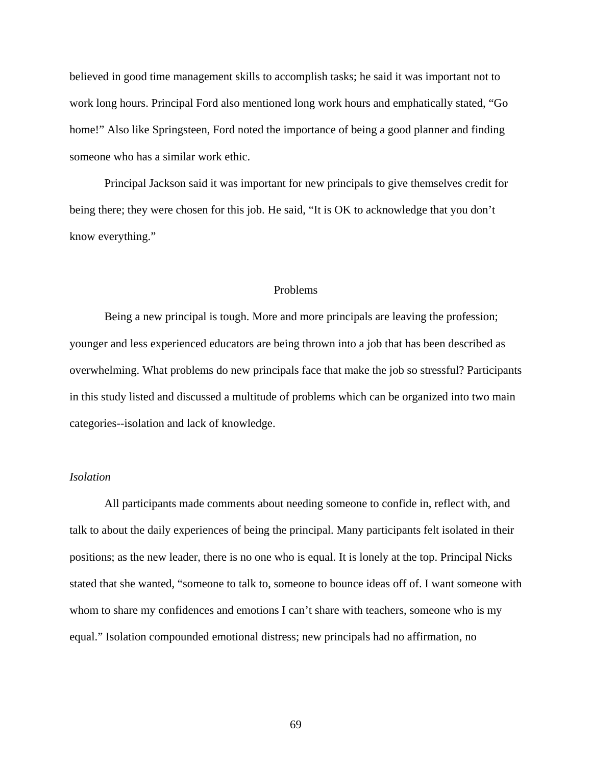believed in good time management skills to accomplish tasks; he said it was important not to work long hours. Principal Ford also mentioned long work hours and emphatically stated, "Go home!" Also like Springsteen, Ford noted the importance of being a good planner and finding someone who has a similar work ethic.

 Principal Jackson said it was important for new principals to give themselves credit for being there; they were chosen for this job. He said, "It is OK to acknowledge that you don't know everything."

## Problems

Being a new principal is tough. More and more principals are leaving the profession; younger and less experienced educators are being thrown into a job that has been described as overwhelming. What problems do new principals face that make the job so stressful? Participants in this study listed and discussed a multitude of problems which can be organized into two main categories--isolation and lack of knowledge.

## *Isolation*

All participants made comments about needing someone to confide in, reflect with, and talk to about the daily experiences of being the principal. Many participants felt isolated in their positions; as the new leader, there is no one who is equal. It is lonely at the top. Principal Nicks stated that she wanted, "someone to talk to, someone to bounce ideas off of. I want someone with whom to share my confidences and emotions I can't share with teachers, someone who is my equal." Isolation compounded emotional distress; new principals had no affirmation, no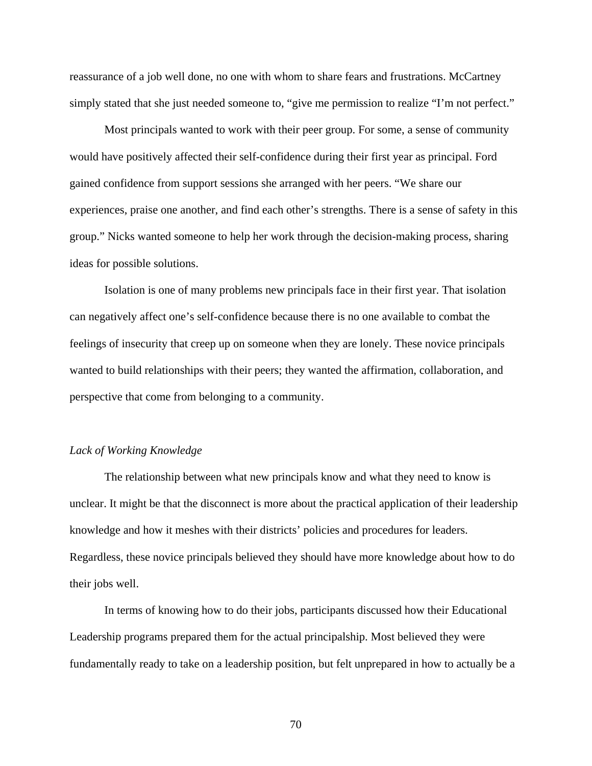reassurance of a job well done, no one with whom to share fears and frustrations. McCartney simply stated that she just needed someone to, "give me permission to realize "I'm not perfect."

Most principals wanted to work with their peer group. For some, a sense of community would have positively affected their self-confidence during their first year as principal. Ford gained confidence from support sessions she arranged with her peers. "We share our experiences, praise one another, and find each other's strengths. There is a sense of safety in this group." Nicks wanted someone to help her work through the decision-making process, sharing ideas for possible solutions.

Isolation is one of many problems new principals face in their first year. That isolation can negatively affect one's self-confidence because there is no one available to combat the feelings of insecurity that creep up on someone when they are lonely. These novice principals wanted to build relationships with their peers; they wanted the affirmation, collaboration, and perspective that come from belonging to a community.

# *Lack of Working Knowledge*

The relationship between what new principals know and what they need to know is unclear. It might be that the disconnect is more about the practical application of their leadership knowledge and how it meshes with their districts' policies and procedures for leaders. Regardless, these novice principals believed they should have more knowledge about how to do their jobs well.

In terms of knowing how to do their jobs, participants discussed how their Educational Leadership programs prepared them for the actual principalship. Most believed they were fundamentally ready to take on a leadership position, but felt unprepared in how to actually be a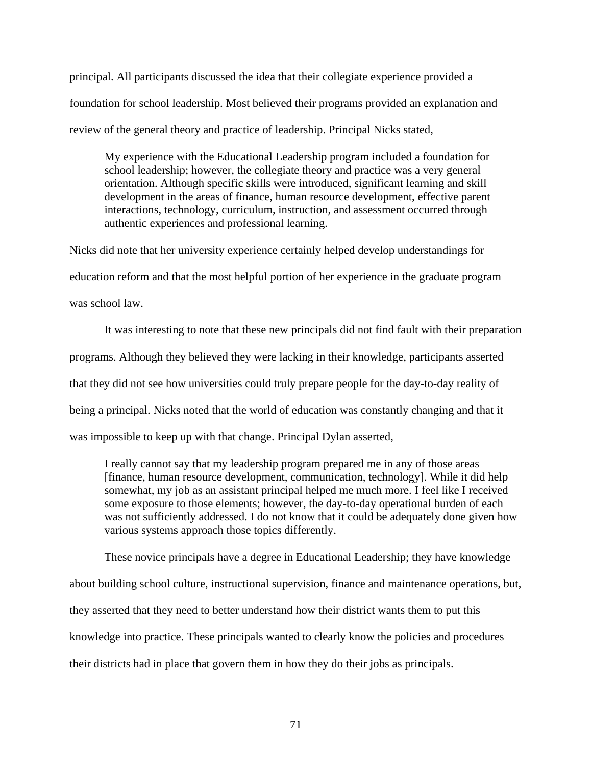principal. All participants discussed the idea that their collegiate experience provided a foundation for school leadership. Most believed their programs provided an explanation and review of the general theory and practice of leadership. Principal Nicks stated,

My experience with the Educational Leadership program included a foundation for school leadership; however, the collegiate theory and practice was a very general orientation. Although specific skills were introduced, significant learning and skill development in the areas of finance, human resource development, effective parent interactions, technology, curriculum, instruction, and assessment occurred through authentic experiences and professional learning.

Nicks did note that her university experience certainly helped develop understandings for education reform and that the most helpful portion of her experience in the graduate program was school law.

It was interesting to note that these new principals did not find fault with their preparation programs. Although they believed they were lacking in their knowledge, participants asserted that they did not see how universities could truly prepare people for the day-to-day reality of being a principal. Nicks noted that the world of education was constantly changing and that it was impossible to keep up with that change. Principal Dylan asserted,

I really cannot say that my leadership program prepared me in any of those areas [finance, human resource development, communication, technology]. While it did help somewhat, my job as an assistant principal helped me much more. I feel like I received some exposure to those elements; however, the day-to-day operational burden of each was not sufficiently addressed. I do not know that it could be adequately done given how various systems approach those topics differently.

These novice principals have a degree in Educational Leadership; they have knowledge about building school culture, instructional supervision, finance and maintenance operations, but, they asserted that they need to better understand how their district wants them to put this knowledge into practice. These principals wanted to clearly know the policies and procedures their districts had in place that govern them in how they do their jobs as principals.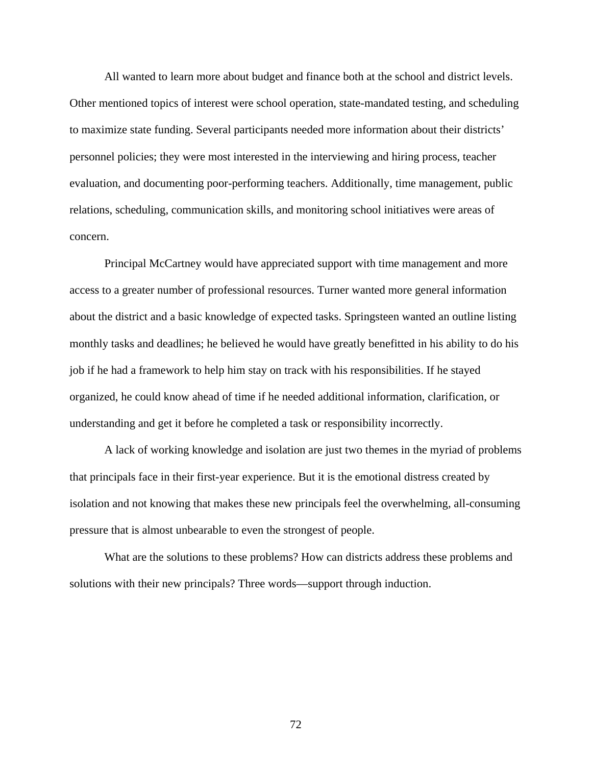All wanted to learn more about budget and finance both at the school and district levels. Other mentioned topics of interest were school operation, state-mandated testing, and scheduling to maximize state funding. Several participants needed more information about their districts' personnel policies; they were most interested in the interviewing and hiring process, teacher evaluation, and documenting poor-performing teachers. Additionally, time management, public relations, scheduling, communication skills, and monitoring school initiatives were areas of concern.

Principal McCartney would have appreciated support with time management and more access to a greater number of professional resources. Turner wanted more general information about the district and a basic knowledge of expected tasks. Springsteen wanted an outline listing monthly tasks and deadlines; he believed he would have greatly benefitted in his ability to do his job if he had a framework to help him stay on track with his responsibilities. If he stayed organized, he could know ahead of time if he needed additional information, clarification, or understanding and get it before he completed a task or responsibility incorrectly.

 A lack of working knowledge and isolation are just two themes in the myriad of problems that principals face in their first-year experience. But it is the emotional distress created by isolation and not knowing that makes these new principals feel the overwhelming, all-consuming pressure that is almost unbearable to even the strongest of people.

 What are the solutions to these problems? How can districts address these problems and solutions with their new principals? Three words—support through induction.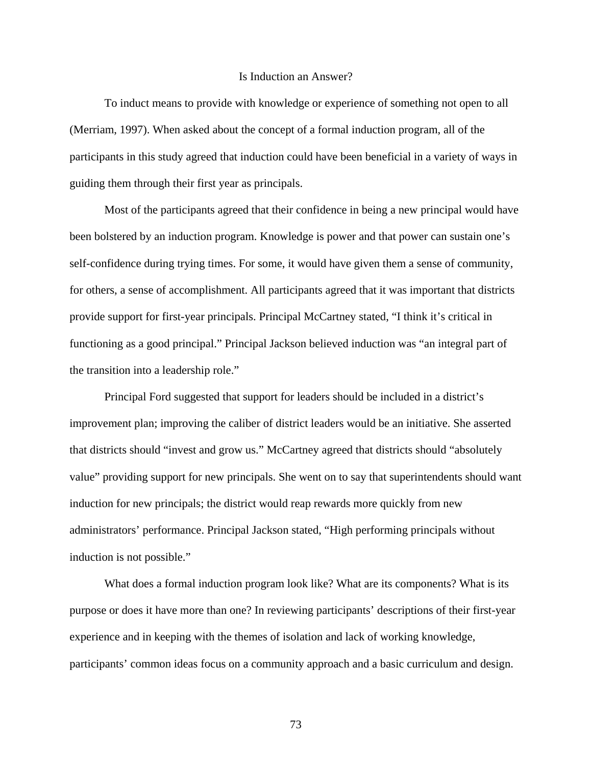### Is Induction an Answer?

To induct means to provide with knowledge or experience of something not open to all (Merriam, 1997). When asked about the concept of a formal induction program, all of the participants in this study agreed that induction could have been beneficial in a variety of ways in guiding them through their first year as principals.

Most of the participants agreed that their confidence in being a new principal would have been bolstered by an induction program. Knowledge is power and that power can sustain one's self-confidence during trying times. For some, it would have given them a sense of community, for others, a sense of accomplishment. All participants agreed that it was important that districts provide support for first-year principals. Principal McCartney stated, "I think it's critical in functioning as a good principal." Principal Jackson believed induction was "an integral part of the transition into a leadership role."

Principal Ford suggested that support for leaders should be included in a district's improvement plan; improving the caliber of district leaders would be an initiative. She asserted that districts should "invest and grow us." McCartney agreed that districts should "absolutely value" providing support for new principals. She went on to say that superintendents should want induction for new principals; the district would reap rewards more quickly from new administrators' performance. Principal Jackson stated, "High performing principals without induction is not possible."

What does a formal induction program look like? What are its components? What is its purpose or does it have more than one? In reviewing participants' descriptions of their first-year experience and in keeping with the themes of isolation and lack of working knowledge, participants' common ideas focus on a community approach and a basic curriculum and design.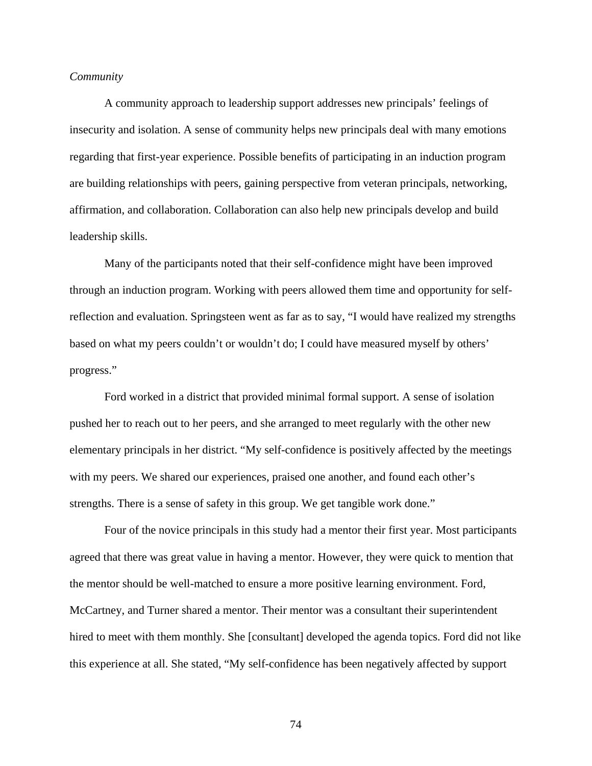# *Community*

A community approach to leadership support addresses new principals' feelings of insecurity and isolation. A sense of community helps new principals deal with many emotions regarding that first-year experience. Possible benefits of participating in an induction program are building relationships with peers, gaining perspective from veteran principals, networking, affirmation, and collaboration. Collaboration can also help new principals develop and build leadership skills.

Many of the participants noted that their self-confidence might have been improved through an induction program. Working with peers allowed them time and opportunity for selfreflection and evaluation. Springsteen went as far as to say, "I would have realized my strengths based on what my peers couldn't or wouldn't do; I could have measured myself by others' progress."

Ford worked in a district that provided minimal formal support. A sense of isolation pushed her to reach out to her peers, and she arranged to meet regularly with the other new elementary principals in her district. "My self-confidence is positively affected by the meetings with my peers. We shared our experiences, praised one another, and found each other's strengths. There is a sense of safety in this group. We get tangible work done."

 Four of the novice principals in this study had a mentor their first year. Most participants agreed that there was great value in having a mentor. However, they were quick to mention that the mentor should be well-matched to ensure a more positive learning environment. Ford, McCartney, and Turner shared a mentor. Their mentor was a consultant their superintendent hired to meet with them monthly. She [consultant] developed the agenda topics. Ford did not like this experience at all. She stated, "My self-confidence has been negatively affected by support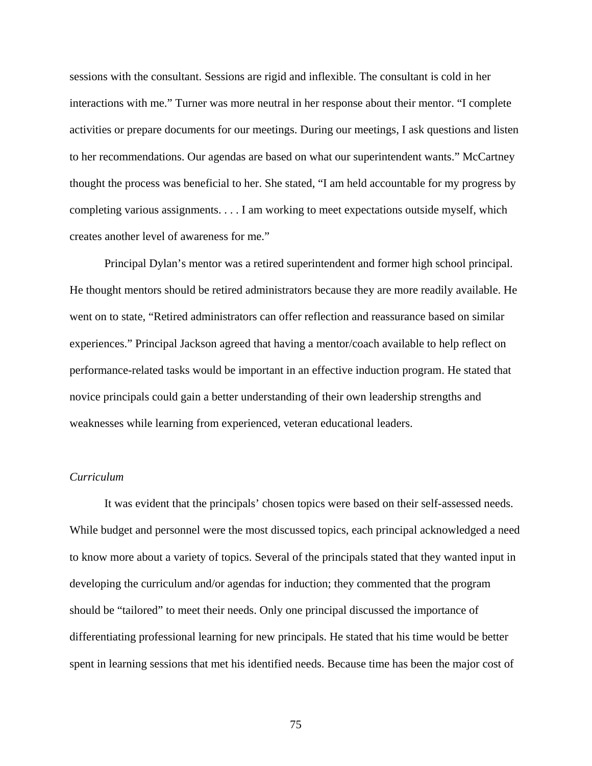sessions with the consultant. Sessions are rigid and inflexible. The consultant is cold in her interactions with me." Turner was more neutral in her response about their mentor. "I complete activities or prepare documents for our meetings. During our meetings, I ask questions and listen to her recommendations. Our agendas are based on what our superintendent wants." McCartney thought the process was beneficial to her. She stated, "I am held accountable for my progress by completing various assignments. . . . I am working to meet expectations outside myself, which creates another level of awareness for me."

Principal Dylan's mentor was a retired superintendent and former high school principal. He thought mentors should be retired administrators because they are more readily available. He went on to state, "Retired administrators can offer reflection and reassurance based on similar experiences." Principal Jackson agreed that having a mentor/coach available to help reflect on performance-related tasks would be important in an effective induction program. He stated that novice principals could gain a better understanding of their own leadership strengths and weaknesses while learning from experienced, veteran educational leaders.

# *Curriculum*

It was evident that the principals' chosen topics were based on their self-assessed needs. While budget and personnel were the most discussed topics, each principal acknowledged a need to know more about a variety of topics. Several of the principals stated that they wanted input in developing the curriculum and/or agendas for induction; they commented that the program should be "tailored" to meet their needs. Only one principal discussed the importance of differentiating professional learning for new principals. He stated that his time would be better spent in learning sessions that met his identified needs. Because time has been the major cost of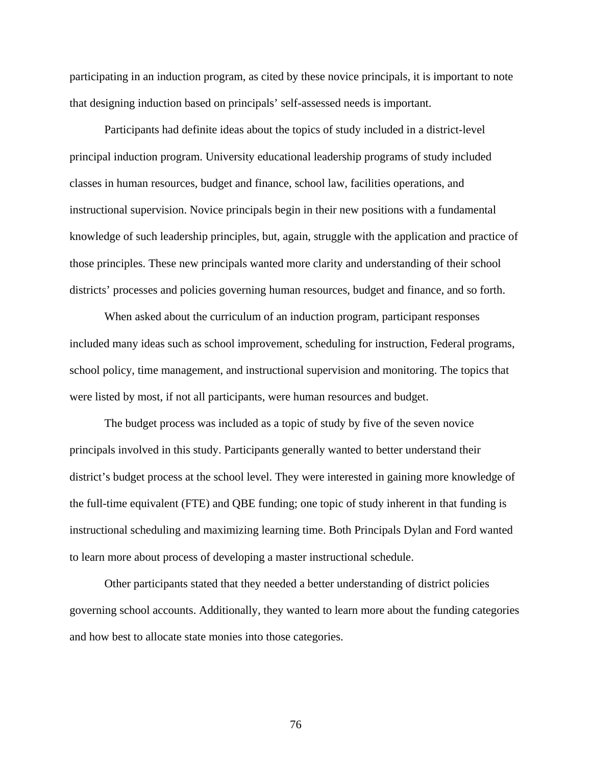participating in an induction program, as cited by these novice principals, it is important to note that designing induction based on principals' self-assessed needs is important.

Participants had definite ideas about the topics of study included in a district-level principal induction program. University educational leadership programs of study included classes in human resources, budget and finance, school law, facilities operations, and instructional supervision. Novice principals begin in their new positions with a fundamental knowledge of such leadership principles, but, again, struggle with the application and practice of those principles. These new principals wanted more clarity and understanding of their school districts' processes and policies governing human resources, budget and finance, and so forth.

 When asked about the curriculum of an induction program, participant responses included many ideas such as school improvement, scheduling for instruction, Federal programs, school policy, time management, and instructional supervision and monitoring. The topics that were listed by most, if not all participants, were human resources and budget.

 The budget process was included as a topic of study by five of the seven novice principals involved in this study. Participants generally wanted to better understand their district's budget process at the school level. They were interested in gaining more knowledge of the full-time equivalent (FTE) and QBE funding; one topic of study inherent in that funding is instructional scheduling and maximizing learning time. Both Principals Dylan and Ford wanted to learn more about process of developing a master instructional schedule.

 Other participants stated that they needed a better understanding of district policies governing school accounts. Additionally, they wanted to learn more about the funding categories and how best to allocate state monies into those categories.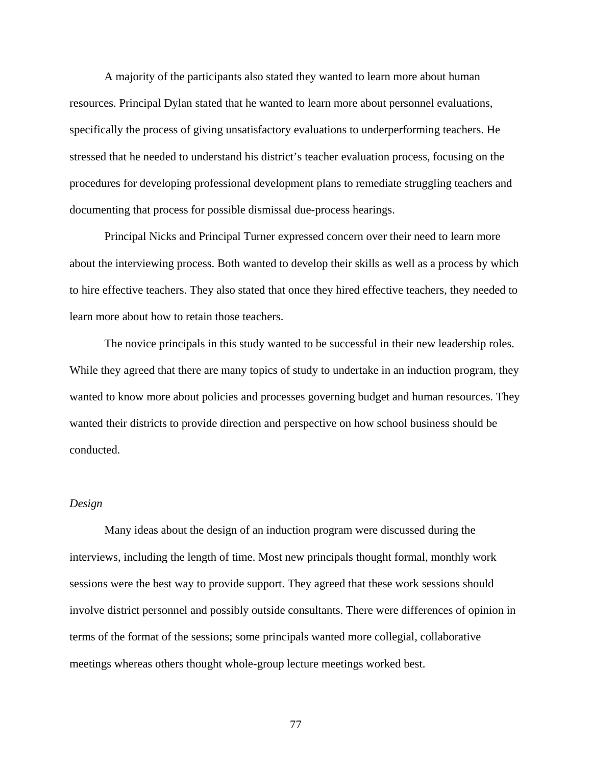A majority of the participants also stated they wanted to learn more about human resources. Principal Dylan stated that he wanted to learn more about personnel evaluations, specifically the process of giving unsatisfactory evaluations to underperforming teachers. He stressed that he needed to understand his district's teacher evaluation process, focusing on the procedures for developing professional development plans to remediate struggling teachers and documenting that process for possible dismissal due-process hearings.

 Principal Nicks and Principal Turner expressed concern over their need to learn more about the interviewing process. Both wanted to develop their skills as well as a process by which to hire effective teachers. They also stated that once they hired effective teachers, they needed to learn more about how to retain those teachers.

 The novice principals in this study wanted to be successful in their new leadership roles. While they agreed that there are many topics of study to undertake in an induction program, they wanted to know more about policies and processes governing budget and human resources. They wanted their districts to provide direction and perspective on how school business should be conducted.

### *Design*

Many ideas about the design of an induction program were discussed during the interviews, including the length of time. Most new principals thought formal, monthly work sessions were the best way to provide support. They agreed that these work sessions should involve district personnel and possibly outside consultants. There were differences of opinion in terms of the format of the sessions; some principals wanted more collegial, collaborative meetings whereas others thought whole-group lecture meetings worked best.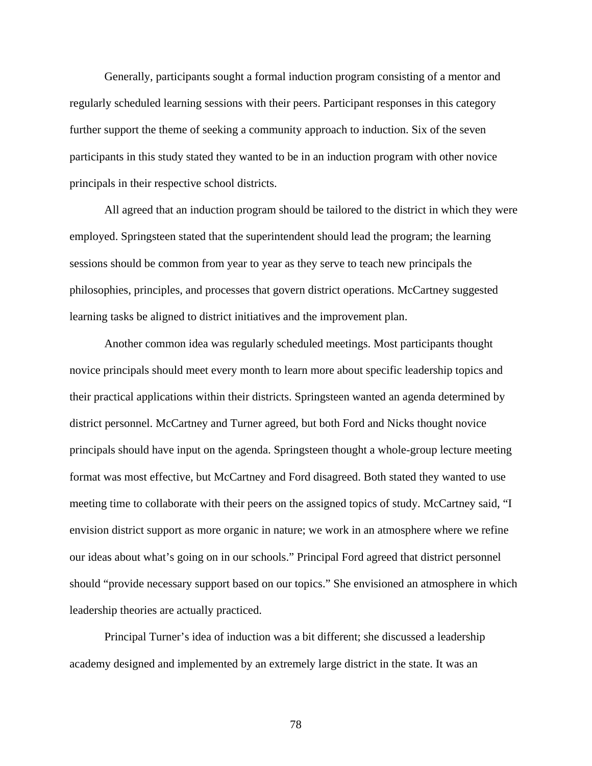Generally, participants sought a formal induction program consisting of a mentor and regularly scheduled learning sessions with their peers. Participant responses in this category further support the theme of seeking a community approach to induction. Six of the seven participants in this study stated they wanted to be in an induction program with other novice principals in their respective school districts.

 All agreed that an induction program should be tailored to the district in which they were employed. Springsteen stated that the superintendent should lead the program; the learning sessions should be common from year to year as they serve to teach new principals the philosophies, principles, and processes that govern district operations. McCartney suggested learning tasks be aligned to district initiatives and the improvement plan.

 Another common idea was regularly scheduled meetings. Most participants thought novice principals should meet every month to learn more about specific leadership topics and their practical applications within their districts. Springsteen wanted an agenda determined by district personnel. McCartney and Turner agreed, but both Ford and Nicks thought novice principals should have input on the agenda. Springsteen thought a whole-group lecture meeting format was most effective, but McCartney and Ford disagreed. Both stated they wanted to use meeting time to collaborate with their peers on the assigned topics of study. McCartney said, "I envision district support as more organic in nature; we work in an atmosphere where we refine our ideas about what's going on in our schools." Principal Ford agreed that district personnel should "provide necessary support based on our topics." She envisioned an atmosphere in which leadership theories are actually practiced.

Principal Turner's idea of induction was a bit different; she discussed a leadership academy designed and implemented by an extremely large district in the state. It was an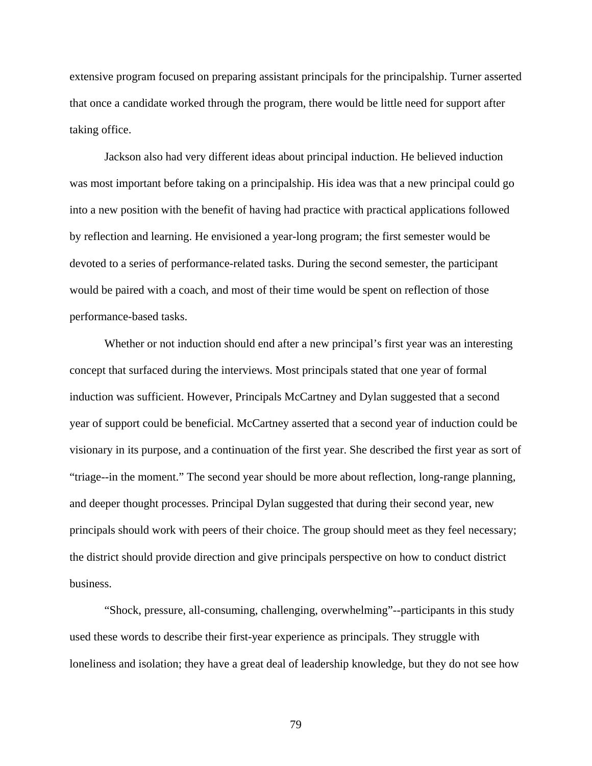extensive program focused on preparing assistant principals for the principalship. Turner asserted that once a candidate worked through the program, there would be little need for support after taking office.

 Jackson also had very different ideas about principal induction. He believed induction was most important before taking on a principalship. His idea was that a new principal could go into a new position with the benefit of having had practice with practical applications followed by reflection and learning. He envisioned a year-long program; the first semester would be devoted to a series of performance-related tasks. During the second semester, the participant would be paired with a coach, and most of their time would be spent on reflection of those performance-based tasks.

 Whether or not induction should end after a new principal's first year was an interesting concept that surfaced during the interviews. Most principals stated that one year of formal induction was sufficient. However, Principals McCartney and Dylan suggested that a second year of support could be beneficial. McCartney asserted that a second year of induction could be visionary in its purpose, and a continuation of the first year. She described the first year as sort of "triage--in the moment." The second year should be more about reflection, long-range planning, and deeper thought processes. Principal Dylan suggested that during their second year, new principals should work with peers of their choice. The group should meet as they feel necessary; the district should provide direction and give principals perspective on how to conduct district business.

 "Shock, pressure, all-consuming, challenging, overwhelming"--participants in this study used these words to describe their first-year experience as principals. They struggle with loneliness and isolation; they have a great deal of leadership knowledge, but they do not see how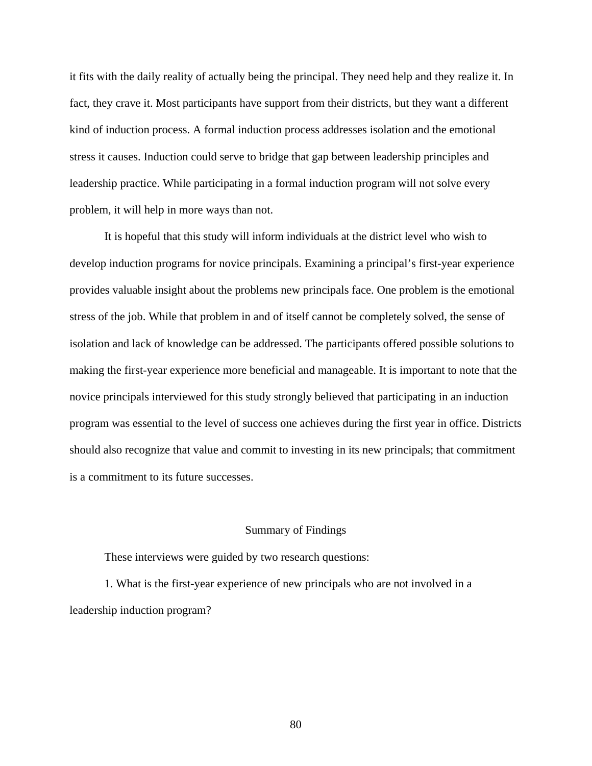it fits with the daily reality of actually being the principal. They need help and they realize it. In fact, they crave it. Most participants have support from their districts, but they want a different kind of induction process. A formal induction process addresses isolation and the emotional stress it causes. Induction could serve to bridge that gap between leadership principles and leadership practice. While participating in a formal induction program will not solve every problem, it will help in more ways than not.

 It is hopeful that this study will inform individuals at the district level who wish to develop induction programs for novice principals. Examining a principal's first-year experience provides valuable insight about the problems new principals face. One problem is the emotional stress of the job. While that problem in and of itself cannot be completely solved, the sense of isolation and lack of knowledge can be addressed. The participants offered possible solutions to making the first-year experience more beneficial and manageable. It is important to note that the novice principals interviewed for this study strongly believed that participating in an induction program was essential to the level of success one achieves during the first year in office. Districts should also recognize that value and commit to investing in its new principals; that commitment is a commitment to its future successes.

#### Summary of Findings

These interviews were guided by two research questions:

1. What is the first-year experience of new principals who are not involved in a leadership induction program?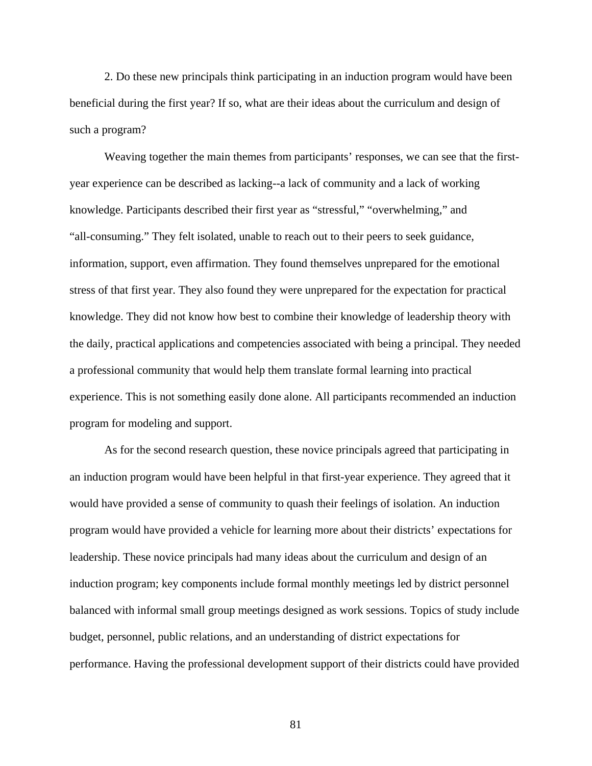2. Do these new principals think participating in an induction program would have been beneficial during the first year? If so, what are their ideas about the curriculum and design of such a program?

Weaving together the main themes from participants' responses, we can see that the firstyear experience can be described as lacking--a lack of community and a lack of working knowledge. Participants described their first year as "stressful," "overwhelming," and "all-consuming." They felt isolated, unable to reach out to their peers to seek guidance, information, support, even affirmation. They found themselves unprepared for the emotional stress of that first year. They also found they were unprepared for the expectation for practical knowledge. They did not know how best to combine their knowledge of leadership theory with the daily, practical applications and competencies associated with being a principal. They needed a professional community that would help them translate formal learning into practical experience. This is not something easily done alone. All participants recommended an induction program for modeling and support.

As for the second research question, these novice principals agreed that participating in an induction program would have been helpful in that first-year experience. They agreed that it would have provided a sense of community to quash their feelings of isolation. An induction program would have provided a vehicle for learning more about their districts' expectations for leadership. These novice principals had many ideas about the curriculum and design of an induction program; key components include formal monthly meetings led by district personnel balanced with informal small group meetings designed as work sessions. Topics of study include budget, personnel, public relations, and an understanding of district expectations for performance. Having the professional development support of their districts could have provided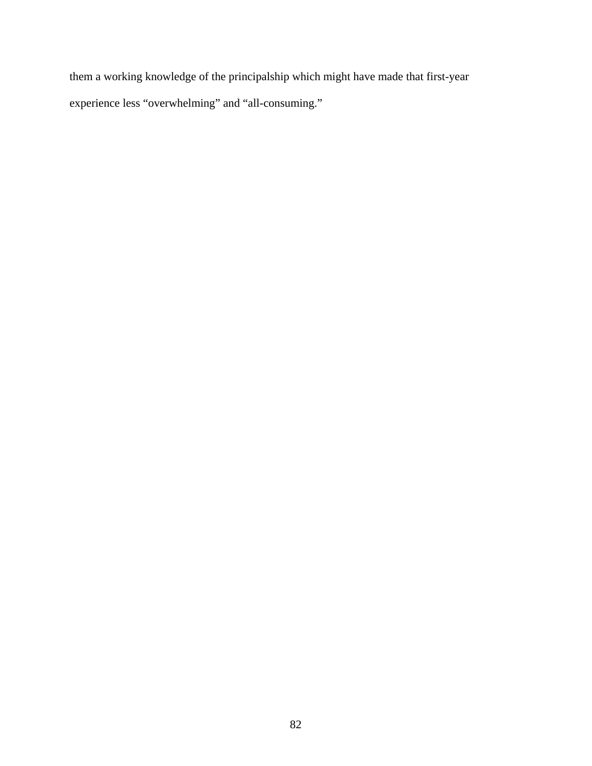them a working knowledge of the principalship which might have made that first-year experience less "overwhelming" and "all-consuming."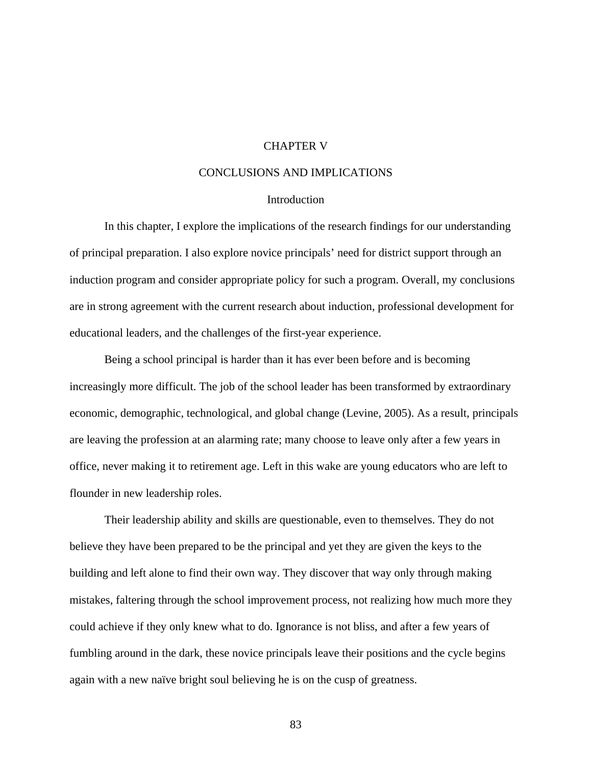# CHAPTER V

## CONCLUSIONS AND IMPLICATIONS

## **Introduction**

 In this chapter, I explore the implications of the research findings for our understanding of principal preparation. I also explore novice principals' need for district support through an induction program and consider appropriate policy for such a program. Overall, my conclusions are in strong agreement with the current research about induction, professional development for educational leaders, and the challenges of the first-year experience.

Being a school principal is harder than it has ever been before and is becoming increasingly more difficult. The job of the school leader has been transformed by extraordinary economic, demographic, technological, and global change (Levine, 2005). As a result, principals are leaving the profession at an alarming rate; many choose to leave only after a few years in office, never making it to retirement age. Left in this wake are young educators who are left to flounder in new leadership roles.

 Their leadership ability and skills are questionable, even to themselves. They do not believe they have been prepared to be the principal and yet they are given the keys to the building and left alone to find their own way. They discover that way only through making mistakes, faltering through the school improvement process, not realizing how much more they could achieve if they only knew what to do. Ignorance is not bliss, and after a few years of fumbling around in the dark, these novice principals leave their positions and the cycle begins again with a new naïve bright soul believing he is on the cusp of greatness.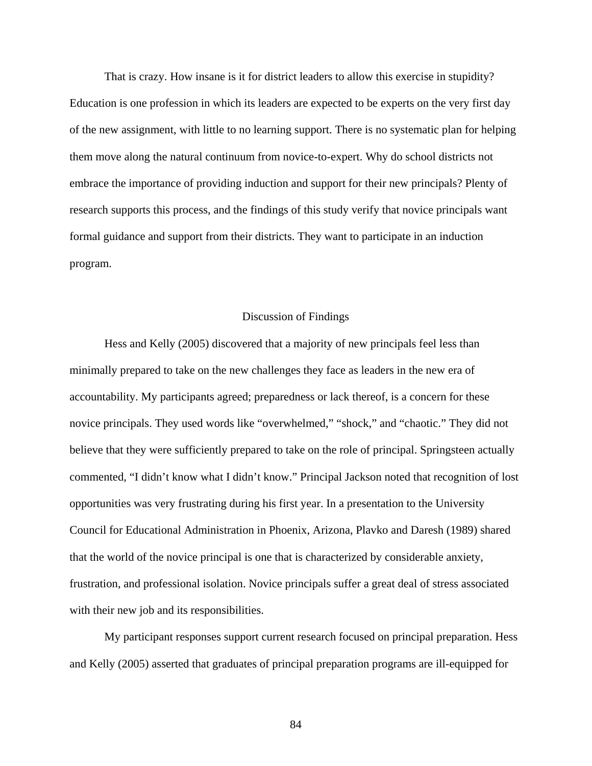That is crazy. How insane is it for district leaders to allow this exercise in stupidity? Education is one profession in which its leaders are expected to be experts on the very first day of the new assignment, with little to no learning support. There is no systematic plan for helping them move along the natural continuum from novice-to-expert. Why do school districts not embrace the importance of providing induction and support for their new principals? Plenty of research supports this process, and the findings of this study verify that novice principals want formal guidance and support from their districts. They want to participate in an induction program.

#### Discussion of Findings

Hess and Kelly (2005) discovered that a majority of new principals feel less than minimally prepared to take on the new challenges they face as leaders in the new era of accountability. My participants agreed; preparedness or lack thereof, is a concern for these novice principals. They used words like "overwhelmed," "shock," and "chaotic." They did not believe that they were sufficiently prepared to take on the role of principal. Springsteen actually commented, "I didn't know what I didn't know." Principal Jackson noted that recognition of lost opportunities was very frustrating during his first year. In a presentation to the University Council for Educational Administration in Phoenix, Arizona, Plavko and Daresh (1989) shared that the world of the novice principal is one that is characterized by considerable anxiety, frustration, and professional isolation. Novice principals suffer a great deal of stress associated with their new job and its responsibilities.

My participant responses support current research focused on principal preparation. Hess and Kelly (2005) asserted that graduates of principal preparation programs are ill-equipped for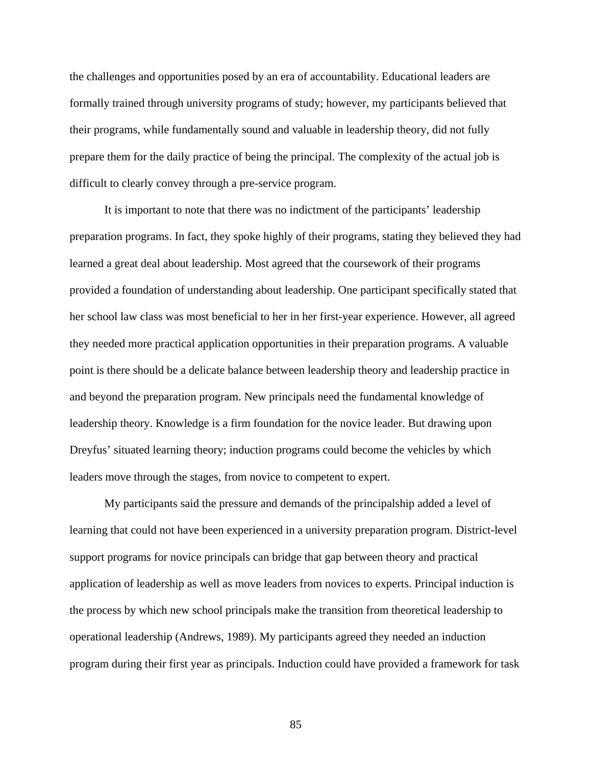the challenges and opportunities posed by an era of accountability. Educational leaders are formally trained through university programs of study; however, my participants believed that their programs, while fundamentally sound and valuable in leadership theory, did not fully prepare them for the daily practice of being the principal. The complexity of the actual job is difficult to clearly convey through a pre-service program.

It is important to note that there was no indictment of the participants' leadership preparation programs. In fact, they spoke highly of their programs, stating they believed they had learned a great deal about leadership. Most agreed that the coursework of their programs provided a foundation of understanding about leadership. One participant specifically stated that her school law class was most beneficial to her in her first-year experience. However, all agreed they needed more practical application opportunities in their preparation programs. A valuable point is there should be a delicate balance between leadership theory and leadership practice in and beyond the preparation program. New principals need the fundamental knowledge of leadership theory. Knowledge is a firm foundation for the novice leader. But drawing upon Dreyfus' situated learning theory; induction programs could become the vehicles by which leaders move through the stages, from novice to competent to expert.

My participants said the pressure and demands of the principalship added a level of learning that could not have been experienced in a university preparation program. District-level support programs for novice principals can bridge that gap between theory and practical application of leadership as well as move leaders from novices to experts. Principal induction is the process by which new school principals make the transition from theoretical leadership to operational leadership (Andrews, 1989). My participants agreed they needed an induction program during their first year as principals. Induction could have provided a framework for task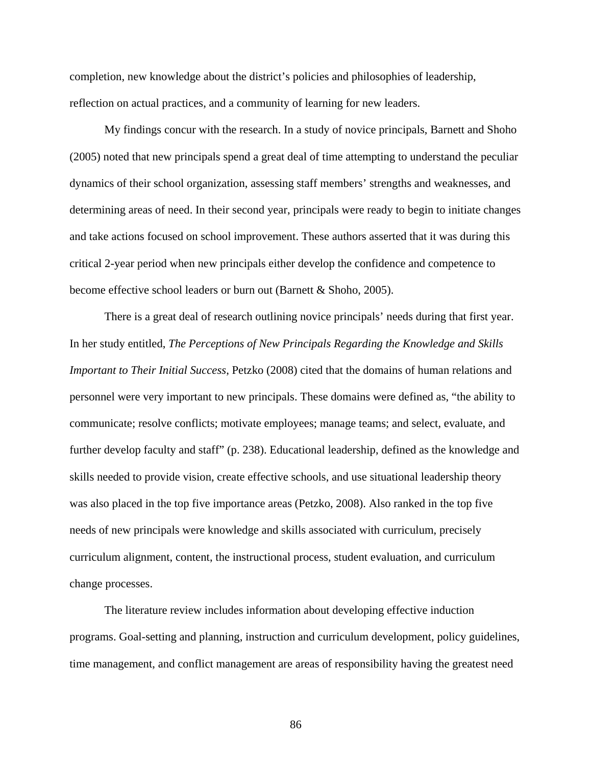completion, new knowledge about the district's policies and philosophies of leadership, reflection on actual practices, and a community of learning for new leaders.

My findings concur with the research. In a study of novice principals, Barnett and Shoho (2005) noted that new principals spend a great deal of time attempting to understand the peculiar dynamics of their school organization, assessing staff members' strengths and weaknesses, and determining areas of need. In their second year, principals were ready to begin to initiate changes and take actions focused on school improvement. These authors asserted that it was during this critical 2-year period when new principals either develop the confidence and competence to become effective school leaders or burn out (Barnett & Shoho, 2005).

There is a great deal of research outlining novice principals' needs during that first year. In her study entitled, *The Perceptions of New Principals Regarding the Knowledge and Skills Important to Their Initial Success*, Petzko (2008) cited that the domains of human relations and personnel were very important to new principals. These domains were defined as, "the ability to communicate; resolve conflicts; motivate employees; manage teams; and select, evaluate, and further develop faculty and staff" (p. 238). Educational leadership, defined as the knowledge and skills needed to provide vision, create effective schools, and use situational leadership theory was also placed in the top five importance areas (Petzko, 2008). Also ranked in the top five needs of new principals were knowledge and skills associated with curriculum, precisely curriculum alignment, content, the instructional process, student evaluation, and curriculum change processes.

The literature review includes information about developing effective induction programs. Goal-setting and planning, instruction and curriculum development, policy guidelines, time management, and conflict management are areas of responsibility having the greatest need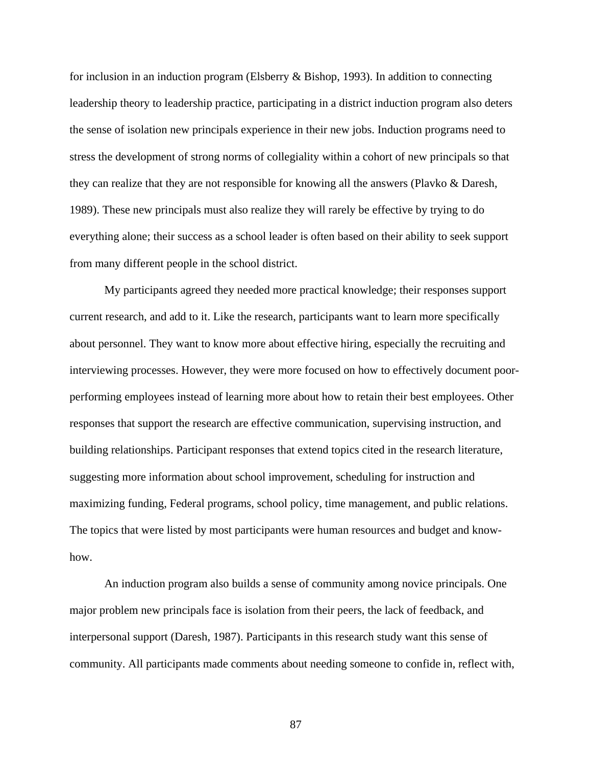for inclusion in an induction program (Elsberry & Bishop, 1993). In addition to connecting leadership theory to leadership practice, participating in a district induction program also deters the sense of isolation new principals experience in their new jobs. Induction programs need to stress the development of strong norms of collegiality within a cohort of new principals so that they can realize that they are not responsible for knowing all the answers (Plavko & Daresh, 1989). These new principals must also realize they will rarely be effective by trying to do everything alone; their success as a school leader is often based on their ability to seek support from many different people in the school district.

My participants agreed they needed more practical knowledge; their responses support current research, and add to it. Like the research, participants want to learn more specifically about personnel. They want to know more about effective hiring, especially the recruiting and interviewing processes. However, they were more focused on how to effectively document poorperforming employees instead of learning more about how to retain their best employees. Other responses that support the research are effective communication, supervising instruction, and building relationships. Participant responses that extend topics cited in the research literature, suggesting more information about school improvement, scheduling for instruction and maximizing funding, Federal programs, school policy, time management, and public relations. The topics that were listed by most participants were human resources and budget and knowhow.

An induction program also builds a sense of community among novice principals. One major problem new principals face is isolation from their peers, the lack of feedback, and interpersonal support (Daresh, 1987). Participants in this research study want this sense of community. All participants made comments about needing someone to confide in, reflect with,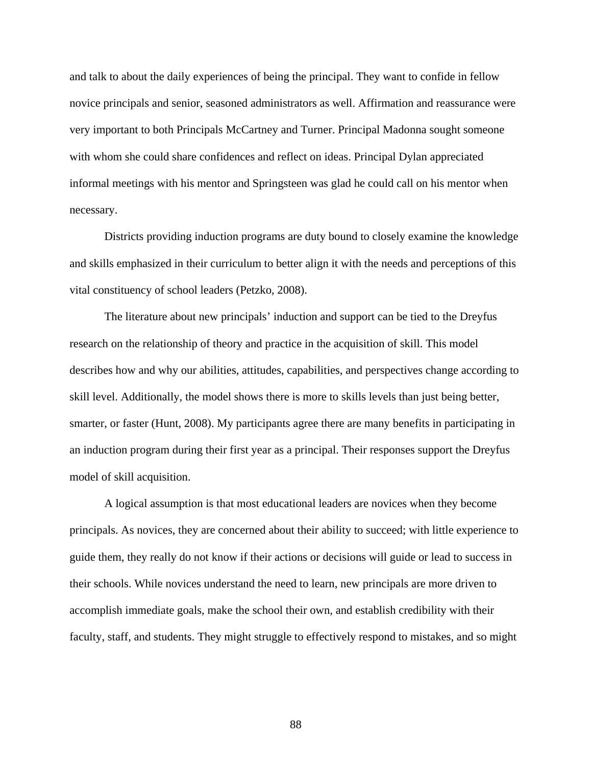and talk to about the daily experiences of being the principal. They want to confide in fellow novice principals and senior, seasoned administrators as well. Affirmation and reassurance were very important to both Principals McCartney and Turner. Principal Madonna sought someone with whom she could share confidences and reflect on ideas. Principal Dylan appreciated informal meetings with his mentor and Springsteen was glad he could call on his mentor when necessary.

Districts providing induction programs are duty bound to closely examine the knowledge and skills emphasized in their curriculum to better align it with the needs and perceptions of this vital constituency of school leaders (Petzko, 2008).

The literature about new principals' induction and support can be tied to the Dreyfus research on the relationship of theory and practice in the acquisition of skill. This model describes how and why our abilities, attitudes, capabilities, and perspectives change according to skill level. Additionally, the model shows there is more to skills levels than just being better, smarter, or faster (Hunt, 2008). My participants agree there are many benefits in participating in an induction program during their first year as a principal. Their responses support the Dreyfus model of skill acquisition.

A logical assumption is that most educational leaders are novices when they become principals. As novices, they are concerned about their ability to succeed; with little experience to guide them, they really do not know if their actions or decisions will guide or lead to success in their schools. While novices understand the need to learn, new principals are more driven to accomplish immediate goals, make the school their own, and establish credibility with their faculty, staff, and students. They might struggle to effectively respond to mistakes, and so might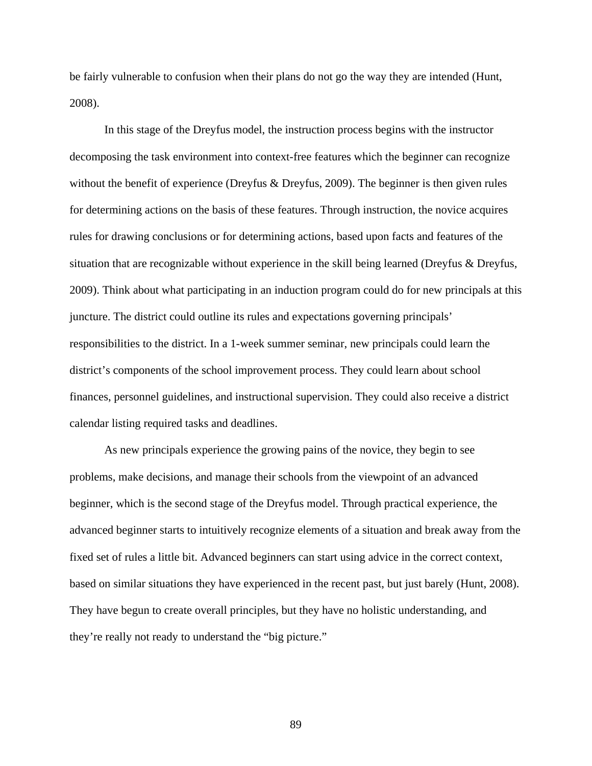be fairly vulnerable to confusion when their plans do not go the way they are intended (Hunt, 2008).

In this stage of the Dreyfus model, the instruction process begins with the instructor decomposing the task environment into context-free features which the beginner can recognize without the benefit of experience (Dreyfus & Dreyfus, 2009). The beginner is then given rules for determining actions on the basis of these features. Through instruction, the novice acquires rules for drawing conclusions or for determining actions, based upon facts and features of the situation that are recognizable without experience in the skill being learned (Dreyfus & Dreyfus, 2009). Think about what participating in an induction program could do for new principals at this juncture. The district could outline its rules and expectations governing principals' responsibilities to the district. In a 1-week summer seminar, new principals could learn the district's components of the school improvement process. They could learn about school finances, personnel guidelines, and instructional supervision. They could also receive a district calendar listing required tasks and deadlines.

As new principals experience the growing pains of the novice, they begin to see problems, make decisions, and manage their schools from the viewpoint of an advanced beginner, which is the second stage of the Dreyfus model. Through practical experience, the advanced beginner starts to intuitively recognize elements of a situation and break away from the fixed set of rules a little bit. Advanced beginners can start using advice in the correct context, based on similar situations they have experienced in the recent past, but just barely (Hunt, 2008). They have begun to create overall principles, but they have no holistic understanding, and they're really not ready to understand the "big picture."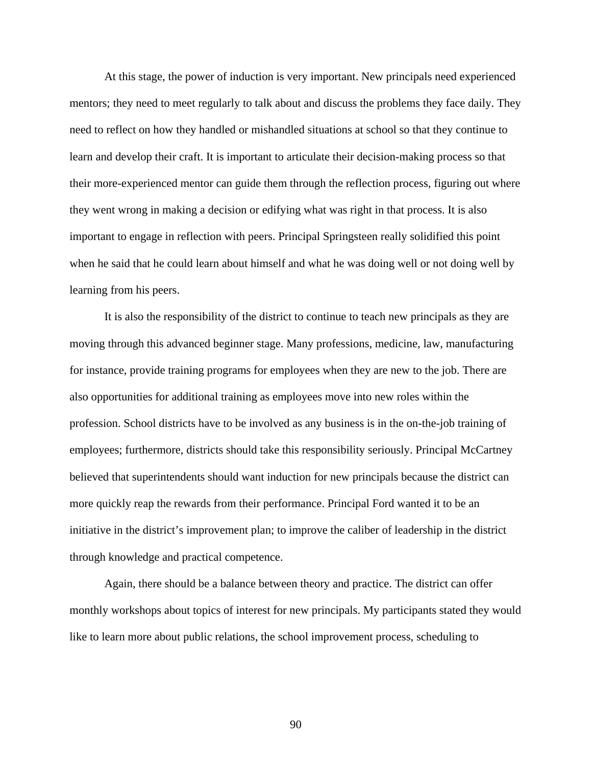At this stage, the power of induction is very important. New principals need experienced mentors; they need to meet regularly to talk about and discuss the problems they face daily. They need to reflect on how they handled or mishandled situations at school so that they continue to learn and develop their craft. It is important to articulate their decision-making process so that their more-experienced mentor can guide them through the reflection process, figuring out where they went wrong in making a decision or edifying what was right in that process. It is also important to engage in reflection with peers. Principal Springsteen really solidified this point when he said that he could learn about himself and what he was doing well or not doing well by learning from his peers.

It is also the responsibility of the district to continue to teach new principals as they are moving through this advanced beginner stage. Many professions, medicine, law, manufacturing for instance, provide training programs for employees when they are new to the job. There are also opportunities for additional training as employees move into new roles within the profession. School districts have to be involved as any business is in the on-the-job training of employees; furthermore, districts should take this responsibility seriously. Principal McCartney believed that superintendents should want induction for new principals because the district can more quickly reap the rewards from their performance. Principal Ford wanted it to be an initiative in the district's improvement plan; to improve the caliber of leadership in the district through knowledge and practical competence.

Again, there should be a balance between theory and practice. The district can offer monthly workshops about topics of interest for new principals. My participants stated they would like to learn more about public relations, the school improvement process, scheduling to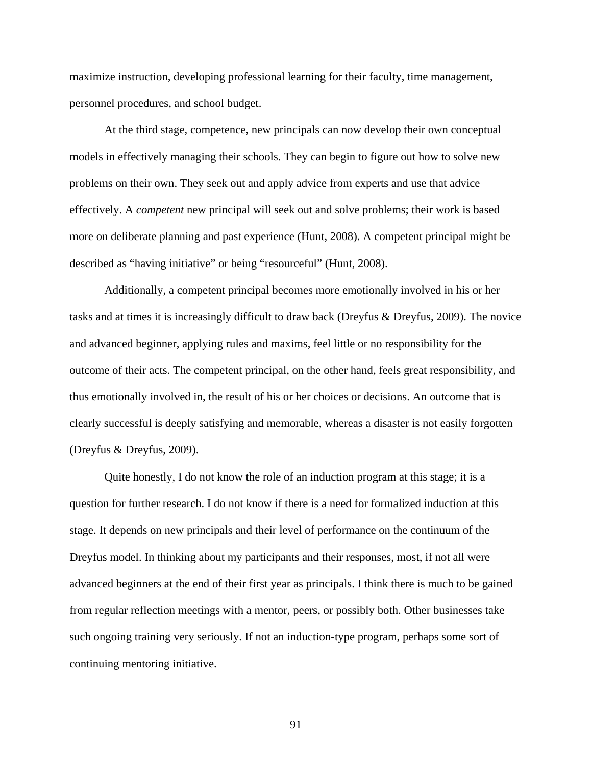maximize instruction, developing professional learning for their faculty, time management, personnel procedures, and school budget.

At the third stage, competence, new principals can now develop their own conceptual models in effectively managing their schools. They can begin to figure out how to solve new problems on their own. They seek out and apply advice from experts and use that advice effectively. A *competent* new principal will seek out and solve problems; their work is based more on deliberate planning and past experience (Hunt, 2008). A competent principal might be described as "having initiative" or being "resourceful" (Hunt, 2008).

Additionally, a competent principal becomes more emotionally involved in his or her tasks and at times it is increasingly difficult to draw back (Dreyfus & Dreyfus, 2009). The novice and advanced beginner, applying rules and maxims, feel little or no responsibility for the outcome of their acts. The competent principal, on the other hand, feels great responsibility, and thus emotionally involved in, the result of his or her choices or decisions. An outcome that is clearly successful is deeply satisfying and memorable, whereas a disaster is not easily forgotten (Dreyfus & Dreyfus, 2009).

Quite honestly, I do not know the role of an induction program at this stage; it is a question for further research. I do not know if there is a need for formalized induction at this stage. It depends on new principals and their level of performance on the continuum of the Dreyfus model. In thinking about my participants and their responses, most, if not all were advanced beginners at the end of their first year as principals. I think there is much to be gained from regular reflection meetings with a mentor, peers, or possibly both. Other businesses take such ongoing training very seriously. If not an induction-type program, perhaps some sort of continuing mentoring initiative.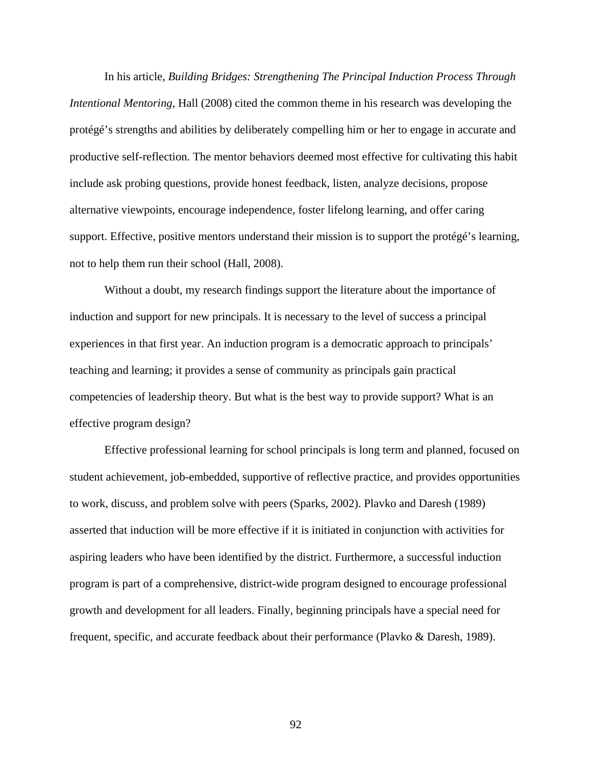In his article, *Building Bridges: Strengthening The Principal Induction Process Through Intentional Mentoring*, Hall (2008) cited the common theme in his research was developing the protégé's strengths and abilities by deliberately compelling him or her to engage in accurate and productive self-reflection. The mentor behaviors deemed most effective for cultivating this habit include ask probing questions, provide honest feedback, listen, analyze decisions, propose alternative viewpoints, encourage independence, foster lifelong learning, and offer caring support. Effective, positive mentors understand their mission is to support the protégé's learning, not to help them run their school (Hall, 2008).

Without a doubt, my research findings support the literature about the importance of induction and support for new principals. It is necessary to the level of success a principal experiences in that first year. An induction program is a democratic approach to principals' teaching and learning; it provides a sense of community as principals gain practical competencies of leadership theory. But what is the best way to provide support? What is an effective program design?

Effective professional learning for school principals is long term and planned, focused on student achievement, job-embedded, supportive of reflective practice, and provides opportunities to work, discuss, and problem solve with peers (Sparks, 2002). Plavko and Daresh (1989) asserted that induction will be more effective if it is initiated in conjunction with activities for aspiring leaders who have been identified by the district. Furthermore, a successful induction program is part of a comprehensive, district-wide program designed to encourage professional growth and development for all leaders. Finally, beginning principals have a special need for frequent, specific, and accurate feedback about their performance (Plavko & Daresh, 1989).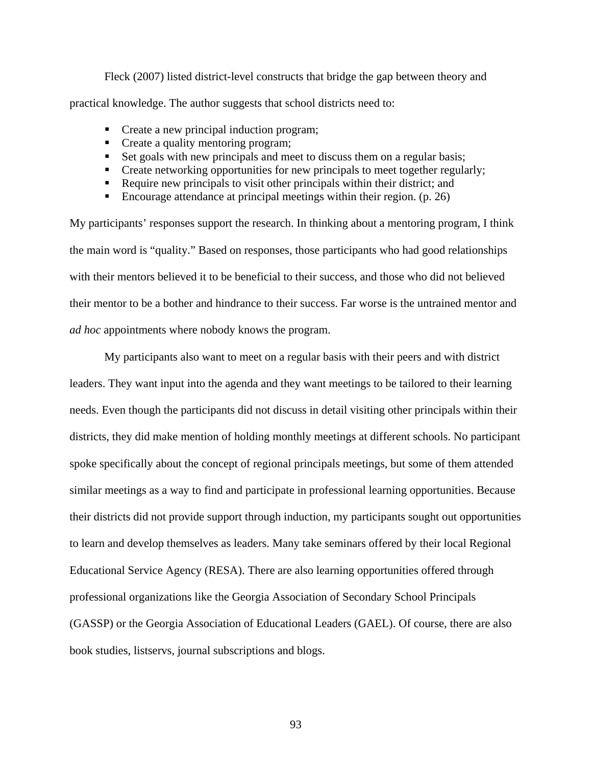Fleck (2007) listed district-level constructs that bridge the gap between theory and practical knowledge. The author suggests that school districts need to:

- Create a new principal induction program;
- Create a quality mentoring program;
- Set goals with new principals and meet to discuss them on a regular basis;
- **•** Create networking opportunities for new principals to meet together regularly;
- Require new principals to visit other principals within their district; and
- Encourage attendance at principal meetings within their region.  $(p. 26)$

My participants' responses support the research. In thinking about a mentoring program, I think the main word is "quality." Based on responses, those participants who had good relationships with their mentors believed it to be beneficial to their success, and those who did not believed their mentor to be a bother and hindrance to their success. Far worse is the untrained mentor and *ad hoc* appointments where nobody knows the program.

 My participants also want to meet on a regular basis with their peers and with district leaders. They want input into the agenda and they want meetings to be tailored to their learning needs. Even though the participants did not discuss in detail visiting other principals within their districts, they did make mention of holding monthly meetings at different schools. No participant spoke specifically about the concept of regional principals meetings, but some of them attended similar meetings as a way to find and participate in professional learning opportunities. Because their districts did not provide support through induction, my participants sought out opportunities to learn and develop themselves as leaders. Many take seminars offered by their local Regional Educational Service Agency (RESA). There are also learning opportunities offered through professional organizations like the Georgia Association of Secondary School Principals (GASSP) or the Georgia Association of Educational Leaders (GAEL). Of course, there are also book studies, listservs, journal subscriptions and blogs.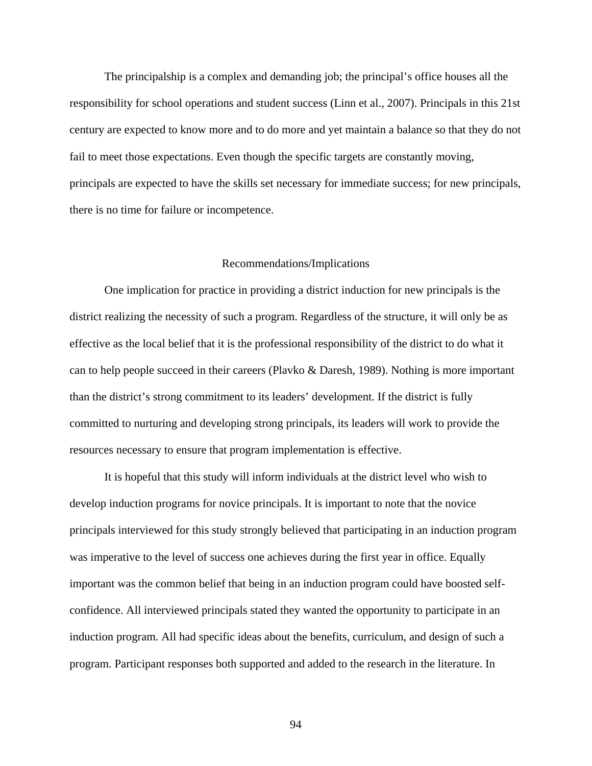The principalship is a complex and demanding job; the principal's office houses all the responsibility for school operations and student success (Linn et al., 2007). Principals in this 21st century are expected to know more and to do more and yet maintain a balance so that they do not fail to meet those expectations. Even though the specific targets are constantly moving, principals are expected to have the skills set necessary for immediate success; for new principals, there is no time for failure or incompetence.

#### Recommendations/Implications

One implication for practice in providing a district induction for new principals is the district realizing the necessity of such a program. Regardless of the structure, it will only be as effective as the local belief that it is the professional responsibility of the district to do what it can to help people succeed in their careers (Plavko & Daresh, 1989). Nothing is more important than the district's strong commitment to its leaders' development. If the district is fully committed to nurturing and developing strong principals, its leaders will work to provide the resources necessary to ensure that program implementation is effective.

It is hopeful that this study will inform individuals at the district level who wish to develop induction programs for novice principals. It is important to note that the novice principals interviewed for this study strongly believed that participating in an induction program was imperative to the level of success one achieves during the first year in office. Equally important was the common belief that being in an induction program could have boosted selfconfidence. All interviewed principals stated they wanted the opportunity to participate in an induction program. All had specific ideas about the benefits, curriculum, and design of such a program. Participant responses both supported and added to the research in the literature. In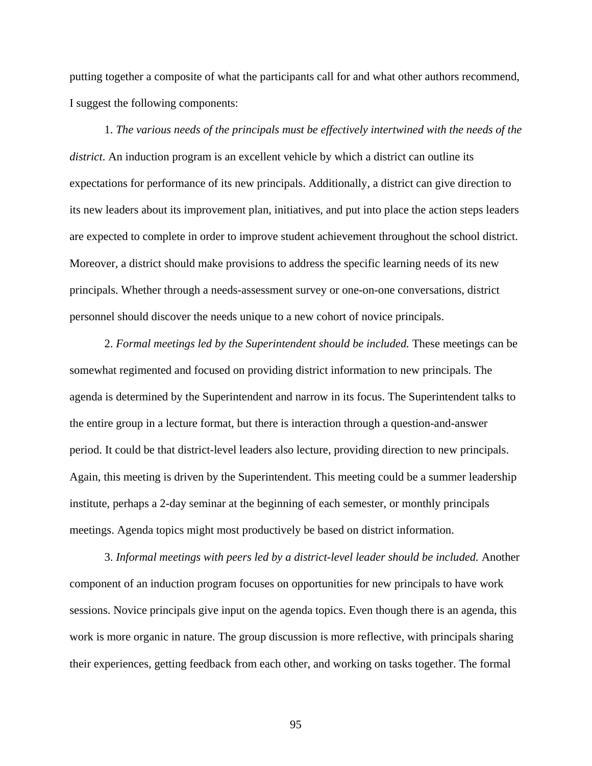putting together a composite of what the participants call for and what other authors recommend, I suggest the following components:

1. *The various needs of the principals must be effectively intertwined with the needs of the district*. An induction program is an excellent vehicle by which a district can outline its expectations for performance of its new principals. Additionally, a district can give direction to its new leaders about its improvement plan, initiatives, and put into place the action steps leaders are expected to complete in order to improve student achievement throughout the school district. Moreover, a district should make provisions to address the specific learning needs of its new principals. Whether through a needs-assessment survey or one-on-one conversations, district personnel should discover the needs unique to a new cohort of novice principals.

2. *Formal meetings led by the Superintendent should be included.* These meetings can be somewhat regimented and focused on providing district information to new principals. The agenda is determined by the Superintendent and narrow in its focus. The Superintendent talks to the entire group in a lecture format, but there is interaction through a question-and-answer period. It could be that district-level leaders also lecture, providing direction to new principals. Again, this meeting is driven by the Superintendent. This meeting could be a summer leadership institute, perhaps a 2-day seminar at the beginning of each semester, or monthly principals meetings. Agenda topics might most productively be based on district information.

3. *Informal meetings with peers led by a district-level leader should be included.* Another component of an induction program focuses on opportunities for new principals to have work sessions. Novice principals give input on the agenda topics. Even though there is an agenda, this work is more organic in nature. The group discussion is more reflective, with principals sharing their experiences, getting feedback from each other, and working on tasks together. The formal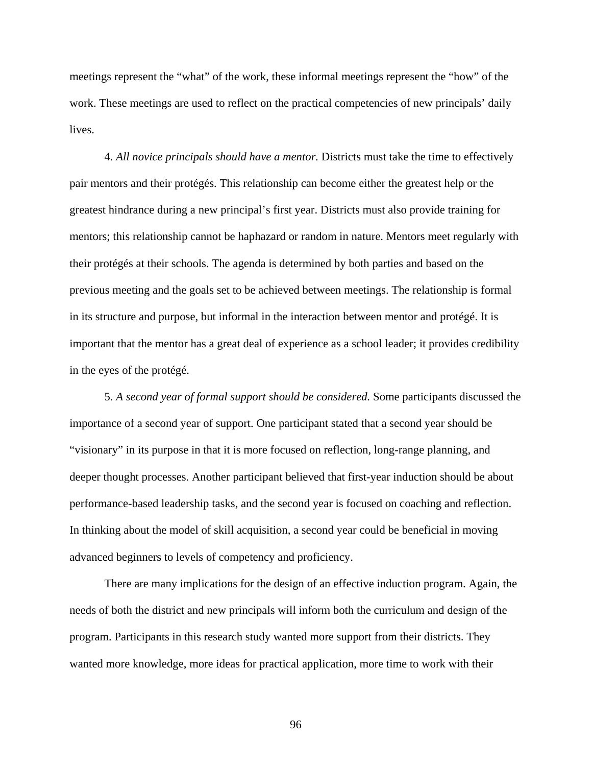meetings represent the "what" of the work, these informal meetings represent the "how" of the work. These meetings are used to reflect on the practical competencies of new principals' daily lives.

4. *All novice principals should have a mentor.* Districts must take the time to effectively pair mentors and their protégés. This relationship can become either the greatest help or the greatest hindrance during a new principal's first year. Districts must also provide training for mentors; this relationship cannot be haphazard or random in nature. Mentors meet regularly with their protégés at their schools. The agenda is determined by both parties and based on the previous meeting and the goals set to be achieved between meetings. The relationship is formal in its structure and purpose, but informal in the interaction between mentor and protégé. It is important that the mentor has a great deal of experience as a school leader; it provides credibility in the eyes of the protégé.

5. *A second year of formal support should be considered.* Some participants discussed the importance of a second year of support. One participant stated that a second year should be "visionary" in its purpose in that it is more focused on reflection, long-range planning, and deeper thought processes. Another participant believed that first-year induction should be about performance-based leadership tasks, and the second year is focused on coaching and reflection. In thinking about the model of skill acquisition, a second year could be beneficial in moving advanced beginners to levels of competency and proficiency.

There are many implications for the design of an effective induction program. Again, the needs of both the district and new principals will inform both the curriculum and design of the program. Participants in this research study wanted more support from their districts. They wanted more knowledge, more ideas for practical application, more time to work with their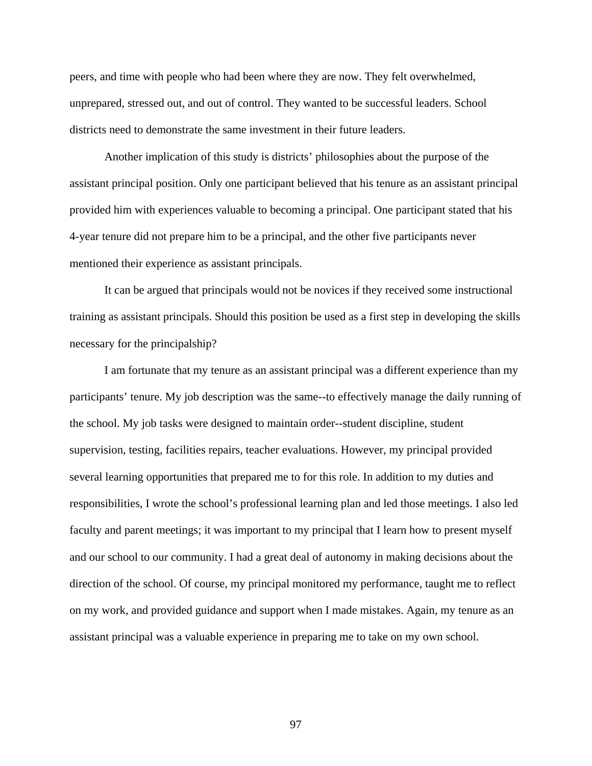peers, and time with people who had been where they are now. They felt overwhelmed, unprepared, stressed out, and out of control. They wanted to be successful leaders. School districts need to demonstrate the same investment in their future leaders.

Another implication of this study is districts' philosophies about the purpose of the assistant principal position. Only one participant believed that his tenure as an assistant principal provided him with experiences valuable to becoming a principal. One participant stated that his 4-year tenure did not prepare him to be a principal, and the other five participants never mentioned their experience as assistant principals.

 It can be argued that principals would not be novices if they received some instructional training as assistant principals. Should this position be used as a first step in developing the skills necessary for the principalship?

 I am fortunate that my tenure as an assistant principal was a different experience than my participants' tenure. My job description was the same--to effectively manage the daily running of the school. My job tasks were designed to maintain order--student discipline, student supervision, testing, facilities repairs, teacher evaluations. However, my principal provided several learning opportunities that prepared me to for this role. In addition to my duties and responsibilities, I wrote the school's professional learning plan and led those meetings. I also led faculty and parent meetings; it was important to my principal that I learn how to present myself and our school to our community. I had a great deal of autonomy in making decisions about the direction of the school. Of course, my principal monitored my performance, taught me to reflect on my work, and provided guidance and support when I made mistakes. Again, my tenure as an assistant principal was a valuable experience in preparing me to take on my own school.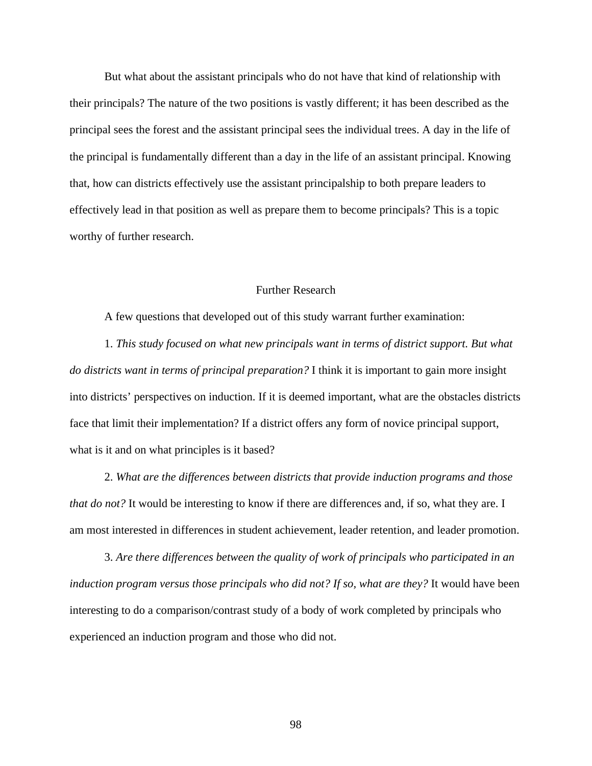But what about the assistant principals who do not have that kind of relationship with their principals? The nature of the two positions is vastly different; it has been described as the principal sees the forest and the assistant principal sees the individual trees. A day in the life of the principal is fundamentally different than a day in the life of an assistant principal. Knowing that, how can districts effectively use the assistant principalship to both prepare leaders to effectively lead in that position as well as prepare them to become principals? This is a topic worthy of further research.

## Further Research

A few questions that developed out of this study warrant further examination:

1. *This study focused on what new principals want in terms of district support. But what do districts want in terms of principal preparation?* I think it is important to gain more insight into districts' perspectives on induction. If it is deemed important, what are the obstacles districts face that limit their implementation? If a district offers any form of novice principal support, what is it and on what principles is it based?

2. *What are the differences between districts that provide induction programs and those that do not?* It would be interesting to know if there are differences and, if so, what they are. I am most interested in differences in student achievement, leader retention, and leader promotion.

3. *Are there differences between the quality of work of principals who participated in an induction program versus those principals who did not? If so, what are they?* It would have been interesting to do a comparison/contrast study of a body of work completed by principals who experienced an induction program and those who did not.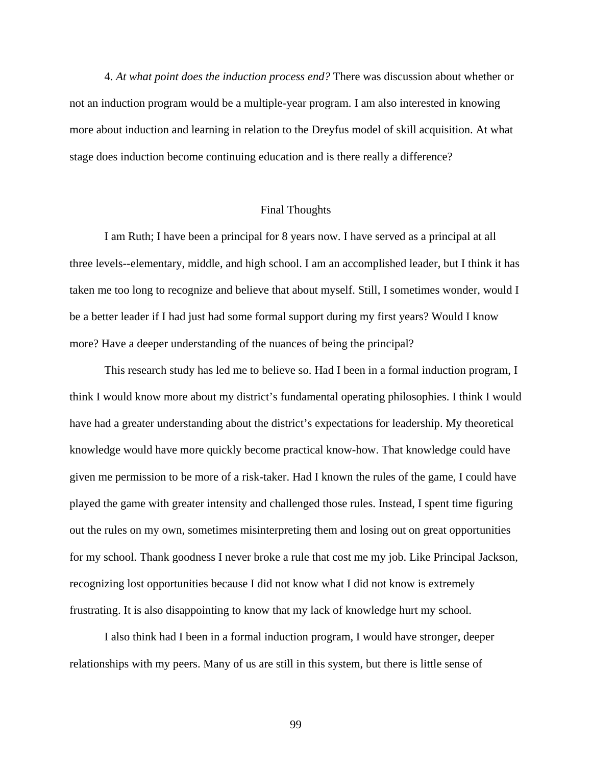4. *At what point does the induction process end?* There was discussion about whether or not an induction program would be a multiple-year program. I am also interested in knowing more about induction and learning in relation to the Dreyfus model of skill acquisition. At what stage does induction become continuing education and is there really a difference?

# Final Thoughts

 I am Ruth; I have been a principal for 8 years now. I have served as a principal at all three levels--elementary, middle, and high school. I am an accomplished leader, but I think it has taken me too long to recognize and believe that about myself. Still, I sometimes wonder, would I be a better leader if I had just had some formal support during my first years? Would I know more? Have a deeper understanding of the nuances of being the principal?

 This research study has led me to believe so. Had I been in a formal induction program, I think I would know more about my district's fundamental operating philosophies. I think I would have had a greater understanding about the district's expectations for leadership. My theoretical knowledge would have more quickly become practical know-how. That knowledge could have given me permission to be more of a risk-taker. Had I known the rules of the game, I could have played the game with greater intensity and challenged those rules. Instead, I spent time figuring out the rules on my own, sometimes misinterpreting them and losing out on great opportunities for my school. Thank goodness I never broke a rule that cost me my job. Like Principal Jackson, recognizing lost opportunities because I did not know what I did not know is extremely frustrating. It is also disappointing to know that my lack of knowledge hurt my school.

I also think had I been in a formal induction program, I would have stronger, deeper relationships with my peers. Many of us are still in this system, but there is little sense of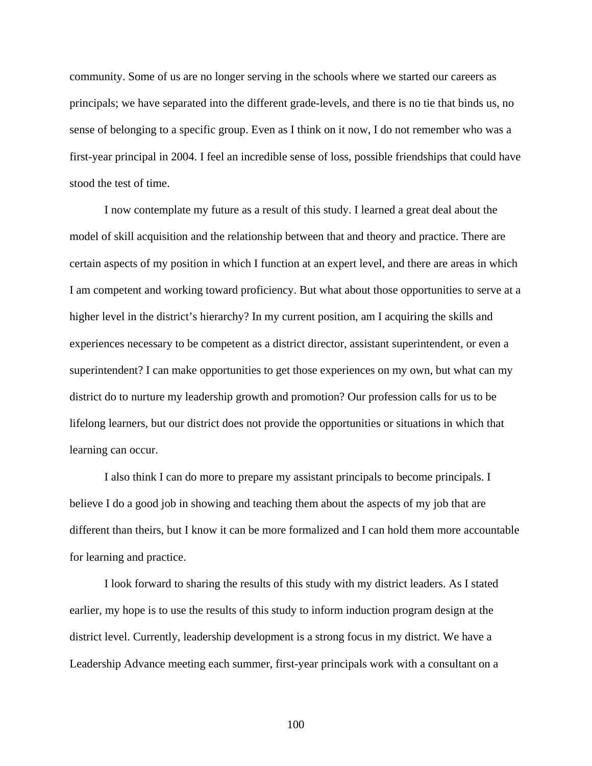community. Some of us are no longer serving in the schools where we started our careers as principals; we have separated into the different grade-levels, and there is no tie that binds us, no sense of belonging to a specific group. Even as I think on it now, I do not remember who was a first-year principal in 2004. I feel an incredible sense of loss, possible friendships that could have stood the test of time.

I now contemplate my future as a result of this study. I learned a great deal about the model of skill acquisition and the relationship between that and theory and practice. There are certain aspects of my position in which I function at an expert level, and there are areas in which I am competent and working toward proficiency. But what about those opportunities to serve at a higher level in the district's hierarchy? In my current position, am I acquiring the skills and experiences necessary to be competent as a district director, assistant superintendent, or even a superintendent? I can make opportunities to get those experiences on my own, but what can my district do to nurture my leadership growth and promotion? Our profession calls for us to be lifelong learners, but our district does not provide the opportunities or situations in which that learning can occur.

I also think I can do more to prepare my assistant principals to become principals. I believe I do a good job in showing and teaching them about the aspects of my job that are different than theirs, but I know it can be more formalized and I can hold them more accountable for learning and practice.

I look forward to sharing the results of this study with my district leaders. As I stated earlier, my hope is to use the results of this study to inform induction program design at the district level. Currently, leadership development is a strong focus in my district. We have a Leadership Advance meeting each summer, first-year principals work with a consultant on a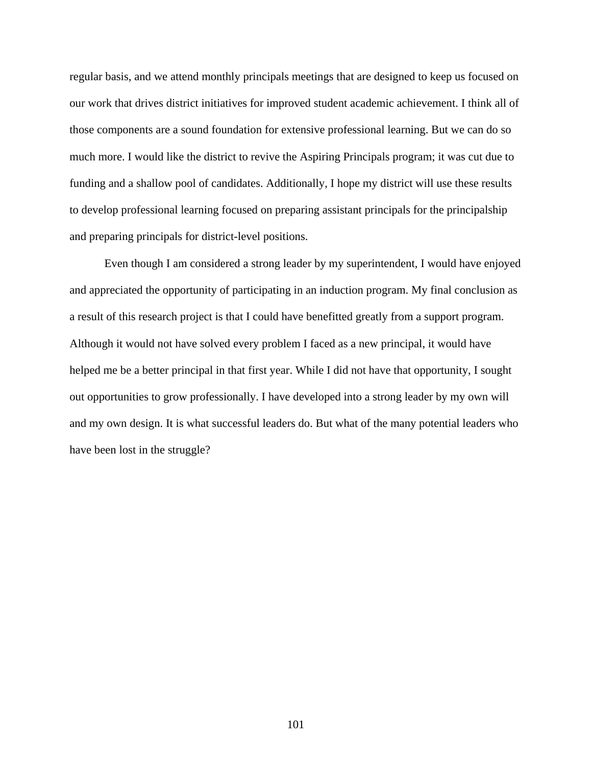regular basis, and we attend monthly principals meetings that are designed to keep us focused on our work that drives district initiatives for improved student academic achievement. I think all of those components are a sound foundation for extensive professional learning. But we can do so much more. I would like the district to revive the Aspiring Principals program; it was cut due to funding and a shallow pool of candidates. Additionally, I hope my district will use these results to develop professional learning focused on preparing assistant principals for the principalship and preparing principals for district-level positions.

Even though I am considered a strong leader by my superintendent, I would have enjoyed and appreciated the opportunity of participating in an induction program. My final conclusion as a result of this research project is that I could have benefitted greatly from a support program. Although it would not have solved every problem I faced as a new principal, it would have helped me be a better principal in that first year. While I did not have that opportunity, I sought out opportunities to grow professionally. I have developed into a strong leader by my own will and my own design. It is what successful leaders do. But what of the many potential leaders who have been lost in the struggle?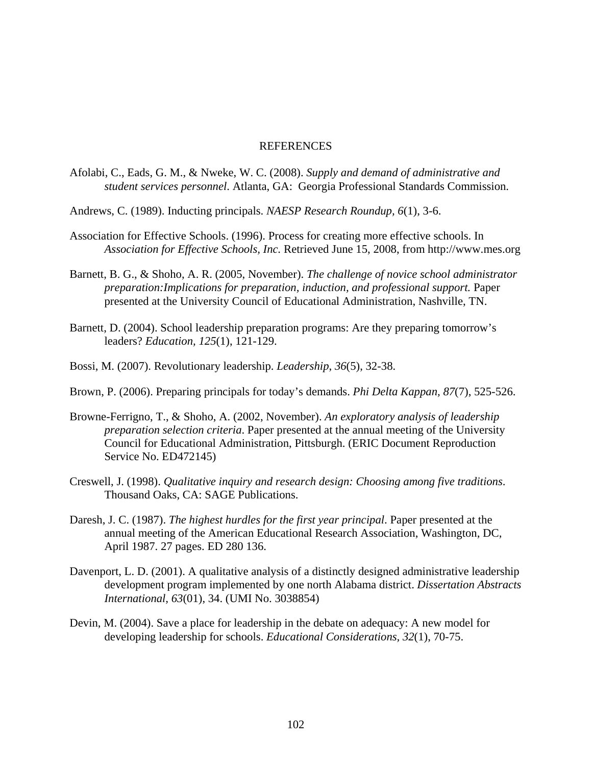## REFERENCES

- Afolabi, C., Eads, G. M., & Nweke, W. C. (2008). *Supply and demand of administrative and student services personnel*. Atlanta, GA: Georgia Professional Standards Commission.
- Andrews, C. (1989). Inducting principals. *NAESP Research Roundup, 6*(1), 3-6.
- Association for Effective Schools. (1996). Process for creating more effective schools. In *Association for Effective Schools, Inc.* Retrieved June 15, 2008, from http://www.mes.org
- Barnett, B. G., & Shoho, A. R. (2005, November). *The challenge of novice school administrator preparation:Implications for preparation, induction, and professional support. Paper* presented at the University Council of Educational Administration, Nashville, TN.
- Barnett, D. (2004). School leadership preparation programs: Are they preparing tomorrow's leaders? *Education, 125*(1), 121-129.
- Bossi, M. (2007). Revolutionary leadership. *Leadership*, *36*(5), 32-38.
- Brown, P. (2006). Preparing principals for today's demands. *Phi Delta Kappan, 87*(7), 525-526.
- Browne-Ferrigno, T., & Shoho, A. (2002, November). *An exploratory analysis of leadership preparation selection criteria*. Paper presented at the annual meeting of the University Council for Educational Administration, Pittsburgh. (ERIC Document Reproduction Service No. ED472145)
- Creswell, J. (1998). *Qualitative inquiry and research design: Choosing among five traditions*. Thousand Oaks, CA: SAGE Publications.
- Daresh, J. C. (1987). *The highest hurdles for the first year principal*. Paper presented at the annual meeting of the American Educational Research Association, Washington, DC, April 1987. 27 pages. ED 280 136.
- Davenport, L. D. (2001). A qualitative analysis of a distinctly designed administrative leadership development program implemented by one north Alabama district. *Dissertation Abstracts International, 63*(01), 34. (UMI No. 3038854)
- Devin, M. (2004). Save a place for leadership in the debate on adequacy: A new model for developing leadership for schools. *Educational Considerations, 32*(1), 70-75.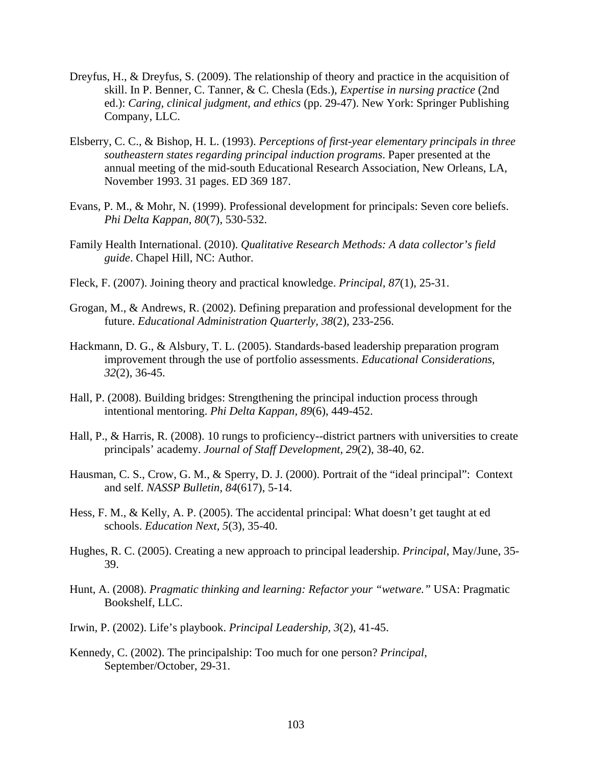- Dreyfus, H., & Dreyfus, S. (2009). The relationship of theory and practice in the acquisition of skill. In P. Benner, C. Tanner, & C. Chesla (Eds.), *Expertise in nursing practice* (2nd ed.): *Caring, clinical judgment, and ethics* (pp. 29-47). New York: Springer Publishing Company, LLC.
- Elsberry, C. C., & Bishop, H. L. (1993). *Perceptions of first-year elementary principals in three southeastern states regarding principal induction programs*. Paper presented at the annual meeting of the mid-south Educational Research Association, New Orleans, LA, November 1993. 31 pages. ED 369 187.
- Evans, P. M., & Mohr, N. (1999). Professional development for principals: Seven core beliefs. *Phi Delta Kappan, 80*(7), 530-532.
- Family Health International. (2010). *Qualitative Research Methods: A data collector's field guide*. Chapel Hill, NC: Author.
- Fleck, F. (2007). Joining theory and practical knowledge. *Principal, 87*(1), 25-31.
- Grogan, M., & Andrews, R. (2002). Defining preparation and professional development for the future. *Educational Administration Quarterly, 38*(2), 233-256.
- Hackmann, D. G., & Alsbury, T. L. (2005). Standards-based leadership preparation program improvement through the use of portfolio assessments. *Educational Considerations, 32*(2), 36-45.
- Hall, P. (2008). Building bridges: Strengthening the principal induction process through intentional mentoring. *Phi Delta Kappan, 89*(6), 449-452.
- Hall, P., & Harris, R. (2008). 10 rungs to proficiency--district partners with universities to create principals' academy. *Journal of Staff Development, 29*(2), 38-40, 62.
- Hausman, C. S., Crow, G. M., & Sperry, D. J. (2000). Portrait of the "ideal principal": Context and self. *NASSP Bulletin, 84*(617), 5-14.
- Hess, F. M., & Kelly, A. P. (2005). The accidental principal: What doesn't get taught at ed schools. *Education Next, 5*(3), 35-40.
- Hughes, R. C. (2005). Creating a new approach to principal leadership. *Principal*, May/June, 35- 39.
- Hunt, A. (2008). *Pragmatic thinking and learning: Refactor your "wetware."* USA: Pragmatic Bookshelf, LLC.
- Irwin, P. (2002). Life's playbook. *Principal Leadership, 3*(2), 41-45.
- Kennedy, C. (2002). The principalship: Too much for one person? *Principal*, September/October, 29-31.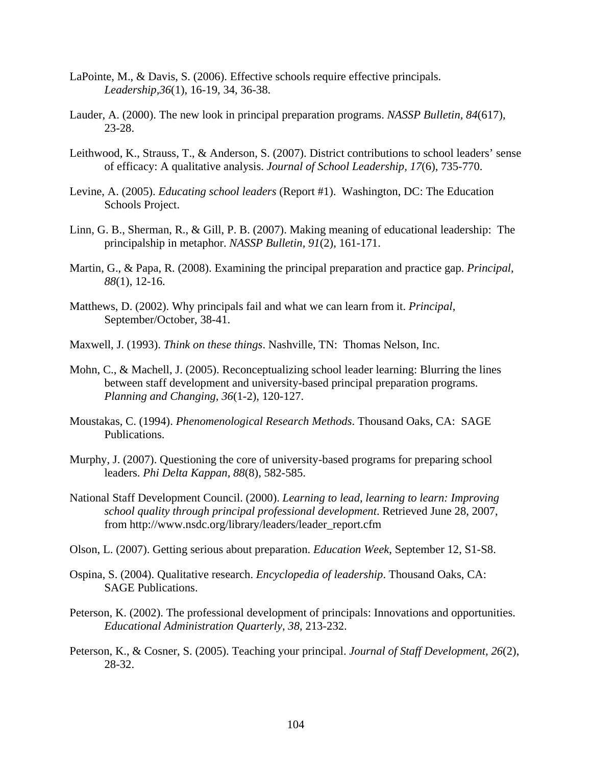- LaPointe, M., & Davis, S. (2006). Effective schools require effective principals. *Leadership,36*(1), 16-19, 34, 36-38.
- Lauder, A. (2000). The new look in principal preparation programs. *NASSP Bulletin, 84*(617), 23-28.
- Leithwood, K., Strauss, T., & Anderson, S. (2007). District contributions to school leaders' sense of efficacy: A qualitative analysis. *Journal of School Leadership, 17*(6), 735-770.
- Levine, A. (2005). *Educating school leaders* (Report #1). Washington, DC: The Education Schools Project.
- Linn, G. B., Sherman, R., & Gill, P. B. (2007). Making meaning of educational leadership: The principalship in metaphor. *NASSP Bulletin, 91*(2), 161-171.
- Martin, G., & Papa, R. (2008). Examining the principal preparation and practice gap. *Principal, 88*(1), 12-16.
- Matthews, D. (2002). Why principals fail and what we can learn from it. *Principal*, September/October, 38-41.
- Maxwell, J. (1993). *Think on these things*. Nashville, TN: Thomas Nelson, Inc.
- Mohn, C., & Machell, J. (2005). Reconceptualizing school leader learning: Blurring the lines between staff development and university-based principal preparation programs. *Planning and Changing, 36*(1-2), 120-127.
- Moustakas, C. (1994). *Phenomenological Research Methods*. Thousand Oaks, CA: SAGE Publications.
- Murphy, J. (2007). Questioning the core of university-based programs for preparing school leaders. *Phi Delta Kappan, 88*(8), 582-585.
- National Staff Development Council. (2000). *Learning to lead, learning to learn: Improving school quality through principal professional development*. Retrieved June 28, 2007, from http://www.nsdc.org/library/leaders/leader\_report.cfm
- Olson, L. (2007). Getting serious about preparation. *Education Week*, September 12, S1-S8.
- Ospina, S. (2004). Qualitative research. *Encyclopedia of leadership*. Thousand Oaks, CA: SAGE Publications.
- Peterson, K. (2002). The professional development of principals: Innovations and opportunities. *Educational Administration Quarterly, 38*, 213-232.
- Peterson, K., & Cosner, S. (2005). Teaching your principal. *Journal of Staff Development, 26*(2), 28-32.